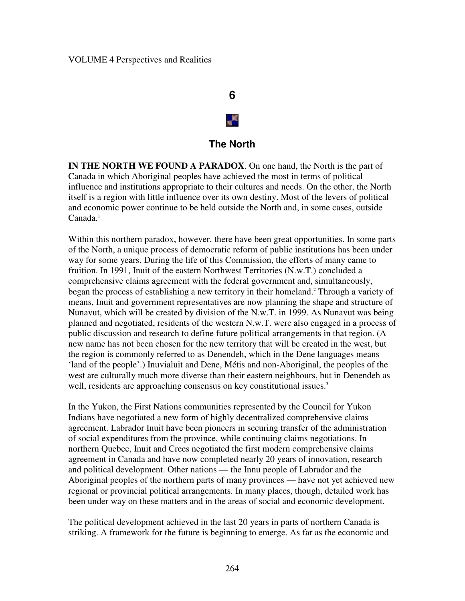# **6** J

## **The North**

**IN THE NORTH WE FOUND A PARADOX**. On one hand, the North is the part of Canada in which Aboriginal peoples have achieved the most in terms of political influence and institutions appropriate to their cultures and needs. On the other, the North itself is a region with little influence over its own destiny. Most of the levers of political and economic power continue to be held outside the North and, in some cases, outside Canada. 1

Within this northern paradox, however, there have been great opportunities. In some parts of the North, a unique process of democratic reform of public institutions has been under way for some years. During the life of this Commission, the efforts of many came to fruition. In 1991, Inuit of the eastern Northwest Territories (N.w.T.) concluded a comprehensive claims agreement with the federal government and, simultaneously, began the process of establishing a new territory in their homeland. <sup>2</sup> Through a variety of means, Inuit and government representatives are now planning the shape and structure of Nunavut, which will be created by division of the N.w.T. in 1999. As Nunavut was being planned and negotiated, residents of the western N.w.T. were also engaged in a process of public discussion and research to define future political arrangements in that region. (A new name has not been chosen for the new territory that will be created in the west, but the region is commonly referred to as Denendeh, which in the Dene languages means 'land of the people'.) Inuvialuit and Dene, Métis and non-Aboriginal, the peoples of the west are culturally much more diverse than their eastern neighbours, but in Denendeh as well, residents are approaching consensus on key constitutional issues.<sup>3</sup>

In the Yukon, the First Nations communities represented by the Council for Yukon Indians have negotiated a new form of highly decentralized comprehensive claims agreement. Labrador Inuit have been pioneers in securing transfer of the administration of social expenditures from the province, while continuing claims negotiations. In northern Quebec, Inuit and Crees negotiated the first modern comprehensive claims agreement in Canada and have now completed nearly 20 years of innovation, research and political development. Other nations — the Innu people of Labrador and the Aboriginal peoples of the northern parts of many provinces — have not yet achieved new regional or provincial political arrangements. In many places, though, detailed work has been under way on these matters and in the areas of social and economic development.

The political development achieved in the last 20 years in parts of northern Canada is striking. A framework for the future is beginning to emerge. As far as the economic and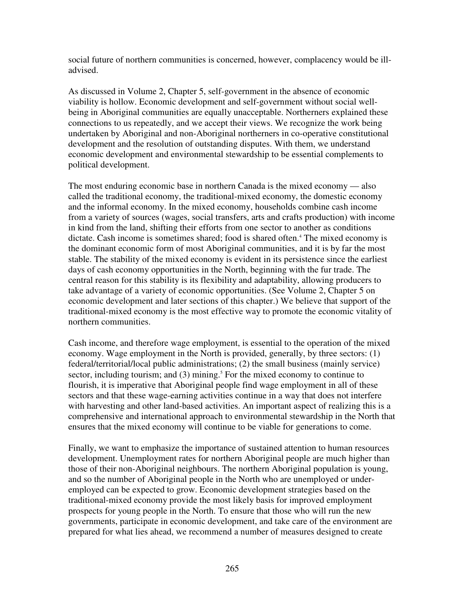social future of northern communities is concerned, however, complacency would be illadvised.

As discussed in Volume 2, Chapter 5, self-government in the absence of economic viability is hollow. Economic development and self-government without social wellbeing in Aboriginal communities are equally unacceptable. Northerners explained these connections to us repeatedly, and we accept their views. We recognize the work being undertaken by Aboriginal and non-Aboriginal northerners in co-operative constitutional development and the resolution of outstanding disputes. With them, we understand economic development and environmental stewardship to be essential complements to political development.

The most enduring economic base in northern Canada is the mixed economy — also called the traditional economy, the traditional-mixed economy, the domestic economy and the informal economy. In the mixed economy, households combine cash income from a variety of sources (wages, social transfers, arts and crafts production) with income in kind from the land, shifting their efforts from one sector to another as conditions dictate. Cash income is sometimes shared; food is shared often. <sup>4</sup> The mixed economy is the dominant economic form of most Aboriginal communities, and it is by far the most stable. The stability of the mixed economy is evident in its persistence since the earliest days of cash economy opportunities in the North, beginning with the fur trade. The central reason for this stability is its flexibility and adaptability, allowing producers to take advantage of a variety of economic opportunities. (See Volume 2, Chapter 5 on economic development and later sections of this chapter.) We believe that support of the traditional-mixed economy is the most effective way to promote the economic vitality of northern communities.

Cash income, and therefore wage employment, is essential to the operation of the mixed economy. Wage employment in the North is provided, generally, by three sectors: (1) federal/territorial/local public administrations; (2) the small business (mainly service) sector, including tourism; and (3) mining.<sup>5</sup> For the mixed economy to continue to flourish, it is imperative that Aboriginal people find wage employment in all of these sectors and that these wage-earning activities continue in a way that does not interfere with harvesting and other land-based activities. An important aspect of realizing this is a comprehensive and international approach to environmental stewardship in the North that ensures that the mixed economy will continue to be viable for generations to come.

Finally, we want to emphasize the importance of sustained attention to human resources development. Unemployment rates for northern Aboriginal people are much higher than those of their non-Aboriginal neighbours. The northern Aboriginal population is young, and so the number of Aboriginal people in the North who are unemployed or underemployed can be expected to grow. Economic development strategies based on the traditional-mixed economy provide the most likely basis for improved employment prospects for young people in the North. To ensure that those who will run the new governments, participate in economic development, and take care of the environment are prepared for what lies ahead, we recommend a number of measures designed to create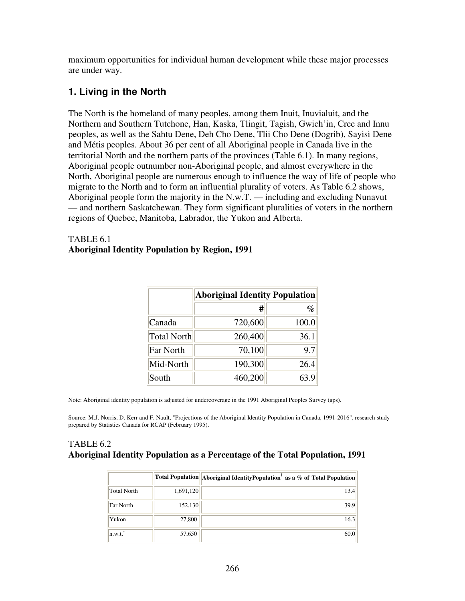maximum opportunities for individual human development while these major processes are under way.

## **1. Living in the North**

The North is the homeland of many peoples, among them Inuit, Inuvialuit, and the Northern and Southern Tutchone, Han, Kaska, Tlingit, Tagish, Gwich'in, Cree and Innu peoples, as well as the Sahtu Dene, Deh Cho Dene, Tlii Cho Dene (Dogrib), Sayisi Dene and Métis peoples. About 36 per cent of all Aboriginal people in Canada live in the territorial North and the northern parts of the provinces (Table 6.1). In many regions, Aboriginal people outnumber non-Aboriginal people, and almost everywhere in the North, Aboriginal people are numerous enough to influence the way of life of people who migrate to the North and to form an influential plurality of voters. As Table 6.2 shows, Aboriginal people form the majority in the N.w.T. — including and excluding Nunavut — and northern Saskatchewan. They form significant pluralities of voters in the northern regions of Quebec, Manitoba, Labrador, the Yukon and Alberta.

#### TABLE 6.1 **Aboriginal Identity Population by Region, 1991**

|                    | <b>Aboriginal Identity Population</b> |       |  |  |
|--------------------|---------------------------------------|-------|--|--|
|                    | #                                     | $\%$  |  |  |
| Canada             | 720,600                               | 100.0 |  |  |
| <b>Total North</b> | 260,400                               | 36.1  |  |  |
| Far North          | 70,100                                | 9.7   |  |  |
| Mid-North          | 190,300                               | 26.4  |  |  |
| South              | 460,200                               |       |  |  |

Note: Aboriginal identity population is adjusted for undercoverage in the 1991 Aboriginal Peoples Survey (aps).

Source: M.J. Norris, D. Kerr and F. Nault, "Projections of the Aboriginal Identity Population in Canada, 1991-2016", research study prepared by Statistics Canada for RCAP (February 1995).

#### TABLE 6.2 **Aboriginal Identity Population as a Percentage of the Total Population, 1991**

|                    |           | Total Population Aboriginal Identity Population as a % of Total Population |
|--------------------|-----------|----------------------------------------------------------------------------|
| <b>Total North</b> | 1,691,120 | 13.4                                                                       |
| Far North          | 152,130   | 39.9                                                                       |
| Yukon              | 27,800    | 16.3                                                                       |
| $\ln w.t.^2$       | 57,650    | 60.0                                                                       |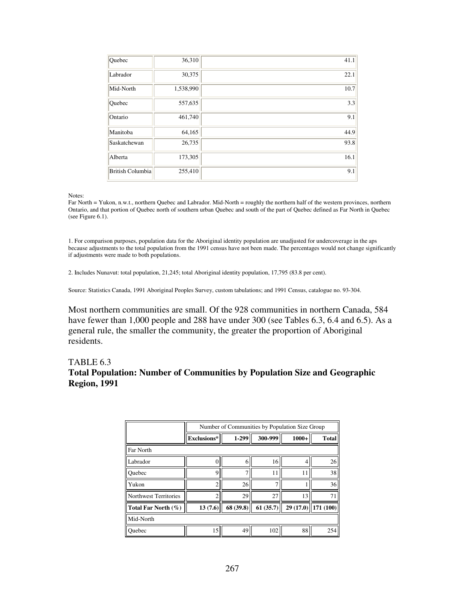| Quebec                  | 36,310    | 41.1 |
|-------------------------|-----------|------|
| Labrador                | 30,375    | 22.1 |
| Mid-North               | 1,538,990 | 10.7 |
| Quebec                  | 557,635   | 3.3  |
| Ontario                 | 461,740   | 9.1  |
| Manitoba                | 64,165    | 44.9 |
| Saskatchewan            | 26,735    | 93.8 |
| Alberta                 | 173,305   | 16.1 |
| <b>British Columbia</b> | 255,410   | 9.1  |

Notes:

Far North = Yukon, n.w.t., northern Quebec and Labrador. Mid-North = roughly the northern half of the western provinces, northern Ontario, and that portion of Quebec north of southern urban Quebec and south of the part of Quebec defined as Far North in Quebec (see Figure 6.1).

1. For comparison purposes, population data for the Aboriginal identity population are unadjusted for undercoverage in the aps because adjustments to the total population from the 1991 census have not been made. The percentages would not change significantly if adjustments were made to both populations.

2. Includes Nunavut: total population, 21,245; total Aboriginal identity population, 17,795 (83.8 per cent).

Source: Statistics Canada, 1991 Aboriginal Peoples Survey, custom tabulations; and 1991 Census, catalogue no. 93-304.

Most northern communities are small. Of the 928 communities in northern Canada, 584 have fewer than 1,000 people and 288 have under 300 (see Tables 6.3, 6.4 and 6.5). As a general rule, the smaller the community, the greater the proportion of Aboriginal residents.

#### TABLE 6.3

## **Total Population: Number of Communities by Population Size and Geographic Region, 1991**

|                       | Number of Communities by Population Size Group |           |          |         |                     |
|-----------------------|------------------------------------------------|-----------|----------|---------|---------------------|
|                       | Exclusions*                                    | 1-299     | 300-999  | $1000+$ | <b>Total</b>        |
| Far North             |                                                |           |          |         |                     |
| Labrador              | 0                                              | 6         | 16       | 4       | 26                  |
| Ouebec                | 9                                              |           | 11       | 11      | 38                  |
| Yukon                 | 2                                              | 26        |          |         | 36                  |
| Northwest Territories | $\mathfrak{D}$                                 | 29        | 27       | 13      | 71                  |
| Total Far North (%)   | 13(7.6)                                        | 68 (39.8) | 61(35.7) |         | 29 (17.0) 171 (100) |
| Mid-North             |                                                |           |          |         |                     |
| Ouebec                | 15                                             | 49        | 102      | 88      | 254                 |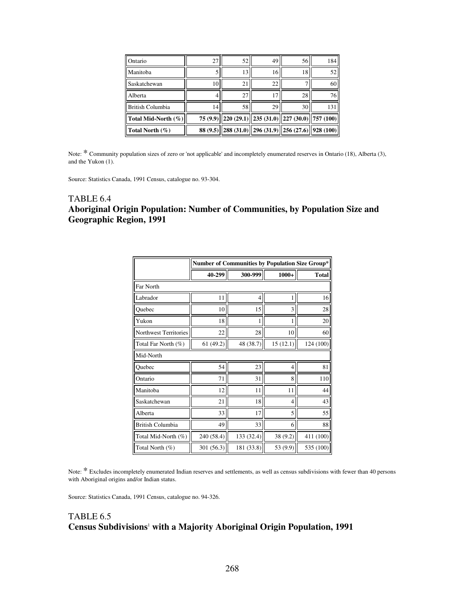| Ontario                 | 27       | 52 | 49                                                | 56                                            | 184      |
|-------------------------|----------|----|---------------------------------------------------|-----------------------------------------------|----------|
| Manitoba                |          | 13 | 16                                                | 18                                            | 52       |
| Saskatchewan            | 10       | 21 | 22                                                |                                               | 60       |
| Alberta                 | 4        | 27 | 17                                                | 28                                            | 76       |
| <b>British Columbia</b> | 14       | 58 | 29                                                | 30                                            | 131      |
| Total Mid-North (%)     | 75(9.9)  |    |                                                   | $220(29.1)  235(31.0)  227(30.0)  757(100)  $ |          |
| Total North $(\% )$     | 88 (9.5) |    | $\left 288(31.0)\right 296(31.9)\right 256(27.6)$ |                                               | 928(100) |

Note: \* Community population sizes of zero or 'not applicable'and incompletely enumerated reserves in Ontario (18), Alberta (3), and the Yukon (1).

Source: Statistics Canada, 1991 Census, catalogue no. 93-304.

#### TABLE 6.4 **Aboriginal Origin Population: Number of Communities, by Population Size and Geographic Region, 1991**

|                         | <b>Number of Communities by Population Size Group*</b> |            |          |              |  |  |
|-------------------------|--------------------------------------------------------|------------|----------|--------------|--|--|
|                         | 40-299                                                 | 300-999    | $1000+$  | <b>Total</b> |  |  |
| Far North               |                                                        |            |          |              |  |  |
| Labrador                | 11                                                     | 4          | 1        | 16           |  |  |
| Quebec                  | 10                                                     | 15         | 3        | 28           |  |  |
| Yukon                   | 18                                                     | 1          | 1        | 20           |  |  |
| Northwest Territories   | 22                                                     | 28         | 10       | 60           |  |  |
| Total Far North (%)     | 61(49.2)                                               | 48 (38.7)  | 15(12.1) | 124 (100)    |  |  |
| Mid-North               |                                                        |            |          |              |  |  |
| Ouebec                  | 54                                                     | 23         | 4        | 81           |  |  |
| Ontario                 | 71                                                     | 31         | 8        | 110          |  |  |
| Manitoba                | 12                                                     | 11         | 11       | 44           |  |  |
| Saskatchewan            | 21                                                     | 18         | 4        | 43           |  |  |
| Alberta                 | 33                                                     | 17         | 5        | 55           |  |  |
| <b>British Columbia</b> | 49                                                     | 33         | 6        | 88           |  |  |
| Total Mid-North (%)     | 240 (58.4)                                             | 133 (32.4) | 38 (9.2) | 411 (100)    |  |  |
| Total North (%)         | 301 (56.3)                                             | 181 (33.8) | 53 (9.9) | 535 (100)    |  |  |

Note: \* Excludes incompletely enumerated Indian reserves and settlements, as well as census subdivisions with fewer than <sup>40</sup> persons with Aboriginal origins and/or Indian status.

Source: Statistics Canada, 1991 Census, catalogue no. 94-326.

#### TABLE 6.5 **Census Subdivisions** <sup>1</sup> **with a Majority Aboriginal Origin Population, 1991**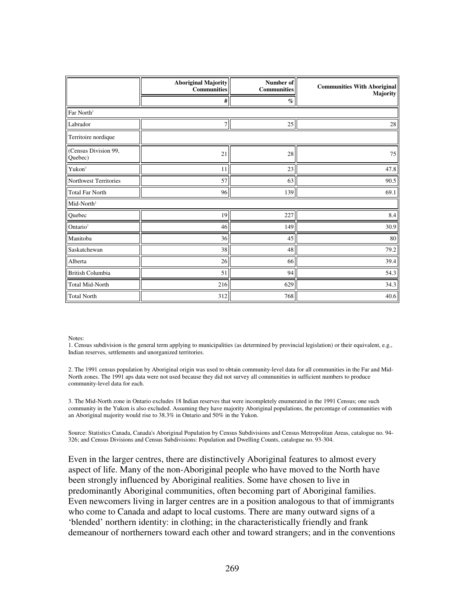|                                 | <b>Aboriginal Majority</b><br><b>Communities</b> | <b>Number</b> of<br>Communities | <b>Communities With Aboriginal</b><br>Majority |  |  |  |  |
|---------------------------------|--------------------------------------------------|---------------------------------|------------------------------------------------|--|--|--|--|
|                                 | $\#$                                             | $\%$                            |                                                |  |  |  |  |
| Far North <sup>2</sup>          |                                                  |                                 |                                                |  |  |  |  |
| Labrador                        | 7 <sup>1</sup>                                   | 25                              | $28\,$                                         |  |  |  |  |
| Territoire nordique             |                                                  |                                 |                                                |  |  |  |  |
| (Census Division 99,<br>Quebec) | 21                                               | 28                              | 75                                             |  |  |  |  |
| Yukon <sup>3</sup>              | 11                                               | 23                              | 47.8                                           |  |  |  |  |
| Northwest Territories           | 57                                               | 63                              | 90.5                                           |  |  |  |  |
| Total Far North                 | 96                                               | 139                             | 69.1                                           |  |  |  |  |
| Mid-North <sup>2</sup>          |                                                  |                                 |                                                |  |  |  |  |
| Quebec                          | 19                                               | 227                             | $8.4\,$                                        |  |  |  |  |
| Ontario <sup>3</sup>            | 46                                               | 149                             | 30.9                                           |  |  |  |  |
| Manitoba                        | 36                                               | 45                              | $80\,$                                         |  |  |  |  |
| Saskatchewan                    | 38                                               | 48                              | 79.2                                           |  |  |  |  |
| Alberta                         | 26                                               | 66                              | 39.4                                           |  |  |  |  |
| <b>British Columbia</b>         | 51                                               | 94                              | 54.3                                           |  |  |  |  |
| Total Mid-North                 | 216                                              | 629                             | 34.3                                           |  |  |  |  |
| Total North                     | 312                                              | 768                             | 40.6                                           |  |  |  |  |

Notes:

1. Census subdivision is the general term applying to municipalities (as determined by provincial legislation) or their equivalent, e.g., Indian reserves, settlements and unorganized territories.

2. The 1991 census population by Aboriginal origin was used to obtain community-level data for all communities in the Far and Mid-North zones. The 1991 aps data were not used because they did not survey all communities in sufficient numbers to produce community-level data for each.

3. The Mid-North zone in Ontario excludes 18 Indian reserves that were incompletely enumerated in the 1991 Census; one such community in the Yukon is also excluded. Assuming they have majority Aboriginal populations, the percentage of communities with an Aboriginal majority would rise to 38.3% in Ontario and 50% in the Yukon.

Source: Statistics Canada, Canada's Aboriginal Population by Census Subdivisions and Census Metropolitan Areas, catalogue no. 94- 326; and Census Divisions and Census Subdivisions: Population and Dwelling Counts, catalogue no. 93-304.

Even in the larger centres, there are distinctively Aboriginal features to almost every aspect of life. Many of the non-Aboriginal people who have moved to the North have been strongly influenced by Aboriginal realities. Some have chosen to live in predominantly Aboriginal communities, often becoming part of Aboriginal families. Even newcomers living in larger centres are in a position analogous to that of immigrants who come to Canada and adapt to local customs. There are many outward signs of a 'blended' northern identity: in clothing; in the characteristically friendly and frank demeanour of northerners toward each other and toward strangers; and in the conventions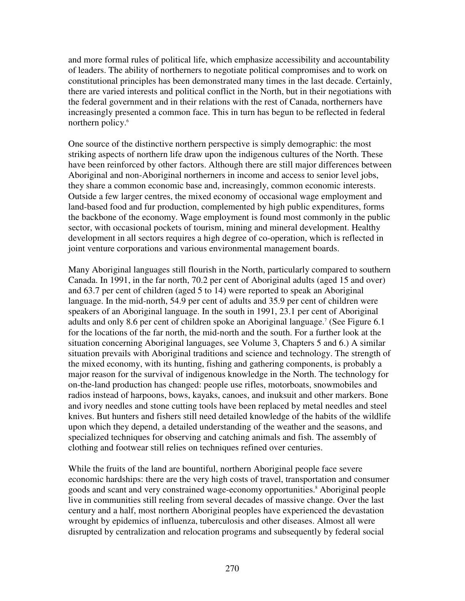and more formal rules of political life, which emphasize accessibility and accountability of leaders. The ability of northerners to negotiate political compromises and to work on constitutional principles has been demonstrated many times in the last decade. Certainly, there are varied interests and political conflict in the North, but in their negotiations with the federal government and in their relations with the rest of Canada, northerners have increasingly presented a common face. This in turn has begun to be reflected in federal northern policy. 6

One source of the distinctive northern perspective is simply demographic: the most striking aspects of northern life draw upon the indigenous cultures of the North. These have been reinforced by other factors. Although there are still major differences between Aboriginal and non-Aboriginal northerners in income and access to senior level jobs, they share a common economic base and, increasingly, common economic interests. Outside a few larger centres, the mixed economy of occasional wage employment and land-based food and fur production, complemented by high public expenditures, forms the backbone of the economy. Wage employment is found most commonly in the public sector, with occasional pockets of tourism, mining and mineral development. Healthy development in all sectors requires a high degree of co-operation, which is reflected in joint venture corporations and various environmental management boards.

Many Aboriginal languages still flourish in the North, particularly compared to southern Canada. In 1991, in the far north, 70.2 per cent of Aboriginal adults (aged 15 and over) and 63.7 per cent of children (aged 5 to 14) were reported to speak an Aboriginal language. In the mid-north, 54.9 per cent of adults and 35.9 per cent of children were speakers of an Aboriginal language. In the south in 1991, 23.1 per cent of Aboriginal adults and only 8.6 per cent of children spoke an Aboriginal language. 7 (See Figure 6.1 for the locations of the far north, the mid-north and the south. For a further look at the situation concerning Aboriginal languages, see Volume 3, Chapters 5 and 6.) A similar situation prevails with Aboriginal traditions and science and technology. The strength of the mixed economy, with its hunting, fishing and gathering components, is probably a major reason for the survival of indigenous knowledge in the North. The technology for on-the-land production has changed: people use rifles, motorboats, snowmobiles and radios instead of harpoons, bows, kayaks, canoes, and inuksuit and other markers. Bone and ivory needles and stone cutting tools have been replaced by metal needles and steel knives. But hunters and fishers still need detailed knowledge of the habits of the wildlife upon which they depend, a detailed understanding of the weather and the seasons, and specialized techniques for observing and catching animals and fish. The assembly of clothing and footwear still relies on techniques refined over centuries.

While the fruits of the land are bountiful, northern Aboriginal people face severe economic hardships: there are the very high costs of travel, transportation and consumer goods and scant and very constrained wage-economy opportunities. <sup>8</sup> Aboriginal people live in communities still reeling from several decades of massive change. Over the last century and a half, most northern Aboriginal peoples have experienced the devastation wrought by epidemics of influenza, tuberculosis and other diseases. Almost all were disrupted by centralization and relocation programs and subsequently by federal social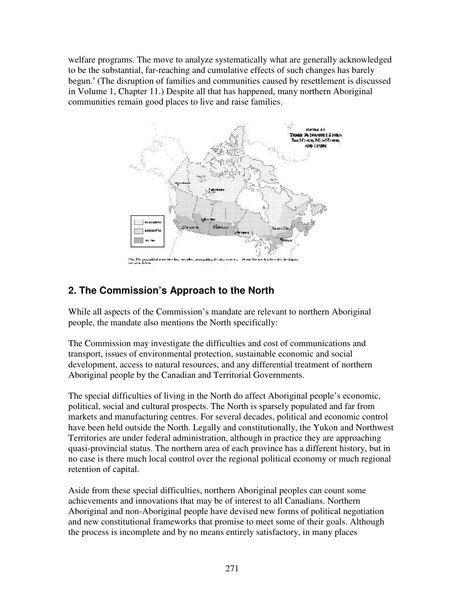welfare programs. The move to analyze systematically what are generally acknowledged to be the substantial, far-reaching and cumulative effects of such changes has barely begun. 9 (The disruption of families and communities caused by resettlement is discussed in Volume 1, Chapter 11.) Despite all that has happened, many northern Aboriginal communities remain good places to live and raise families.



# **2. The Commission's Approach to the North**

While all aspects of the Commission's mandate are relevant to northern Aboriginal people, the mandate also mentions the North specifically:

The Commission may investigate the difficulties and cost of communications and transport, issues of environmental protection, sustainable economic and social development, access to natural resources, and any differential treatment of northern Aboriginal people by the Canadian and Territorial Governments.

The special difficulties of living in the North do affect Aboriginal people's economic, political, social and cultural prospects. The North is sparsely populated and far from markets and manufacturing centres. For several decades, political and economic control have been held outside the North. Legally and constitutionally, the Yukon and Northwest Territories are under federal administration, although in practice they are approaching quasi-provincial status. The northern area of each province has a different history, but in no case is there much local control over the regional political economy or much regional retention of capital.

Aside from these special difficulties, northern Aboriginal peoples can count some achievements and innovations that may be of interest to all Canadians. Northern Aboriginal and non-Aboriginal people have devised new forms of political negotiation and new constitutional frameworks that promise to meet some of their goals. Although the process is incomplete and by no means entirely satisfactory, in many places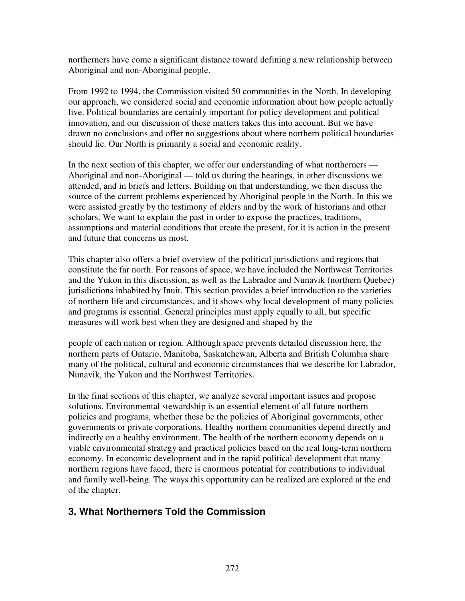northerners have come a significant distance toward defining a new relationship between Aboriginal and non-Aboriginal people.

From 1992 to 1994, the Commission visited 50 communities in the North. In developing our approach, we considered social and economic information about how people actually live. Political boundaries are certainly important for policy development and political innovation, and our discussion of these matters takes this into account. But we have drawn no conclusions and offer no suggestions about where northern political boundaries should lie. Our North is primarily a social and economic reality.

In the next section of this chapter, we offer our understanding of what northerners — Aboriginal and non-Aboriginal — told us during the hearings, in other discussions we attended, and in briefs and letters. Building on that understanding, we then discuss the source of the current problems experienced by Aboriginal people in the North. In this we were assisted greatly by the testimony of elders and by the work of historians and other scholars. We want to explain the past in order to expose the practices, traditions, assumptions and material conditions that create the present, for it is action in the present and future that concerns us most.

This chapter also offers a brief overview of the political jurisdictions and regions that constitute the far north. For reasons of space, we have included the Northwest Territories and the Yukon in this discussion, as well as the Labrador and Nunavik (northern Quebec) jurisdictions inhabited by Inuit. This section provides a brief introduction to the varieties of northern life and circumstances, and it shows why local development of many policies and programs is essential. General principles must apply equally to all, but specific measures will work best when they are designed and shaped by the

people of each nation or region. Although space prevents detailed discussion here, the northern parts of Ontario, Manitoba, Saskatchewan, Alberta and British Columbia share many of the political, cultural and economic circumstances that we describe for Labrador, Nunavik, the Yukon and the Northwest Territories.

In the final sections of this chapter, we analyze several important issues and propose solutions. Environmental stewardship is an essential element of all future northern policies and programs, whether these be the policies of Aboriginal governments, other governments or private corporations. Healthy northern communities depend directly and indirectly on a healthy environment. The health of the northern economy depends on a viable environmental strategy and practical policies based on the real long-term northern economy. In economic development and in the rapid political development that many northern regions have faced, there is enormous potential for contributions to individual and family well-being. The ways this opportunity can be realized are explored at the end of the chapter.

# **3. What Northerners Told the Commission**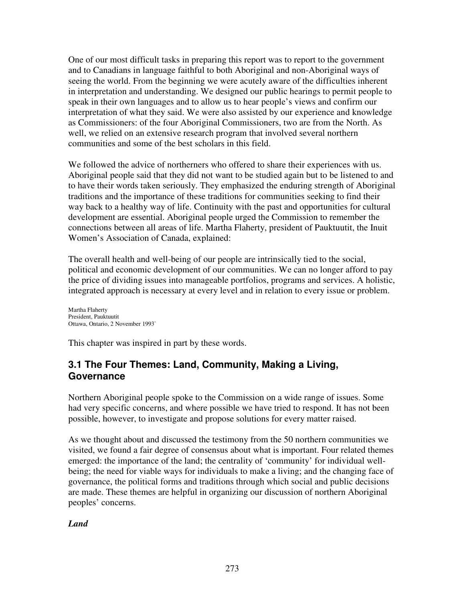One of our most difficult tasks in preparing this report was to report to the government and to Canadians in language faithful to both Aboriginal and non-Aboriginal ways of seeing the world. From the beginning we were acutely aware of the difficulties inherent in interpretation and understanding. We designed our public hearings to permit people to speak in their own languages and to allow us to hear people's views and confirm our interpretation of what they said. We were also assisted by our experience and knowledge as Commissioners: of the four Aboriginal Commissioners, two are from the North. As well, we relied on an extensive research program that involved several northern communities and some of the best scholars in this field.

We followed the advice of northerners who offered to share their experiences with us. Aboriginal people said that they did not want to be studied again but to be listened to and to have their words taken seriously. They emphasized the enduring strength of Aboriginal traditions and the importance of these traditions for communities seeking to find their way back to a healthy way of life. Continuity with the past and opportunities for cultural development are essential. Aboriginal people urged the Commission to remember the connections between all areas of life. Martha Flaherty, president of Pauktuutit, the Inuit Women's Association of Canada, explained:

The overall health and well-being of our people are intrinsically tied to the social, political and economic development of our communities. We can no longer afford to pay the price of dividing issues into manageable portfolios, programs and services. A holistic, integrated approach is necessary at every level and in relation to every issue or problem.

Martha Flaherty President, Pauktuutit Ottawa, Ontario, 2 November 1993 \*

This chapter was inspired in part by these words.

# **3.1 The Four Themes: Land, Community, Making a Living, Governance**

Northern Aboriginal people spoke to the Commission on a wide range of issues. Some had very specific concerns, and where possible we have tried to respond. It has not been possible, however, to investigate and propose solutions for every matter raised.

As we thought about and discussed the testimony from the 50 northern communities we visited, we found a fair degree of consensus about what is important. Four related themes emerged: the importance of the land; the centrality of 'community' for individual wellbeing; the need for viable ways for individuals to make a living; and the changing face of governance, the political forms and traditions through which social and public decisions are made. These themes are helpful in organizing our discussion of northern Aboriginal peoples' concerns.

*Land*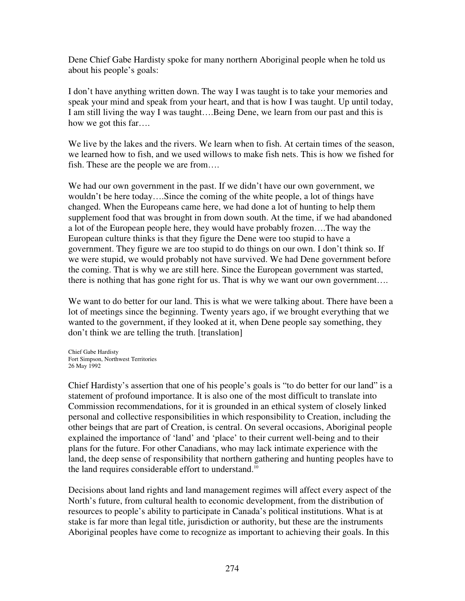Dene Chief Gabe Hardisty spoke for many northern Aboriginal people when he told us about his people's goals:

I don't have anything written down. The way I was taught is to take your memories and speak your mind and speak from your heart, and that is how I was taught. Up until today, I am still living the way I was taught….Being Dene, we learn from our past and this is how we got this far….

We live by the lakes and the rivers. We learn when to fish. At certain times of the season, we learned how to fish, and we used willows to make fish nets. This is how we fished for fish. These are the people we are from….

We had our own government in the past. If we didn't have our own government, we wouldn't be here today….Since the coming of the white people, a lot of things have changed. When the Europeans came here, we had done a lot of hunting to help them supplement food that was brought in from down south. At the time, if we had abandoned a lot of the European people here, they would have probably frozen….The way the European culture thinks is that they figure the Dene were too stupid to have a government. They figure we are too stupid to do things on our own. I don't think so. If we were stupid, we would probably not have survived. We had Dene government before the coming. That is why we are still here. Since the European government was started, there is nothing that has gone right for us. That is why we want our own government….

We want to do better for our land. This is what we were talking about. There have been a lot of meetings since the beginning. Twenty years ago, if we brought everything that we wanted to the government, if they looked at it, when Dene people say something, they don't think we are telling the truth. [translation]

Chief Gabe Hardisty Fort Simpson, Northwest Territories 26 May 1992

Chief Hardisty's assertion that one of his people's goals is "to do better for our land" is a statement of profound importance. It is also one of the most difficult to translate into Commission recommendations, for it is grounded in an ethical system of closely linked personal and collective responsibilities in which responsibility to Creation, including the other beings that are part of Creation, is central. On several occasions, Aboriginal people explained the importance of 'land' and 'place' to their current well-being and to their plans for the future. For other Canadians, who may lack intimate experience with the land, the deep sense of responsibility that northern gathering and hunting peoples have to the land requires considerable effort to understand.<sup>10</sup>

Decisions about land rights and land management regimes will affect every aspect of the North's future, from cultural health to economic development, from the distribution of resources to people's ability to participate in Canada's political institutions. What is at stake is far more than legal title, jurisdiction or authority, but these are the instruments Aboriginal peoples have come to recognize as important to achieving their goals. In this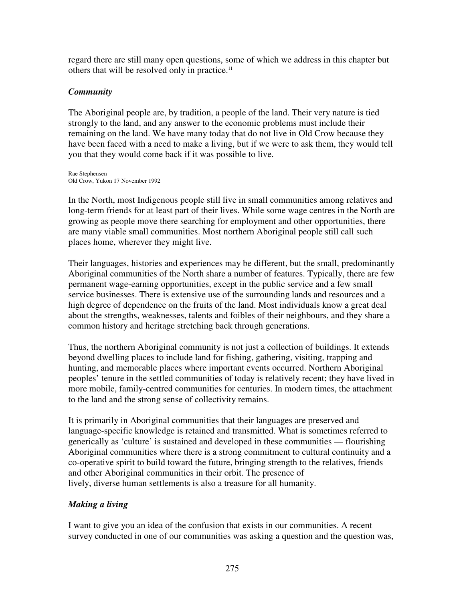regard there are still many open questions, some of which we address in this chapter but others that will be resolved only in practice.<sup>11</sup>

## *Community*

The Aboriginal people are, by tradition, a people of the land. Their very nature is tied strongly to the land, and any answer to the economic problems must include their remaining on the land. We have many today that do not live in Old Crow because they have been faced with a need to make a living, but if we were to ask them, they would tell you that they would come back if it was possible to live.

Rae Stephensen Old Crow, Yukon 17 November 1992

In the North, most Indigenous people still live in small communities among relatives and long-term friends for at least part of their lives. While some wage centres in the North are growing as people move there searching for employment and other opportunities, there are many viable small communities. Most northern Aboriginal people still call such places home, wherever they might live.

Their languages, histories and experiences may be different, but the small, predominantly Aboriginal communities of the North share a number of features. Typically, there are few permanent wage-earning opportunities, except in the public service and a few small service businesses. There is extensive use of the surrounding lands and resources and a high degree of dependence on the fruits of the land. Most individuals know a great deal about the strengths, weaknesses, talents and foibles of their neighbours, and they share a common history and heritage stretching back through generations.

Thus, the northern Aboriginal community is not just a collection of buildings. It extends beyond dwelling places to include land for fishing, gathering, visiting, trapping and hunting, and memorable places where important events occurred. Northern Aboriginal peoples' tenure in the settled communities of today is relatively recent; they have lived in more mobile, family-centred communities for centuries. In modern times, the attachment to the land and the strong sense of collectivity remains.

It is primarily in Aboriginal communities that their languages are preserved and language-specific knowledge is retained and transmitted. What is sometimes referred to generically as 'culture' is sustained and developed in these communities — flourishing Aboriginal communities where there is a strong commitment to cultural continuity and a co-operative spirit to build toward the future, bringing strength to the relatives, friends and other Aboriginal communities in their orbit. The presence of lively, diverse human settlements is also a treasure for all humanity.

## *Making a living*

I want to give you an idea of the confusion that exists in our communities. A recent survey conducted in one of our communities was asking a question and the question was,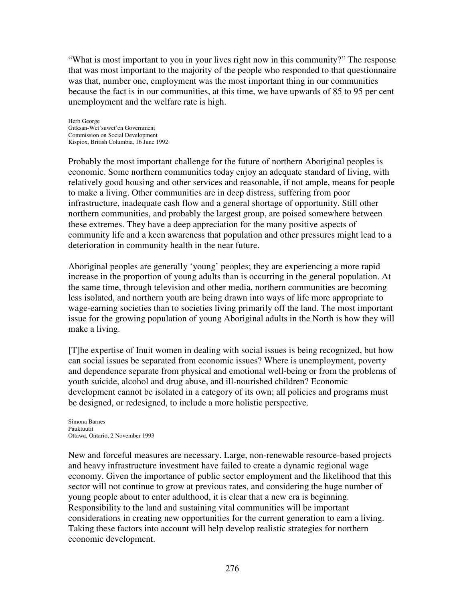"What is most important to you in your lives right now in this community?" The response that was most important to the majority of the people who responded to that questionnaire was that, number one, employment was the most important thing in our communities because the fact is in our communities, at this time, we have upwards of 85 to 95 per cent unemployment and the welfare rate is high.

Herb George Gitksan-Wet'suwet'en Government Commission on Social Development Kispiox, British Columbia, 16 June 1992

Probably the most important challenge for the future of northern Aboriginal peoples is economic. Some northern communities today enjoy an adequate standard of living, with relatively good housing and other services and reasonable, if not ample, means for people to make a living. Other communities are in deep distress, suffering from poor infrastructure, inadequate cash flow and a general shortage of opportunity. Still other northern communities, and probably the largest group, are poised somewhere between these extremes. They have a deep appreciation for the many positive aspects of community life and a keen awareness that population and other pressures might lead to a deterioration in community health in the near future.

Aboriginal peoples are generally 'young' peoples; they are experiencing a more rapid increase in the proportion of young adults than is occurring in the general population. At the same time, through television and other media, northern communities are becoming less isolated, and northern youth are being drawn into ways of life more appropriate to wage-earning societies than to societies living primarily off the land. The most important issue for the growing population of young Aboriginal adults in the North is how they will make a living.

[T]he expertise of Inuit women in dealing with social issues is being recognized, but how can social issues be separated from economic issues? Where is unemployment, poverty and dependence separate from physical and emotional well-being or from the problems of youth suicide, alcohol and drug abuse, and ill-nourished children? Economic development cannot be isolated in a category of its own; all policies and programs must be designed, or redesigned, to include a more holistic perspective.

Simona Barnes Pauktuutit Ottawa, Ontario, 2 November 1993

New and forceful measures are necessary. Large, non-renewable resource-based projects and heavy infrastructure investment have failed to create a dynamic regional wage economy. Given the importance of public sector employment and the likelihood that this sector will not continue to grow at previous rates, and considering the huge number of young people about to enter adulthood, it is clear that a new era is beginning. Responsibility to the land and sustaining vital communities will be important considerations in creating new opportunities for the current generation to earn a living. Taking these factors into account will help develop realistic strategies for northern economic development.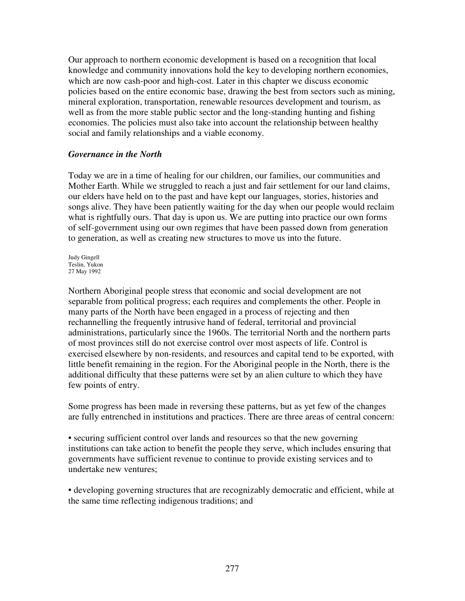Our approach to northern economic development is based on a recognition that local knowledge and community innovations hold the key to developing northern economies, which are now cash-poor and high-cost. Later in this chapter we discuss economic policies based on the entire economic base, drawing the best from sectors such as mining, mineral exploration, transportation, renewable resources development and tourism, as well as from the more stable public sector and the long-standing hunting and fishing economies. The policies must also take into account the relationship between healthy social and family relationships and a viable economy.

#### *Governance in the North*

Today we are in a time of healing for our children, our families, our communities and Mother Earth. While we struggled to reach a just and fair settlement for our land claims, our elders have held on to the past and have kept our languages, stories, histories and songs alive. They have been patiently waiting for the day when our people would reclaim what is rightfully ours. That day is upon us. We are putting into practice our own forms of self-government using our own regimes that have been passed down from generation to generation, as well as creating new structures to move us into the future.

Judy Gingell Teslin, Yukon 27 May 1992

Northern Aboriginal people stress that economic and social development are not separable from political progress; each requires and complements the other. People in many parts of the North have been engaged in a process of rejecting and then rechannelling the frequently intrusive hand of federal, territorial and provincial administrations, particularly since the 1960s. The territorial North and the northern parts of most provinces still do not exercise control over most aspects of life. Control is exercised elsewhere by non-residents, and resources and capital tend to be exported, with little benefit remaining in the region. For the Aboriginal people in the North, there is the additional difficulty that these patterns were set by an alien culture to which they have few points of entry.

Some progress has been made in reversing these patterns, but as yet few of the changes are fully entrenched in institutions and practices. There are three areas of central concern:

• securing sufficient control over lands and resources so that the new governing institutions can take action to benefit the people they serve, which includes ensuring that governments have sufficient revenue to continue to provide existing services and to undertake new ventures;

• developing governing structures that are recognizably democratic and efficient, while at the same time reflecting indigenous traditions; and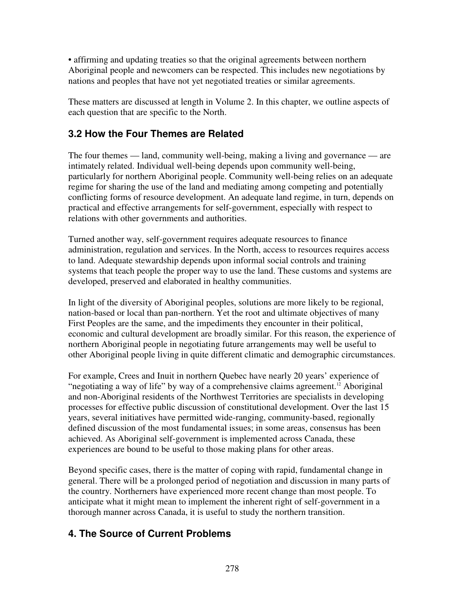• affirming and updating treaties so that the original agreements between northern Aboriginal people and newcomers can be respected. This includes new negotiations by nations and peoples that have not yet negotiated treaties or similar agreements.

These matters are discussed at length in Volume 2. In this chapter, we outline aspects of each question that are specific to the North.

# **3.2 How the Four Themes are Related**

The four themes — land, community well-being, making a living and governance — are intimately related. Individual well-being depends upon community well-being, particularly for northern Aboriginal people. Community well-being relies on an adequate regime for sharing the use of the land and mediating among competing and potentially conflicting forms of resource development. An adequate land regime, in turn, depends on practical and effective arrangements for self-government, especially with respect to relations with other governments and authorities.

Turned another way, self-government requires adequate resources to finance administration, regulation and services. In the North, access to resources requires access to land. Adequate stewardship depends upon informal social controls and training systems that teach people the proper way to use the land. These customs and systems are developed, preserved and elaborated in healthy communities.

In light of the diversity of Aboriginal peoples, solutions are more likely to be regional, nation-based or local than pan-northern. Yet the root and ultimate objectives of many First Peoples are the same, and the impediments they encounter in their political, economic and cultural development are broadly similar. For this reason, the experience of northern Aboriginal people in negotiating future arrangements may well be useful to other Aboriginal people living in quite different climatic and demographic circumstances.

For example, Crees and Inuit in northern Quebec have nearly 20 years' experience of "negotiating a way of life" by way of a comprehensive claims agreement. <sup>12</sup> Aboriginal and non-Aboriginal residents of the Northwest Territories are specialists in developing processes for effective public discussion of constitutional development. Over the last 15 years, several initiatives have permitted wide-ranging, community-based, regionally defined discussion of the most fundamental issues; in some areas, consensus has been achieved. As Aboriginal self-government is implemented across Canada, these experiences are bound to be useful to those making plans for other areas.

Beyond specific cases, there is the matter of coping with rapid, fundamental change in general. There will be a prolonged period of negotiation and discussion in many parts of the country. Northerners have experienced more recent change than most people. To anticipate what it might mean to implement the inherent right of self-government in a thorough manner across Canada, it is useful to study the northern transition.

# **4. The Source of Current Problems**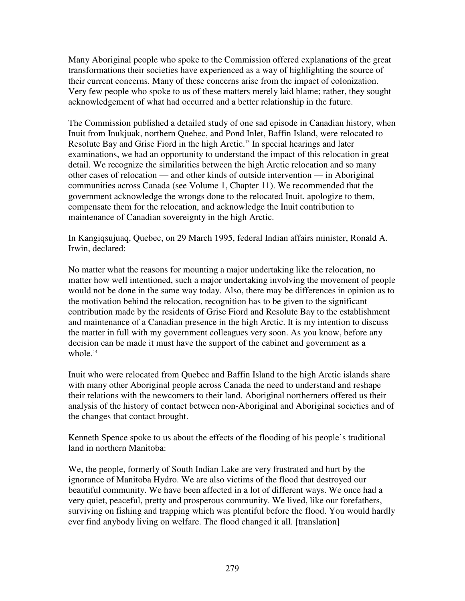Many Aboriginal people who spoke to the Commission offered explanations of the great transformations their societies have experienced as a way of highlighting the source of their current concerns. Many of these concerns arise from the impact of colonization. Very few people who spoke to us of these matters merely laid blame; rather, they sought acknowledgement of what had occurred and a better relationship in the future.

The Commission published a detailed study of one sad episode in Canadian history, when Inuit from Inukjuak, northern Quebec, and Pond Inlet, Baffin Island, were relocated to Resolute Bay and Grise Fiord in the high Arctic. 13 In special hearings and later examinations, we had an opportunity to understand the impact of this relocation in great detail. We recognize the similarities between the high Arctic relocation and so many other cases of relocation — and other kinds of outside intervention — in Aboriginal communities across Canada (see Volume 1, Chapter 11). We recommended that the government acknowledge the wrongs done to the relocated Inuit, apologize to them, compensate them for the relocation, and acknowledge the Inuit contribution to maintenance of Canadian sovereignty in the high Arctic.

In Kangiqsujuaq, Quebec, on 29 March 1995, federal Indian affairs minister, Ronald A. Irwin, declared:

No matter what the reasons for mounting a major undertaking like the relocation, no matter how well intentioned, such a major undertaking involving the movement of people would not be done in the same way today. Also, there may be differences in opinion as to the motivation behind the relocation, recognition has to be given to the significant contribution made by the residents of Grise Fiord and Resolute Bay to the establishment and maintenance of a Canadian presence in the high Arctic. It is my intention to discuss the matter in full with my government colleagues very soon. As you know, before any decision can be made it must have the support of the cabinet and government as a whole. 14

Inuit who were relocated from Quebec and Baffin Island to the high Arctic islands share with many other Aboriginal people across Canada the need to understand and reshape their relations with the newcomers to their land. Aboriginal northerners offered us their analysis of the history of contact between non-Aboriginal and Aboriginal societies and of the changes that contact brought.

Kenneth Spence spoke to us about the effects of the flooding of his people's traditional land in northern Manitoba:

We, the people, formerly of South Indian Lake are very frustrated and hurt by the ignorance of Manitoba Hydro. We are also victims of the flood that destroyed our beautiful community. We have been affected in a lot of different ways. We once had a very quiet, peaceful, pretty and prosperous community. We lived, like our forefathers, surviving on fishing and trapping which was plentiful before the flood. You would hardly ever find anybody living on welfare. The flood changed it all. [translation]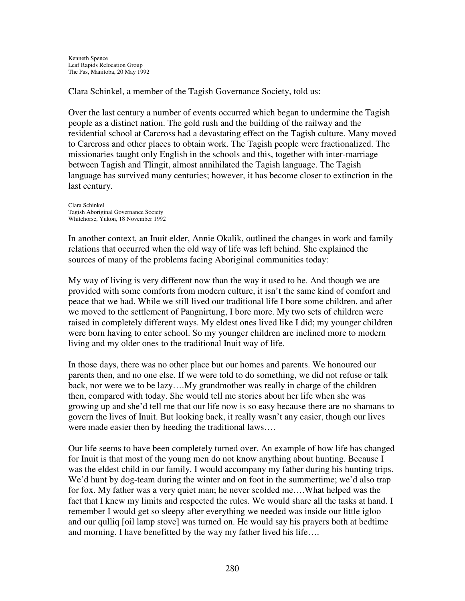Clara Schinkel, a member of the Tagish Governance Society, told us:

Over the last century a number of events occurred which began to undermine the Tagish people as a distinct nation. The gold rush and the building of the railway and the residential school at Carcross had a devastating effect on the Tagish culture. Many moved to Carcross and other places to obtain work. The Tagish people were fractionalized. The missionaries taught only English in the schools and this, together with inter-marriage between Tagish and Tlingit, almost annihilated the Tagish language. The Tagish language has survived many centuries; however, it has become closer to extinction in the last century.

Clara Schinkel Tagish Aboriginal Governance Society Whitehorse, Yukon, 18 November 1992

In another context, an Inuit elder, Annie Okalik, outlined the changes in work and family relations that occurred when the old way of life was left behind. She explained the sources of many of the problems facing Aboriginal communities today:

My way of living is very different now than the way it used to be. And though we are provided with some comforts from modern culture, it isn't the same kind of comfort and peace that we had. While we still lived our traditional life I bore some children, and after we moved to the settlement of Pangnirtung, I bore more. My two sets of children were raised in completely different ways. My eldest ones lived like I did; my younger children were born having to enter school. So my younger children are inclined more to modern living and my older ones to the traditional Inuit way of life.

In those days, there was no other place but our homes and parents. We honoured our parents then, and no one else. If we were told to do something, we did not refuse or talk back, nor were we to be lazy….My grandmother was really in charge of the children then, compared with today. She would tell me stories about her life when she was growing up and she'd tell me that our life now is so easy because there are no shamans to govern the lives of Inuit. But looking back, it really wasn't any easier, though our lives were made easier then by heeding the traditional laws….

Our life seems to have been completely turned over. An example of how life has changed for Inuit is that most of the young men do not know anything about hunting. Because I was the eldest child in our family, I would accompany my father during his hunting trips. We'd hunt by dog-team during the winter and on foot in the summertime; we'd also trap for fox. My father was a very quiet man; he never scolded me….What helped was the fact that I knew my limits and respected the rules. We would share all the tasks at hand. I remember I would get so sleepy after everything we needed was inside our little igloo and our qulliq [oil lamp stove] was turned on. He would say his prayers both at bedtime and morning. I have benefitted by the way my father lived his life….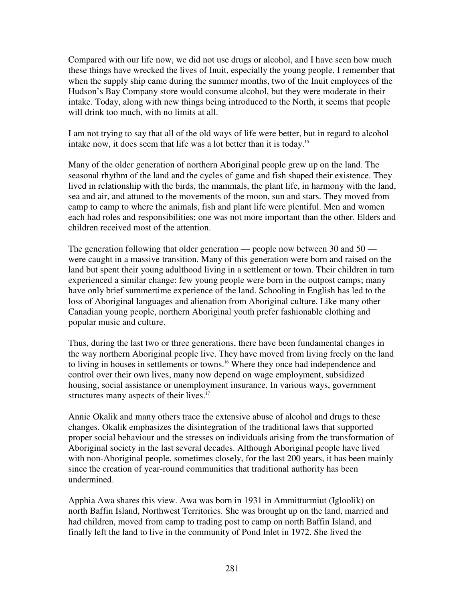Compared with our life now, we did not use drugs or alcohol, and I have seen how much these things have wrecked the lives of Inuit, especially the young people. I remember that when the supply ship came during the summer months, two of the Inuit employees of the Hudson's Bay Company store would consume alcohol, but they were moderate in their intake. Today, along with new things being introduced to the North, it seems that people will drink too much, with no limits at all.

I am not trying to say that all of the old ways of life were better, but in regard to alcohol intake now, it does seem that life was a lot better than it is today.<sup>15</sup>

Many of the older generation of northern Aboriginal people grew up on the land. The seasonal rhythm of the land and the cycles of game and fish shaped their existence. They lived in relationship with the birds, the mammals, the plant life, in harmony with the land, sea and air, and attuned to the movements of the moon, sun and stars. They moved from camp to camp to where the animals, fish and plant life were plentiful. Men and women each had roles and responsibilities; one was not more important than the other. Elders and children received most of the attention.

The generation following that older generation — people now between 30 and 50 were caught in a massive transition. Many of this generation were born and raised on the land but spent their young adulthood living in a settlement or town. Their children in turn experienced a similar change: few young people were born in the outpost camps; many have only brief summertime experience of the land. Schooling in English has led to the loss of Aboriginal languages and alienation from Aboriginal culture. Like many other Canadian young people, northern Aboriginal youth prefer fashionable clothing and popular music and culture.

Thus, during the last two or three generations, there have been fundamental changes in the way northern Aboriginal people live. They have moved from living freely on the land to living in houses in settlements or towns. <sup>16</sup> Where they once had independence and control over their own lives, many now depend on wage employment, subsidized housing, social assistance or unemployment insurance. In various ways, government structures many aspects of their lives.<sup>17</sup>

Annie Okalik and many others trace the extensive abuse of alcohol and drugs to these changes. Okalik emphasizes the disintegration of the traditional laws that supported proper social behaviour and the stresses on individuals arising from the transformation of Aboriginal society in the last several decades. Although Aboriginal people have lived with non-Aboriginal people, sometimes closely, for the last 200 years, it has been mainly since the creation of year-round communities that traditional authority has been undermined.

Apphia Awa shares this view. Awa was born in 1931 in Ammitturmiut (Igloolik) on north Baffin Island, Northwest Territories. She was brought up on the land, married and had children, moved from camp to trading post to camp on north Baffin Island, and finally left the land to live in the community of Pond Inlet in 1972. She lived the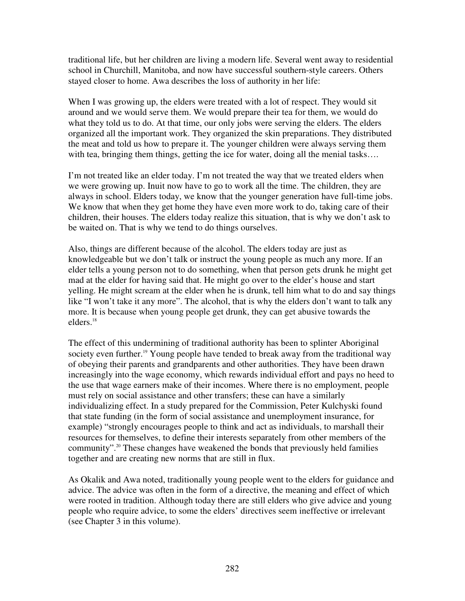traditional life, but her children are living a modern life. Several went away to residential school in Churchill, Manitoba, and now have successful southern-style careers. Others stayed closer to home. Awa describes the loss of authority in her life:

When I was growing up, the elders were treated with a lot of respect. They would sit around and we would serve them. We would prepare their tea for them, we would do what they told us to do. At that time, our only jobs were serving the elders. The elders organized all the important work. They organized the skin preparations. They distributed the meat and told us how to prepare it. The younger children were always serving them with tea, bringing them things, getting the ice for water, doing all the menial tasks....

I'm not treated like an elder today. I'm not treated the way that we treated elders when we were growing up. Inuit now have to go to work all the time. The children, they are always in school. Elders today, we know that the younger generation have full-time jobs. We know that when they get home they have even more work to do, taking care of their children, their houses. The elders today realize this situation, that is why we don't ask to be waited on. That is why we tend to do things ourselves.

Also, things are different because of the alcohol. The elders today are just as knowledgeable but we don't talk or instruct the young people as much any more. If an elder tells a young person not to do something, when that person gets drunk he might get mad at the elder for having said that. He might go over to the elder's house and start yelling. He might scream at the elder when he is drunk, tell him what to do and say things like "I won't take it any more". The alcohol, that is why the elders don't want to talk any more. It is because when young people get drunk, they can get abusive towards the elders. 18

The effect of this undermining of traditional authority has been to splinter Aboriginal society even further.<sup>19</sup> Young people have tended to break away from the traditional way of obeying their parents and grandparents and other authorities. They have been drawn increasingly into the wage economy, which rewards individual effort and pays no heed to the use that wage earners make of their incomes. Where there is no employment, people must rely on social assistance and other transfers; these can have a similarly individualizing effect. In a study prepared for the Commission, Peter Kulchyski found that state funding (in the form of social assistance and unemployment insurance, for example) "strongly encourages people to think and act as individuals, to marshall their resources for themselves, to define their interests separately from other members of the community". <sup>20</sup> These changes have weakened the bonds that previously held families together and are creating new norms that are still in flux.

As Okalik and Awa noted, traditionally young people went to the elders for guidance and advice. The advice was often in the form of a directive, the meaning and effect of which were rooted in tradition. Although today there are still elders who give advice and young people who require advice, to some the elders' directives seem ineffective or irrelevant (see Chapter 3 in this volume).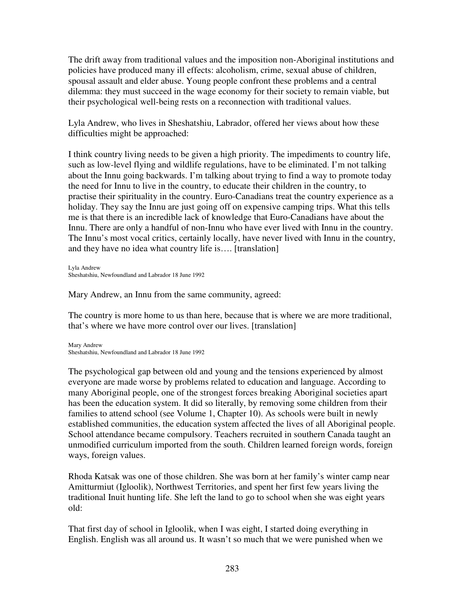The drift away from traditional values and the imposition non-Aboriginal institutions and policies have produced many ill effects: alcoholism, crime, sexual abuse of children, spousal assault and elder abuse. Young people confront these problems and a central dilemma: they must succeed in the wage economy for their society to remain viable, but their psychological well-being rests on a reconnection with traditional values.

Lyla Andrew, who lives in Sheshatshiu, Labrador, offered her views about how these difficulties might be approached:

I think country living needs to be given a high priority. The impediments to country life, such as low-level flying and wildlife regulations, have to be eliminated. I'm not talking about the Innu going backwards. I'm talking about trying to find a way to promote today the need for Innu to live in the country, to educate their children in the country, to practise their spirituality in the country. Euro-Canadians treat the country experience as a holiday. They say the Innu are just going off on expensive camping trips. What this tells me is that there is an incredible lack of knowledge that Euro-Canadians have about the Innu. There are only a handful of non-Innu who have ever lived with Innu in the country. The Innu's most vocal critics, certainly locally, have never lived with Innu in the country, and they have no idea what country life is…. [translation]

Lyla Andrew Sheshatshiu, Newfoundland and Labrador 18 June 1992

Mary Andrew, an Innu from the same community, agreed:

The country is more home to us than here, because that is where we are more traditional, that's where we have more control over our lives. [translation]

Mary Andrew Sheshatshiu, Newfoundland and Labrador 18 June 1992

The psychological gap between old and young and the tensions experienced by almost everyone are made worse by problems related to education and language. According to many Aboriginal people, one of the strongest forces breaking Aboriginal societies apart has been the education system. It did so literally, by removing some children from their families to attend school (see Volume 1, Chapter 10). As schools were built in newly established communities, the education system affected the lives of all Aboriginal people. School attendance became compulsory. Teachers recruited in southern Canada taught an unmodified curriculum imported from the south. Children learned foreign words, foreign ways, foreign values.

Rhoda Katsak was one of those children. She was born at her family's winter camp near Amitturmiut (Igloolik), Northwest Territories, and spent her first few years living the traditional Inuit hunting life. She left the land to go to school when she was eight years old:

That first day of school in Igloolik, when I was eight, I started doing everything in English. English was all around us. It wasn't so much that we were punished when we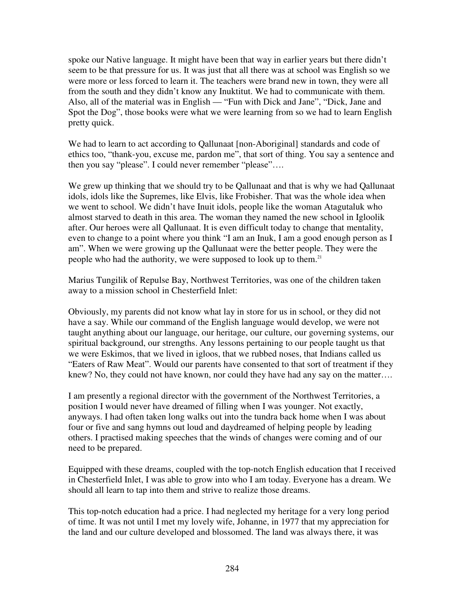spoke our Native language. It might have been that way in earlier years but there didn't seem to be that pressure for us. It was just that all there was at school was English so we were more or less forced to learn it. The teachers were brand new in town, they were all from the south and they didn't know any Inuktitut. We had to communicate with them. Also, all of the material was in English — "Fun with Dick and Jane", "Dick, Jane and Spot the Dog", those books were what we were learning from so we had to learn English pretty quick.

We had to learn to act according to Qallunaat [non-Aboriginal] standards and code of ethics too, "thank-you, excuse me, pardon me", that sort of thing. You say a sentence and then you say "please". I could never remember "please"….

We grew up thinking that we should try to be Qallunaat and that is why we had Qallunaat idols, idols like the Supremes, like Elvis, like Frobisher. That was the whole idea when we went to school. We didn't have Inuit idols, people like the woman Atagutaluk who almost starved to death in this area. The woman they named the new school in Igloolik after. Our heroes were all Qallunaat. It is even difficult today to change that mentality, even to change to a point where you think "I am an Inuk, I am a good enough person as I am". When we were growing up the Qallunaat were the better people. They were the people who had the authority, we were supposed to look up to them.<sup>21</sup>

Marius Tungilik of Repulse Bay, Northwest Territories, was one of the children taken away to a mission school in Chesterfield Inlet:

Obviously, my parents did not know what lay in store for us in school, or they did not have a say. While our command of the English language would develop, we were not taught anything about our language, our heritage, our culture, our governing systems, our spiritual background, our strengths. Any lessons pertaining to our people taught us that we were Eskimos, that we lived in igloos, that we rubbed noses, that Indians called us "Eaters of Raw Meat". Would our parents have consented to that sort of treatment if they knew? No, they could not have known, nor could they have had any say on the matter....

I am presently a regional director with the government of the Northwest Territories, a position I would never have dreamed of filling when I was younger. Not exactly, anyways. I had often taken long walks out into the tundra back home when I was about four or five and sang hymns out loud and daydreamed of helping people by leading others. I practised making speeches that the winds of changes were coming and of our need to be prepared.

Equipped with these dreams, coupled with the top-notch English education that I received in Chesterfield Inlet, I was able to grow into who I am today. Everyone has a dream. We should all learn to tap into them and strive to realize those dreams.

This top-notch education had a price. I had neglected my heritage for a very long period of time. It was not until I met my lovely wife, Johanne, in 1977 that my appreciation for the land and our culture developed and blossomed. The land was always there, it was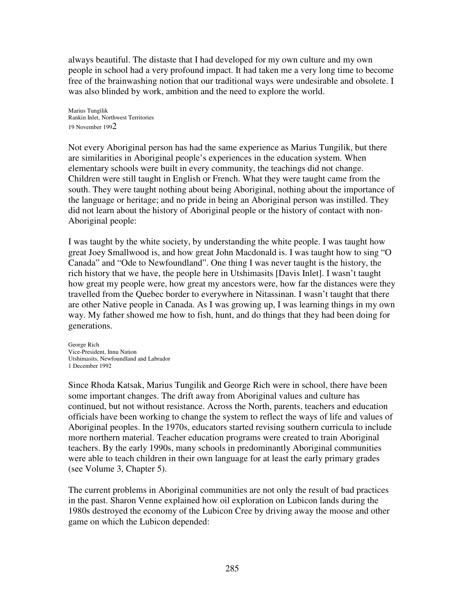always beautiful. The distaste that I had developed for my own culture and my own people in school had a very profound impact. It had taken me a very long time to become free of the brainwashing notion that our traditional ways were undesirable and obsolete. I was also blinded by work, ambition and the need to explore the world.

Marius Tungilik Rankin Inlet, Northwest Territories <sup>19</sup> November <sup>199</sup>2

Not every Aboriginal person has had the same experience as Marius Tungilik, but there are similarities in Aboriginal people's experiences in the education system. When elementary schools were built in every community, the teachings did not change. Children were still taught in English or French. What they were taught came from the south. They were taught nothing about being Aboriginal, nothing about the importance of the language or heritage; and no pride in being an Aboriginal person was instilled. They did not learn about the history of Aboriginal people or the history of contact with non-Aboriginal people:

I was taught by the white society, by understanding the white people. I was taught how great Joey Smallwood is, and how great John Macdonald is. I was taught how to sing "O Canada" and "Ode to Newfoundland". One thing I was never taught is the history, the rich history that we have, the people here in Utshimasits [Davis Inlet]. I wasn't taught how great my people were, how great my ancestors were, how far the distances were they travelled from the Quebec border to everywhere in Nitassinan. I wasn't taught that there are other Native people in Canada. As I was growing up, I was learning things in my own way. My father showed me how to fish, hunt, and do things that they had been doing for generations.

George Rich Vice-President, Innu Nation Utshimasits, Newfoundland and Labrador 1 December 1992

Since Rhoda Katsak, Marius Tungilik and George Rich were in school, there have been some important changes. The drift away from Aboriginal values and culture has continued, but not without resistance. Across the North, parents, teachers and education officials have been working to change the system to reflect the ways of life and values of Aboriginal peoples. In the 1970s, educators started revising southern curricula to include more northern material. Teacher education programs were created to train Aboriginal teachers. By the early 1990s, many schools in predominantly Aboriginal communities were able to teach children in their own language for at least the early primary grades (see Volume 3, Chapter 5).

The current problems in Aboriginal communities are not only the result of bad practices in the past. Sharon Venne explained how oil exploration on Lubicon lands during the 1980s destroyed the economy of the Lubicon Cree by driving away the moose and other game on which the Lubicon depended: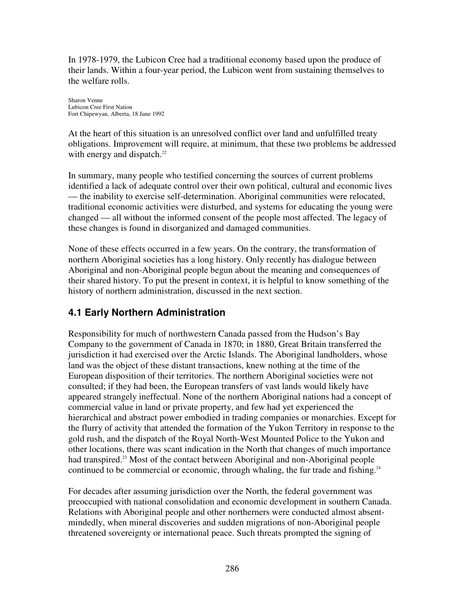In 1978-1979, the Lubicon Cree had a traditional economy based upon the produce of their lands. Within a four-year period, the Lubicon went from sustaining themselves to the welfare rolls.

Sharon Venne Lubicon Cree First Nation Fort Chipewyan, Alberta, 18 June 1992

At the heart of this situation is an unresolved conflict over land and unfulfilled treaty obligations. Improvement will require, at minimum, that these two problems be addressed with energy and dispatch.<sup>22</sup>

In summary, many people who testified concerning the sources of current problems identified a lack of adequate control over their own political, cultural and economic lives — the inability to exercise self-determination. Aboriginal communities were relocated, traditional economic activities were disturbed, and systems for educating the young were changed — all without the informed consent of the people most affected. The legacy of these changes is found in disorganized and damaged communities.

None of these effects occurred in a few years. On the contrary, the transformation of northern Aboriginal societies has a long history. Only recently has dialogue between Aboriginal and non-Aboriginal people begun about the meaning and consequences of their shared history. To put the present in context, it is helpful to know something of the history of northern administration, discussed in the next section.

# **4.1 Early Northern Administration**

Responsibility for much of northwestern Canada passed from the Hudson's Bay Company to the government of Canada in 1870; in 1880, Great Britain transferred the jurisdiction it had exercised over the Arctic Islands. The Aboriginal landholders, whose land was the object of these distant transactions, knew nothing at the time of the European disposition of their territories. The northern Aboriginal societies were not consulted; if they had been, the European transfers of vast lands would likely have appeared strangely ineffectual. None of the northern Aboriginal nations had a concept of commercial value in land or private property, and few had yet experienced the hierarchical and abstract power embodied in trading companies or monarchies. Except for the flurry of activity that attended the formation of the Yukon Territory in response to the gold rush, and the dispatch of the Royal North-West Mounted Police to the Yukon and other locations, there was scant indication in the North that changes of much importance had transpired.<sup>23</sup> Most of the contact between Aboriginal and non-Aboriginal people continued to be commercial or economic, through whaling, the fur trade and fishing.<sup>24</sup>

For decades after assuming jurisdiction over the North, the federal government was preoccupied with national consolidation and economic development in southern Canada. Relations with Aboriginal people and other northerners were conducted almost absentmindedly, when mineral discoveries and sudden migrations of non-Aboriginal people threatened sovereignty or international peace. Such threats prompted the signing of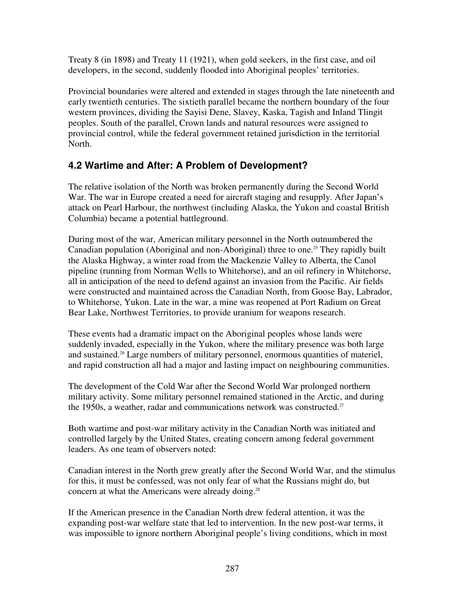Treaty 8 (in 1898) and Treaty 11 (1921), when gold seekers, in the first case, and oil developers, in the second, suddenly flooded into Aboriginal peoples' territories.

Provincial boundaries were altered and extended in stages through the late nineteenth and early twentieth centuries. The sixtieth parallel became the northern boundary of the four western provinces, dividing the Sayisi Dene, Slavey, Kaska, Tagish and Inland Tlingit peoples. South of the parallel, Crown lands and natural resources were assigned to provincial control, while the federal government retained jurisdiction in the territorial North.

# **4.2 Wartime and After: A Problem of Development?**

The relative isolation of the North was broken permanently during the Second World War. The war in Europe created a need for aircraft staging and resupply. After Japan's attack on Pearl Harbour, the northwest (including Alaska, the Yukon and coastal British Columbia) became a potential battleground.

During most of the war, American military personnel in the North outnumbered the Canadian population (Aboriginal and non-Aboriginal) three to one. <sup>25</sup> They rapidly built the Alaska Highway, a winter road from the Mackenzie Valley to Alberta, the Canol pipeline (running from Norman Wells to Whitehorse), and an oil refinery in Whitehorse, all in anticipation of the need to defend against an invasion from the Pacific. Air fields were constructed and maintained across the Canadian North, from Goose Bay, Labrador, to Whitehorse, Yukon. Late in the war, a mine was reopened at Port Radium on Great Bear Lake, Northwest Territories, to provide uranium for weapons research.

These events had a dramatic impact on the Aboriginal peoples whose lands were suddenly invaded, especially in the Yukon, where the military presence was both large and sustained. <sup>26</sup> Large numbers of military personnel, enormous quantities of materiel, and rapid construction all had a major and lasting impact on neighbouring communities.

The development of the Cold War after the Second World War prolonged northern military activity. Some military personnel remained stationed in the Arctic, and during the 1950s, a weather, radar and communications network was constructed.<sup>27</sup>

Both wartime and post-war military activity in the Canadian North was initiated and controlled largely by the United States, creating concern among federal government leaders. As one team of observers noted:

Canadian interest in the North grew greatly after the Second World War, and the stimulus for this, it must be confessed, was not only fear of what the Russians might do, but concern at what the Americans were already doing.<sup>28</sup>

If the American presence in the Canadian North drew federal attention, it was the expanding post-war welfare state that led to intervention. In the new post-war terms, it was impossible to ignore northern Aboriginal people's living conditions, which in most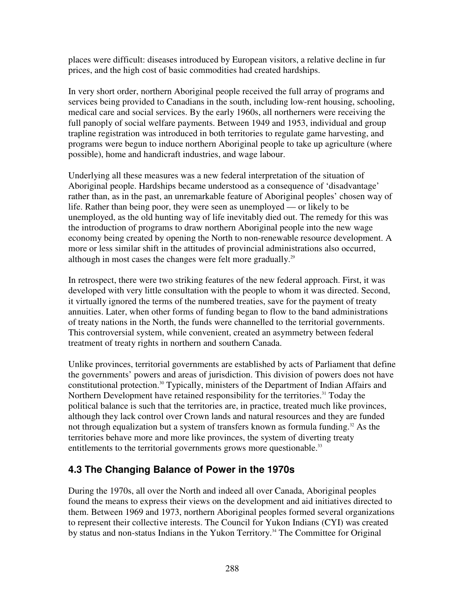places were difficult: diseases introduced by European visitors, a relative decline in fur prices, and the high cost of basic commodities had created hardships.

In very short order, northern Aboriginal people received the full array of programs and services being provided to Canadians in the south, including low-rent housing, schooling, medical care and social services. By the early 1960s, all northerners were receiving the full panoply of social welfare payments. Between 1949 and 1953, individual and group trapline registration was introduced in both territories to regulate game harvesting, and programs were begun to induce northern Aboriginal people to take up agriculture (where possible), home and handicraft industries, and wage labour.

Underlying all these measures was a new federal interpretation of the situation of Aboriginal people. Hardships became understood as a consequence of 'disadvantage' rather than, as in the past, an unremarkable feature of Aboriginal peoples' chosen way of life. Rather than being poor, they were seen as unemployed — or likely to be unemployed, as the old hunting way of life inevitably died out. The remedy for this was the introduction of programs to draw northern Aboriginal people into the new wage economy being created by opening the North to non-renewable resource development. A more or less similar shift in the attitudes of provincial administrations also occurred, although in most cases the changes were felt more gradually.<sup>29</sup>

In retrospect, there were two striking features of the new federal approach. First, it was developed with very little consultation with the people to whom it was directed. Second, it virtually ignored the terms of the numbered treaties, save for the payment of treaty annuities. Later, when other forms of funding began to flow to the band administrations of treaty nations in the North, the funds were channelled to the territorial governments. This controversial system, while convenient, created an asymmetry between federal treatment of treaty rights in northern and southern Canada.

Unlike provinces, territorial governments are established by acts of Parliament that define the governments' powers and areas of jurisdiction. This division of powers does not have constitutional protection. <sup>30</sup> Typically, ministers of the Department of Indian Affairs and Northern Development have retained responsibility for the territories.<sup>31</sup> Today the political balance is such that the territories are, in practice, treated much like provinces, although they lack control over Crown lands and natural resources and they are funded not through equalization but a system of transfers known as formula funding. <sup>32</sup> As the territories behave more and more like provinces, the system of diverting treaty entitlements to the territorial governments grows more questionable.<sup>33</sup>

## **4.3 The Changing Balance of Power in the 1970s**

During the 1970s, all over the North and indeed all over Canada, Aboriginal peoples found the means to express their views on the development and aid initiatives directed to them. Between 1969 and 1973, northern Aboriginal peoples formed several organizations to represent their collective interests. The Council for Yukon Indians (CYI) was created by status and non-status Indians in the Yukon Territory. <sup>34</sup> The Committee for Original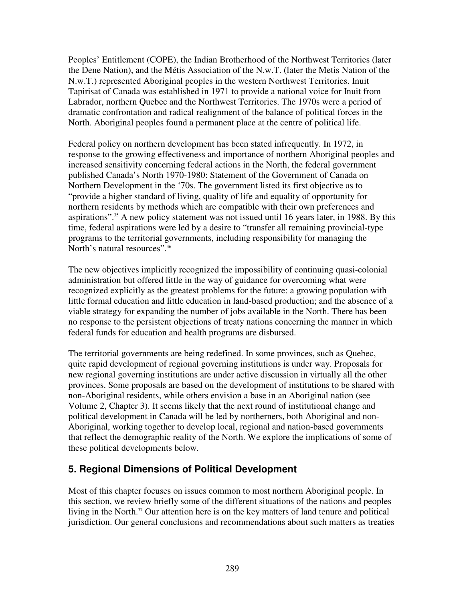Peoples' Entitlement (COPE), the Indian Brotherhood of the Northwest Territories (later the Dene Nation), and the Métis Association of the N.w.T. (later the Metis Nation of the N.w.T.) represented Aboriginal peoples in the western Northwest Territories. Inuit Tapirisat of Canada was established in 1971 to provide a national voice for Inuit from Labrador, northern Quebec and the Northwest Territories. The 1970s were a period of dramatic confrontation and radical realignment of the balance of political forces in the North. Aboriginal peoples found a permanent place at the centre of political life.

Federal policy on northern development has been stated infrequently. In 1972, in response to the growing effectiveness and importance of northern Aboriginal peoples and increased sensitivity concerning federal actions in the North, the federal government published Canada's North 1970-1980: Statement of the Government of Canada on Northern Development in the '70s. The government listed its first objective as to "provide a higher standard of living, quality of life and equality of opportunity for northern residents by methods which are compatible with their own preferences and aspirations". <sup>35</sup> A new policy statement was not issued until 16 years later, in 1988. By this time, federal aspirations were led by a desire to "transfer all remaining provincial-type programs to the territorial governments, including responsibility for managing the North's natural resources". 36

The new objectives implicitly recognized the impossibility of continuing quasi-colonial administration but offered little in the way of guidance for overcoming what were recognized explicitly as the greatest problems for the future: a growing population with little formal education and little education in land-based production; and the absence of a viable strategy for expanding the number of jobs available in the North. There has been no response to the persistent objections of treaty nations concerning the manner in which federal funds for education and health programs are disbursed.

The territorial governments are being redefined. In some provinces, such as Quebec, quite rapid development of regional governing institutions is under way. Proposals for new regional governing institutions are under active discussion in virtually all the other provinces. Some proposals are based on the development of institutions to be shared with non-Aboriginal residents, while others envision a base in an Aboriginal nation (see Volume 2, Chapter 3). It seems likely that the next round of institutional change and political development in Canada will be led by northerners, both Aboriginal and non-Aboriginal, working together to develop local, regional and nation-based governments that reflect the demographic reality of the North. We explore the implications of some of these political developments below.

# **5. Regional Dimensions of Political Development**

Most of this chapter focuses on issues common to most northern Aboriginal people. In this section, we review briefly some of the different situations of the nations and peoples living in the North. <sup>37</sup> Our attention here is on the key matters of land tenure and political jurisdiction. Our general conclusions and recommendations about such matters as treaties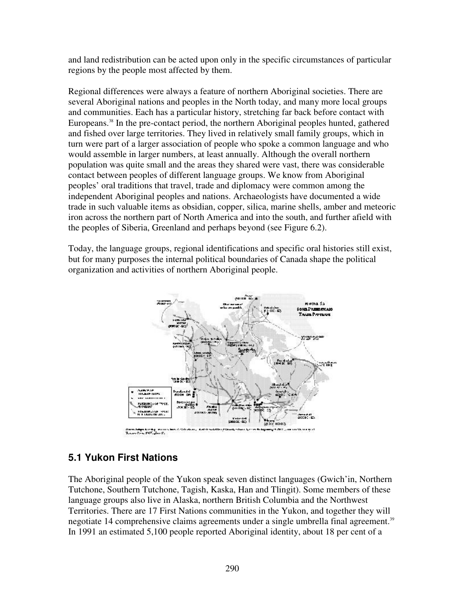and land redistribution can be acted upon only in the specific circumstances of particular regions by the people most affected by them.

Regional differences were always a feature of northern Aboriginal societies. There are several Aboriginal nations and peoples in the North today, and many more local groups and communities. Each has a particular history, stretching far back before contact with Europeans. 38 In the pre-contact period, the northern Aboriginal peoples hunted, gathered and fished over large territories. They lived in relatively small family groups, which in turn were part of a larger association of people who spoke a common language and who would assemble in larger numbers, at least annually. Although the overall northern population was quite small and the areas they shared were vast, there was considerable contact between peoples of different language groups. We know from Aboriginal peoples' oral traditions that travel, trade and diplomacy were common among the independent Aboriginal peoples and nations. Archaeologists have documented a wide trade in such valuable items as obsidian, copper, silica, marine shells, amber and meteoric iron across the northern part of North America and into the south, and further afield with the peoples of Siberia, Greenland and perhaps beyond (see Figure 6.2).

Today, the language groups, regional identifications and specific oral histories still exist, but for many purposes the internal political boundaries of Canada shape the political organization and activities of northern Aboriginal people.



## **5.1 Yukon First Nations**

The Aboriginal people of the Yukon speak seven distinct languages (Gwich'in, Northern Tutchone, Southern Tutchone, Tagish, Kaska, Han and Tlingit). Some members of these language groups also live in Alaska, northern British Columbia and the Northwest Territories. There are 17 First Nations communities in the Yukon, and together they will negotiate 14 comprehensive claims agreements under a single umbrella final agreement.<sup>39</sup> In 1991 an estimated 5,100 people reported Aboriginal identity, about 18 per cent of a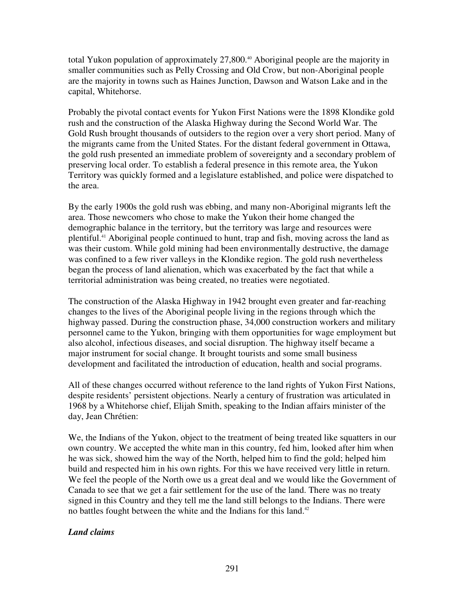total Yukon population of approximately 27,800. <sup>40</sup> Aboriginal people are the majority in smaller communities such as Pelly Crossing and Old Crow, but non-Aboriginal people are the majority in towns such as Haines Junction, Dawson and Watson Lake and in the capital, Whitehorse.

Probably the pivotal contact events for Yukon First Nations were the 1898 Klondike gold rush and the construction of the Alaska Highway during the Second World War. The Gold Rush brought thousands of outsiders to the region over a very short period. Many of the migrants came from the United States. For the distant federal government in Ottawa, the gold rush presented an immediate problem of sovereignty and a secondary problem of preserving local order. To establish a federal presence in this remote area, the Yukon Territory was quickly formed and a legislature established, and police were dispatched to the area.

By the early 1900s the gold rush was ebbing, and many non-Aboriginal migrants left the area. Those newcomers who chose to make the Yukon their home changed the demographic balance in the territory, but the territory was large and resources were plentiful. <sup>41</sup> Aboriginal people continued to hunt, trap and fish, moving across the land as was their custom. While gold mining had been environmentally destructive, the damage was confined to a few river valleys in the Klondike region. The gold rush nevertheless began the process of land alienation, which was exacerbated by the fact that while a territorial administration was being created, no treaties were negotiated.

The construction of the Alaska Highway in 1942 brought even greater and far-reaching changes to the lives of the Aboriginal people living in the regions through which the highway passed. During the construction phase, 34,000 construction workers and military personnel came to the Yukon, bringing with them opportunities for wage employment but also alcohol, infectious diseases, and social disruption. The highway itself became a major instrument for social change. It brought tourists and some small business development and facilitated the introduction of education, health and social programs.

All of these changes occurred without reference to the land rights of Yukon First Nations, despite residents' persistent objections. Nearly a century of frustration was articulated in 1968 by a Whitehorse chief, Elijah Smith, speaking to the Indian affairs minister of the day, Jean Chrétien:

We, the Indians of the Yukon, object to the treatment of being treated like squatters in our own country. We accepted the white man in this country, fed him, looked after him when he was sick, showed him the way of the North, helped him to find the gold; helped him build and respected him in his own rights. For this we have received very little in return. We feel the people of the North owe us a great deal and we would like the Government of Canada to see that we get a fair settlement for the use of the land. There was no treaty signed in this Country and they tell me the land still belongs to the Indians. There were no battles fought between the white and the Indians for this land.<sup>42</sup>

#### *Land claims*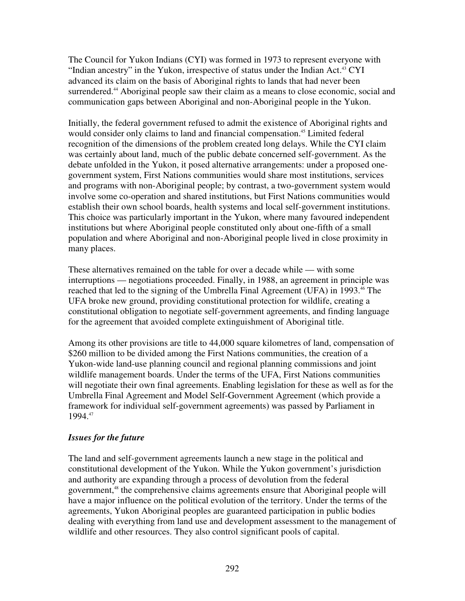The Council for Yukon Indians (CYI) was formed in 1973 to represent everyone with "Indian ancestry" in the Yukon, irrespective of status under the Indian Act. <sup>43</sup> CYI advanced its claim on the basis of Aboriginal rights to lands that had never been surrendered.<sup>44</sup> Aboriginal people saw their claim as a means to close economic, social and communication gaps between Aboriginal and non-Aboriginal people in the Yukon.

Initially, the federal government refused to admit the existence of Aboriginal rights and would consider only claims to land and financial compensation. <sup>45</sup> Limited federal recognition of the dimensions of the problem created long delays. While the CYI claim was certainly about land, much of the public debate concerned self-government. As the debate unfolded in the Yukon, it posed alternative arrangements: under a proposed onegovernment system, First Nations communities would share most institutions, services and programs with non-Aboriginal people; by contrast, a two-government system would involve some co-operation and shared institutions, but First Nations communities would establish their own school boards, health systems and local self-government institutions. This choice was particularly important in the Yukon, where many favoured independent institutions but where Aboriginal people constituted only about one-fifth of a small population and where Aboriginal and non-Aboriginal people lived in close proximity in many places.

These alternatives remained on the table for over a decade while — with some interruptions — negotiations proceeded. Finally, in 1988, an agreement in principle was reached that led to the signing of the Umbrella Final Agreement (UFA) in 1993. <sup>46</sup> The UFA broke new ground, providing constitutional protection for wildlife, creating a constitutional obligation to negotiate self-government agreements, and finding language for the agreement that avoided complete extinguishment of Aboriginal title.

Among its other provisions are title to 44,000 square kilometres of land, compensation of \$260 million to be divided among the First Nations communities, the creation of a Yukon-wide land-use planning council and regional planning commissions and joint wildlife management boards. Under the terms of the UFA, First Nations communities will negotiate their own final agreements. Enabling legislation for these as well as for the Umbrella Final Agreement and Model Self-Government Agreement (which provide a framework for individual self-government agreements) was passed by Parliament in 1994. 47

#### *Issues for the future*

The land and self-government agreements launch a new stage in the political and constitutional development of the Yukon. While the Yukon government's jurisdiction and authority are expanding through a process of devolution from the federal government, 48 the comprehensive claims agreements ensure that Aboriginal people will have a major influence on the political evolution of the territory. Under the terms of the agreements, Yukon Aboriginal peoples are guaranteed participation in public bodies dealing with everything from land use and development assessment to the management of wildlife and other resources. They also control significant pools of capital.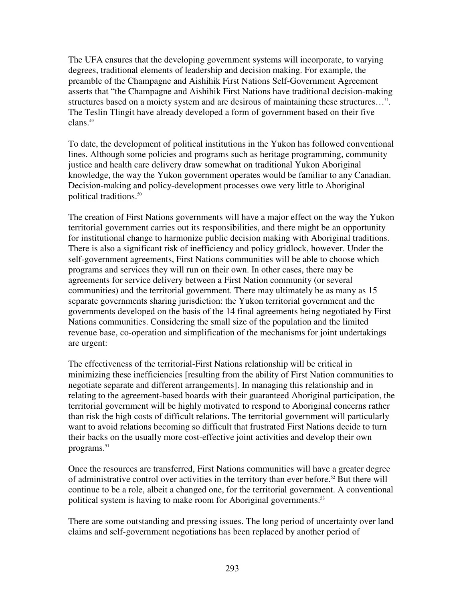The UFA ensures that the developing government systems will incorporate, to varying degrees, traditional elements of leadership and decision making. For example, the preamble of the Champagne and Aishihik First Nations Self-Government Agreement asserts that "the Champagne and Aishihik First Nations have traditional decision-making structures based on a moiety system and are desirous of maintaining these structures…". The Teslin Tlingit have already developed a form of government based on their five clans. 49

To date, the development of political institutions in the Yukon has followed conventional lines. Although some policies and programs such as heritage programming, community justice and health care delivery draw somewhat on traditional Yukon Aboriginal knowledge, the way the Yukon government operates would be familiar to any Canadian. Decision-making and policy-development processes owe very little to Aboriginal political traditions. 50

The creation of First Nations governments will have a major effect on the way the Yukon territorial government carries out its responsibilities, and there might be an opportunity for institutional change to harmonize public decision making with Aboriginal traditions. There is also a significant risk of inefficiency and policy gridlock, however. Under the self-government agreements, First Nations communities will be able to choose which programs and services they will run on their own. In other cases, there may be agreements for service delivery between a First Nation community (or several communities) and the territorial government. There may ultimately be as many as 15 separate governments sharing jurisdiction: the Yukon territorial government and the governments developed on the basis of the 14 final agreements being negotiated by First Nations communities. Considering the small size of the population and the limited revenue base, co-operation and simplification of the mechanisms for joint undertakings are urgent:

The effectiveness of the territorial-First Nations relationship will be critical in minimizing these inefficiencies [resulting from the ability of First Nation communities to negotiate separate and different arrangements]. In managing this relationship and in relating to the agreement-based boards with their guaranteed Aboriginal participation, the territorial government will be highly motivated to respond to Aboriginal concerns rather than risk the high costs of difficult relations. The territorial government will particularly want to avoid relations becoming so difficult that frustrated First Nations decide to turn their backs on the usually more cost-effective joint activities and develop their own programs. 51

Once the resources are transferred, First Nations communities will have a greater degree of administrative control over activities in the territory than ever before. <sup>52</sup> But there will continue to be a role, albeit a changed one, for the territorial government. A conventional political system is having to make room for Aboriginal governments.<sup>53</sup>

There are some outstanding and pressing issues. The long period of uncertainty over land claims and self-government negotiations has been replaced by another period of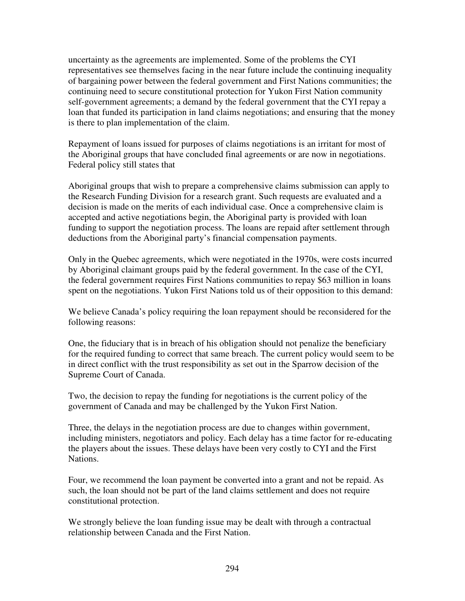uncertainty as the agreements are implemented. Some of the problems the CYI representatives see themselves facing in the near future include the continuing inequality of bargaining power between the federal government and First Nations communities; the continuing need to secure constitutional protection for Yukon First Nation community self-government agreements; a demand by the federal government that the CYI repay a loan that funded its participation in land claims negotiations; and ensuring that the money is there to plan implementation of the claim.

Repayment of loans issued for purposes of claims negotiations is an irritant for most of the Aboriginal groups that have concluded final agreements or are now in negotiations. Federal policy still states that

Aboriginal groups that wish to prepare a comprehensive claims submission can apply to the Research Funding Division for a research grant. Such requests are evaluated and a decision is made on the merits of each individual case. Once a comprehensive claim is accepted and active negotiations begin, the Aboriginal party is provided with loan funding to support the negotiation process. The loans are repaid after settlement through deductions from the Aboriginal party's financial compensation payments.

Only in the Quebec agreements, which were negotiated in the 1970s, were costs incurred by Aboriginal claimant groups paid by the federal government. In the case of the CYI, the federal government requires First Nations communities to repay \$63 million in loans spent on the negotiations. Yukon First Nations told us of their opposition to this demand:

We believe Canada's policy requiring the loan repayment should be reconsidered for the following reasons:

One, the fiduciary that is in breach of his obligation should not penalize the beneficiary for the required funding to correct that same breach. The current policy would seem to be in direct conflict with the trust responsibility as set out in the Sparrow decision of the Supreme Court of Canada.

Two, the decision to repay the funding for negotiations is the current policy of the government of Canada and may be challenged by the Yukon First Nation.

Three, the delays in the negotiation process are due to changes within government, including ministers, negotiators and policy. Each delay has a time factor for re-educating the players about the issues. These delays have been very costly to CYI and the First Nations.

Four, we recommend the loan payment be converted into a grant and not be repaid. As such, the loan should not be part of the land claims settlement and does not require constitutional protection.

We strongly believe the loan funding issue may be dealt with through a contractual relationship between Canada and the First Nation.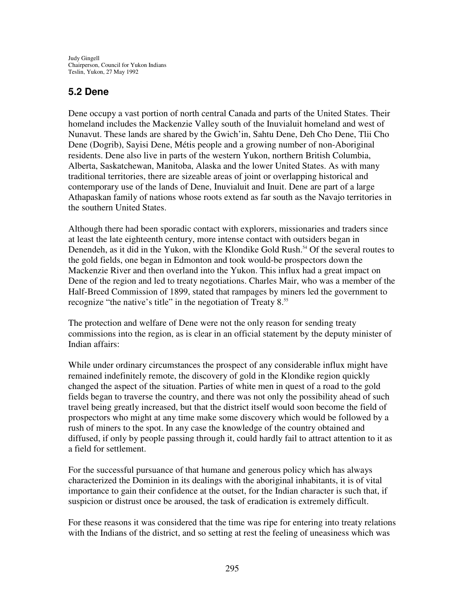# **5.2 Dene**

Dene occupy a vast portion of north central Canada and parts of the United States. Their homeland includes the Mackenzie Valley south of the Inuvialuit homeland and west of Nunavut. These lands are shared by the Gwich'in, Sahtu Dene, Deh Cho Dene, Tlii Cho Dene (Dogrib), Sayisi Dene, Métis people and a growing number of non-Aboriginal residents. Dene also live in parts of the western Yukon, northern British Columbia, Alberta, Saskatchewan, Manitoba, Alaska and the lower United States. As with many traditional territories, there are sizeable areas of joint or overlapping historical and contemporary use of the lands of Dene, Inuvialuit and Inuit. Dene are part of a large Athapaskan family of nations whose roots extend as far south as the Navajo territories in the southern United States.

Although there had been sporadic contact with explorers, missionaries and traders since at least the late eighteenth century, more intense contact with outsiders began in Denendeh, as it did in the Yukon, with the Klondike Gold Rush.<sup>54</sup> Of the several routes to the gold fields, one began in Edmonton and took would-be prospectors down the Mackenzie River and then overland into the Yukon. This influx had a great impact on Dene of the region and led to treaty negotiations. Charles Mair, who was a member of the Half-Breed Commission of 1899, stated that rampages by miners led the government to recognize "the native's title" in the negotiation of Treaty 8.<sup>55</sup>

The protection and welfare of Dene were not the only reason for sending treaty commissions into the region, as is clear in an official statement by the deputy minister of Indian affairs:

While under ordinary circumstances the prospect of any considerable influx might have remained indefinitely remote, the discovery of gold in the Klondike region quickly changed the aspect of the situation. Parties of white men in quest of a road to the gold fields began to traverse the country, and there was not only the possibility ahead of such travel being greatly increased, but that the district itself would soon become the field of prospectors who might at any time make some discovery which would be followed by a rush of miners to the spot. In any case the knowledge of the country obtained and diffused, if only by people passing through it, could hardly fail to attract attention to it as a field for settlement.

For the successful pursuance of that humane and generous policy which has always characterized the Dominion in its dealings with the aboriginal inhabitants, it is of vital importance to gain their confidence at the outset, for the Indian character is such that, if suspicion or distrust once be aroused, the task of eradication is extremely difficult.

For these reasons it was considered that the time was ripe for entering into treaty relations with the Indians of the district, and so setting at rest the feeling of uneasiness which was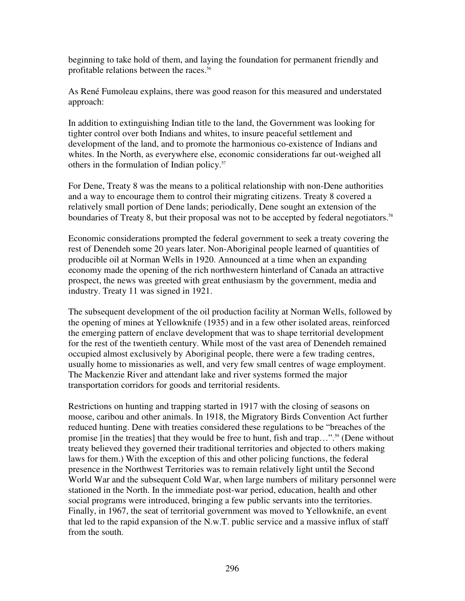beginning to take hold of them, and laying the foundation for permanent friendly and profitable relations between the races. 56

As René Fumoleau explains, there was good reason for this measured and understated approach:

In addition to extinguishing Indian title to the land, the Government was looking for tighter control over both Indians and whites, to insure peaceful settlement and development of the land, and to promote the harmonious co-existence of Indians and whites. In the North, as everywhere else, economic considerations far out-weighed all others in the formulation of Indian policy. 57

For Dene, Treaty 8 was the means to a political relationship with non-Dene authorities and a way to encourage them to control their migrating citizens. Treaty 8 covered a relatively small portion of Dene lands; periodically, Dene sought an extension of the boundaries of Treaty 8, but their proposal was not to be accepted by federal negotiators.<sup>58</sup>

Economic considerations prompted the federal government to seek a treaty covering the rest of Denendeh some 20 years later. Non-Aboriginal people learned of quantities of producible oil at Norman Wells in 1920. Announced at a time when an expanding economy made the opening of the rich northwestern hinterland of Canada an attractive prospect, the news was greeted with great enthusiasm by the government, media and industry. Treaty 11 was signed in 1921.

The subsequent development of the oil production facility at Norman Wells, followed by the opening of mines at Yellowknife (1935) and in a few other isolated areas, reinforced the emerging pattern of enclave development that was to shape territorial development for the rest of the twentieth century. While most of the vast area of Denendeh remained occupied almost exclusively by Aboriginal people, there were a few trading centres, usually home to missionaries as well, and very few small centres of wage employment. The Mackenzie River and attendant lake and river systems formed the major transportation corridors for goods and territorial residents.

Restrictions on hunting and trapping started in 1917 with the closing of seasons on moose, caribou and other animals. In 1918, the Migratory Birds Convention Act further reduced hunting. Dene with treaties considered these regulations to be "breaches of the promise [in the treaties] that they would be free to hunt, fish and trap…". 59 (Dene without treaty believed they governed their traditional territories and objected to others making laws for them.) With the exception of this and other policing functions, the federal presence in the Northwest Territories was to remain relatively light until the Second World War and the subsequent Cold War, when large numbers of military personnel were stationed in the North. In the immediate post-war period, education, health and other social programs were introduced, bringing a few public servants into the territories. Finally, in 1967, the seat of territorial government was moved to Yellowknife, an event that led to the rapid expansion of the N.w.T. public service and a massive influx of staff from the south.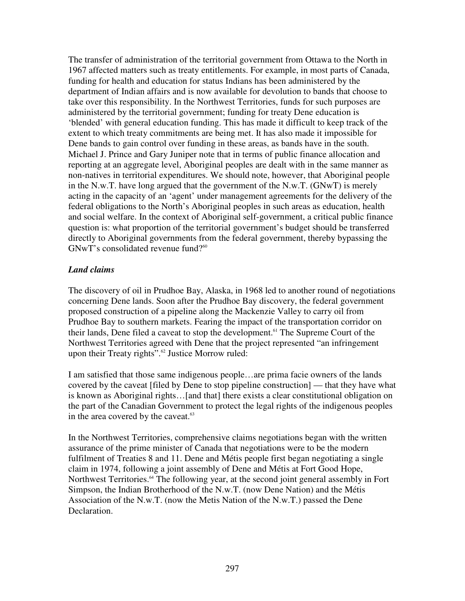The transfer of administration of the territorial government from Ottawa to the North in 1967 affected matters such as treaty entitlements. For example, in most parts of Canada, funding for health and education for status Indians has been administered by the department of Indian affairs and is now available for devolution to bands that choose to take over this responsibility. In the Northwest Territories, funds for such purposes are administered by the territorial government; funding for treaty Dene education is 'blended' with general education funding. This has made it difficult to keep track of the extent to which treaty commitments are being met. It has also made it impossible for Dene bands to gain control over funding in these areas, as bands have in the south. Michael J. Prince and Gary Juniper note that in terms of public finance allocation and reporting at an aggregate level, Aboriginal peoples are dealt with in the same manner as non-natives in territorial expenditures. We should note, however, that Aboriginal people in the N.w.T. have long argued that the government of the N.w.T. (GNwT) is merely acting in the capacity of an 'agent' under management agreements for the delivery of the federal obligations to the North's Aboriginal peoples in such areas as education, health and social welfare. In the context of Aboriginal self-government, a critical public finance question is: what proportion of the territorial government's budget should be transferred directly to Aboriginal governments from the federal government, thereby bypassing the GNwT's consolidated revenue fund?<sup>60</sup>

#### *Land claims*

The discovery of oil in Prudhoe Bay, Alaska, in 1968 led to another round of negotiations concerning Dene lands. Soon after the Prudhoe Bay discovery, the federal government proposed construction of a pipeline along the Mackenzie Valley to carry oil from Prudhoe Bay to southern markets. Fearing the impact of the transportation corridor on their lands, Dene filed a caveat to stop the development. <sup>61</sup> The Supreme Court of the Northwest Territories agreed with Dene that the project represented "an infringement upon their Treaty rights". 62 Justice Morrow ruled:

I am satisfied that those same indigenous people…are prima facie owners of the lands covered by the caveat [filed by Dene to stop pipeline construction] — that they have what is known as Aboriginal rights…[and that] there exists a clear constitutional obligation on the part of the Canadian Government to protect the legal rights of the indigenous peoples in the area covered by the caveat. 63

In the Northwest Territories, comprehensive claims negotiations began with the written assurance of the prime minister of Canada that negotiations were to be the modern fulfilment of Treaties 8 and 11. Dene and Métis people first began negotiating a single claim in 1974, following a joint assembly of Dene and Métis at Fort Good Hope, Northwest Territories.<sup>64</sup> The following year, at the second joint general assembly in Fort Simpson, the Indian Brotherhood of the N.w.T. (now Dene Nation) and the Métis Association of the N.w.T. (now the Metis Nation of the N.w.T.) passed the Dene Declaration.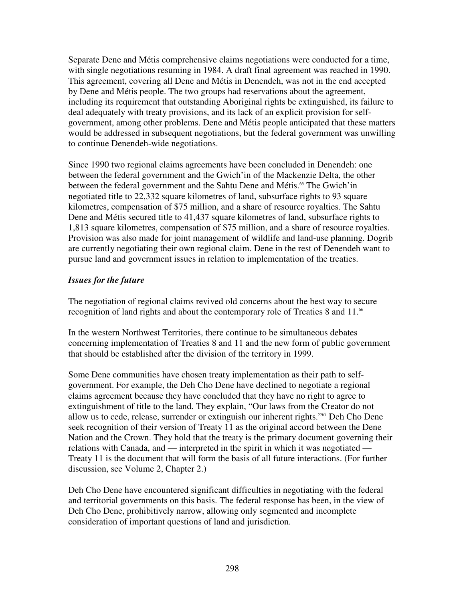Separate Dene and Métis comprehensive claims negotiations were conducted for a time, with single negotiations resuming in 1984. A draft final agreement was reached in 1990. This agreement, covering all Dene and Métis in Denendeh, was not in the end accepted by Dene and Métis people. The two groups had reservations about the agreement, including its requirement that outstanding Aboriginal rights be extinguished, its failure to deal adequately with treaty provisions, and its lack of an explicit provision for selfgovernment, among other problems. Dene and Métis people anticipated that these matters would be addressed in subsequent negotiations, but the federal government was unwilling to continue Denendeh-wide negotiations.

Since 1990 two regional claims agreements have been concluded in Denendeh: one between the federal government and the Gwich'in of the Mackenzie Delta, the other between the federal government and the Sahtu Dene and Métis. <sup>65</sup> The Gwich'in negotiated title to 22,332 square kilometres of land, subsurface rights to 93 square kilometres, compensation of \$75 million, and a share of resource royalties. The Sahtu Dene and Métis secured title to 41,437 square kilometres of land, subsurface rights to 1,813 square kilometres, compensation of \$75 million, and a share of resource royalties. Provision was also made for joint management of wildlife and land-use planning. Dogrib are currently negotiating their own regional claim. Dene in the rest of Denendeh want to pursue land and government issues in relation to implementation of the treaties.

#### *Issues for the future*

The negotiation of regional claims revived old concerns about the best way to secure recognition of land rights and about the contemporary role of Treaties 8 and 11.<sup>66</sup>

In the western Northwest Territories, there continue to be simultaneous debates concerning implementation of Treaties 8 and 11 and the new form of public government that should be established after the division of the territory in 1999.

Some Dene communities have chosen treaty implementation as their path to selfgovernment. For example, the Deh Cho Dene have declined to negotiate a regional claims agreement because they have concluded that they have no right to agree to extinguishment of title to the land. They explain, "Our laws from the Creator do not allow us to cede, release, surrender or extinguish our inherent rights." <sup>67</sup> Deh Cho Dene seek recognition of their version of Treaty 11 as the original accord between the Dene Nation and the Crown. They hold that the treaty is the primary document governing their relations with Canada, and — interpreted in the spirit in which it was negotiated — Treaty 11 is the document that will form the basis of all future interactions. (For further discussion, see Volume 2, Chapter 2.)

Deh Cho Dene have encountered significant difficulties in negotiating with the federal and territorial governments on this basis. The federal response has been, in the view of Deh Cho Dene, prohibitively narrow, allowing only segmented and incomplete consideration of important questions of land and jurisdiction.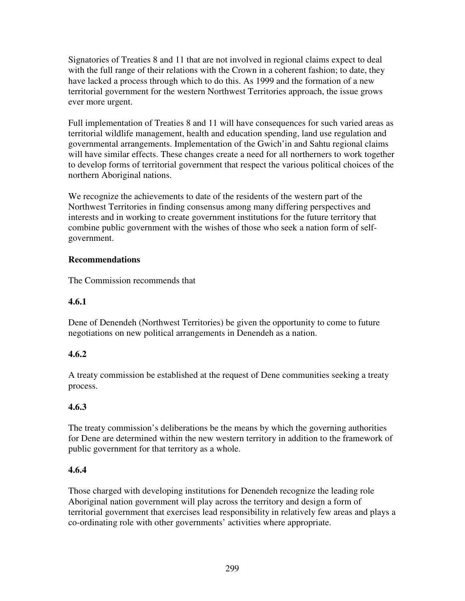Signatories of Treaties 8 and 11 that are not involved in regional claims expect to deal with the full range of their relations with the Crown in a coherent fashion; to date, they have lacked a process through which to do this. As 1999 and the formation of a new territorial government for the western Northwest Territories approach, the issue grows ever more urgent.

Full implementation of Treaties 8 and 11 will have consequences for such varied areas as territorial wildlife management, health and education spending, land use regulation and governmental arrangements. Implementation of the Gwich'in and Sahtu regional claims will have similar effects. These changes create a need for all northerners to work together to develop forms of territorial government that respect the various political choices of the northern Aboriginal nations.

We recognize the achievements to date of the residents of the western part of the Northwest Territories in finding consensus among many differing perspectives and interests and in working to create government institutions for the future territory that combine public government with the wishes of those who seek a nation form of selfgovernment.

## **Recommendations**

The Commission recommends that

## **4.6.1**

Dene of Denendeh (Northwest Territories) be given the opportunity to come to future negotiations on new political arrangements in Denendeh as a nation.

## **4.6.2**

A treaty commission be established at the request of Dene communities seeking a treaty process.

## **4.6.3**

The treaty commission's deliberations be the means by which the governing authorities for Dene are determined within the new western territory in addition to the framework of public government for that territory as a whole.

## **4.6.4**

Those charged with developing institutions for Denendeh recognize the leading role Aboriginal nation government will play across the territory and design a form of territorial government that exercises lead responsibility in relatively few areas and plays a co-ordinating role with other governments' activities where appropriate.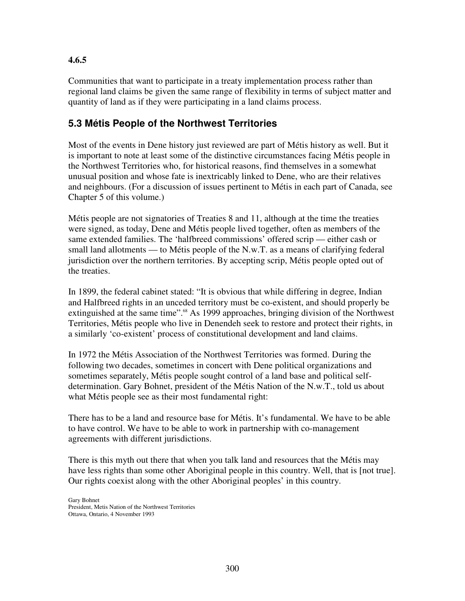## **4.6.5**

Communities that want to participate in a treaty implementation process rather than regional land claims be given the same range of flexibility in terms of subject matter and quantity of land as if they were participating in a land claims process.

## **5.3 Métis People of the Northwest Territories**

Most of the events in Dene history just reviewed are part of Métis history as well. But it is important to note at least some of the distinctive circumstances facing Métis people in the Northwest Territories who, for historical reasons, find themselves in a somewhat unusual position and whose fate is inextricably linked to Dene, who are their relatives and neighbours. (For a discussion of issues pertinent to Métis in each part of Canada, see Chapter 5 of this volume.)

Métis people are not signatories of Treaties 8 and 11, although at the time the treaties were signed, as today, Dene and Métis people lived together, often as members of the same extended families. The 'halfbreed commissions' offered scrip — either cash or small land allotments — to Métis people of the N.w.T. as a means of clarifying federal jurisdiction over the northern territories. By accepting scrip, Métis people opted out of the treaties.

In 1899, the federal cabinet stated: "It is obvious that while differing in degree, Indian and Halfbreed rights in an unceded territory must be co-existent, and should properly be extinguished at the same time".<sup>68</sup> As 1999 approaches, bringing division of the Northwest Territories, Métis people who live in Denendeh seek to restore and protect their rights, in a similarly 'co-existent' process of constitutional development and land claims.

In 1972 the Métis Association of the Northwest Territories was formed. During the following two decades, sometimes in concert with Dene political organizations and sometimes separately, Métis people sought control of a land base and political selfdetermination. Gary Bohnet, president of the Métis Nation of the N.w.T., told us about what Métis people see as their most fundamental right:

There has to be a land and resource base for Métis. It's fundamental. We have to be able to have control. We have to be able to work in partnership with co-management agreements with different jurisdictions.

There is this myth out there that when you talk land and resources that the Métis may have less rights than some other Aboriginal people in this country. Well, that is [not true]. Our rights coexist along with the other Aboriginal peoples' in this country.

Gary Bohnet President, Metis Nation of the Northwest Territories Ottawa, Ontario, 4 November 1993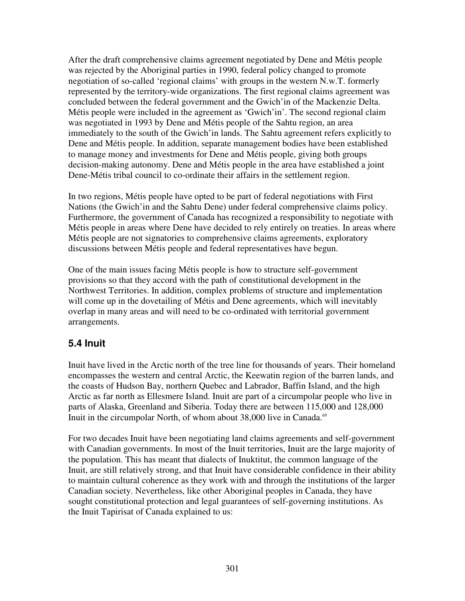After the draft comprehensive claims agreement negotiated by Dene and Métis people was rejected by the Aboriginal parties in 1990, federal policy changed to promote negotiation of so-called 'regional claims' with groups in the western N.w.T. formerly represented by the territory-wide organizations. The first regional claims agreement was concluded between the federal government and the Gwich'in of the Mackenzie Delta. Métis people were included in the agreement as 'Gwich'in'. The second regional claim was negotiated in 1993 by Dene and Métis people of the Sahtu region, an area immediately to the south of the Gwich'in lands. The Sahtu agreement refers explicitly to Dene and Métis people. In addition, separate management bodies have been established to manage money and investments for Dene and Métis people, giving both groups decision-making autonomy. Dene and Métis people in the area have established a joint Dene-Métis tribal council to co-ordinate their affairs in the settlement region.

In two regions, Métis people have opted to be part of federal negotiations with First Nations (the Gwich'in and the Sahtu Dene) under federal comprehensive claims policy. Furthermore, the government of Canada has recognized a responsibility to negotiate with Métis people in areas where Dene have decided to rely entirely on treaties. In areas where Métis people are not signatories to comprehensive claims agreements, exploratory discussions between Métis people and federal representatives have begun.

One of the main issues facing Métis people is how to structure self-government provisions so that they accord with the path of constitutional development in the Northwest Territories. In addition, complex problems of structure and implementation will come up in the dovetailing of Métis and Dene agreements, which will inevitably overlap in many areas and will need to be co-ordinated with territorial government arrangements.

# **5.4 Inuit**

Inuit have lived in the Arctic north of the tree line for thousands of years. Their homeland encompasses the western and central Arctic, the Keewatin region of the barren lands, and the coasts of Hudson Bay, northern Quebec and Labrador, Baffin Island, and the high Arctic as far north as Ellesmere Island. Inuit are part of a circumpolar people who live in parts of Alaska, Greenland and Siberia. Today there are between 115,000 and 128,000 Inuit in the circumpolar North, of whom about 38,000 live in Canada.<sup>69</sup>

For two decades Inuit have been negotiating land claims agreements and self-government with Canadian governments. In most of the Inuit territories, Inuit are the large majority of the population. This has meant that dialects of Inuktitut, the common language of the Inuit, are still relatively strong, and that Inuit have considerable confidence in their ability to maintain cultural coherence as they work with and through the institutions of the larger Canadian society. Nevertheless, like other Aboriginal peoples in Canada, they have sought constitutional protection and legal guarantees of self-governing institutions. As the Inuit Tapirisat of Canada explained to us: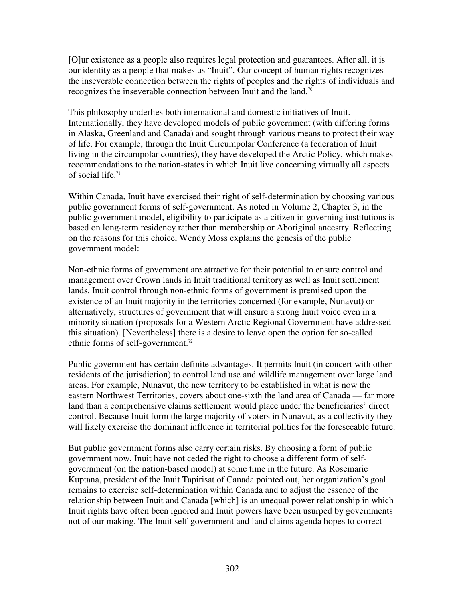[O]ur existence as a people also requires legal protection and guarantees. After all, it is our identity as a people that makes us "Inuit". Our concept of human rights recognizes the inseverable connection between the rights of peoples and the rights of individuals and recognizes the inseverable connection between Inuit and the land.<sup>70</sup>

This philosophy underlies both international and domestic initiatives of Inuit. Internationally, they have developed models of public government (with differing forms in Alaska, Greenland and Canada) and sought through various means to protect their way of life. For example, through the Inuit Circumpolar Conference (a federation of Inuit living in the circumpolar countries), they have developed the Arctic Policy, which makes recommendations to the nation-states in which Inuit live concerning virtually all aspects of social life. 71

Within Canada, Inuit have exercised their right of self-determination by choosing various public government forms of self-government. As noted in Volume 2, Chapter 3, in the public government model, eligibility to participate as a citizen in governing institutions is based on long-term residency rather than membership or Aboriginal ancestry. Reflecting on the reasons for this choice, Wendy Moss explains the genesis of the public government model:

Non-ethnic forms of government are attractive for their potential to ensure control and management over Crown lands in Inuit traditional territory as well as Inuit settlement lands. Inuit control through non-ethnic forms of government is premised upon the existence of an Inuit majority in the territories concerned (for example, Nunavut) or alternatively, structures of government that will ensure a strong Inuit voice even in a minority situation (proposals for a Western Arctic Regional Government have addressed this situation). [Nevertheless] there is a desire to leave open the option for so-called ethnic forms of self-government.<sup>72</sup>

Public government has certain definite advantages. It permits Inuit (in concert with other residents of the jurisdiction) to control land use and wildlife management over large land areas. For example, Nunavut, the new territory to be established in what is now the eastern Northwest Territories, covers about one-sixth the land area of Canada — far more land than a comprehensive claims settlement would place under the beneficiaries' direct control. Because Inuit form the large majority of voters in Nunavut, as a collectivity they will likely exercise the dominant influence in territorial politics for the foreseeable future.

But public government forms also carry certain risks. By choosing a form of public government now, Inuit have not ceded the right to choose a different form of selfgovernment (on the nation-based model) at some time in the future. As Rosemarie Kuptana, president of the Inuit Tapirisat of Canada pointed out, her organization's goal remains to exercise self-determination within Canada and to adjust the essence of the relationship between Inuit and Canada [which] is an unequal power relationship in which Inuit rights have often been ignored and Inuit powers have been usurped by governments not of our making. The Inuit self-government and land claims agenda hopes to correct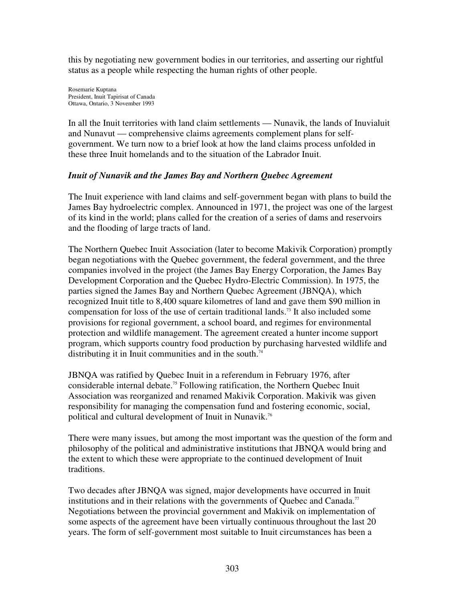this by negotiating new government bodies in our territories, and asserting our rightful status as a people while respecting the human rights of other people.

Rosemarie Kuptana President, Inuit Tapirisat of Canada Ottawa, Ontario, 3 November 1993

In all the Inuit territories with land claim settlements — Nunavik, the lands of Inuvialuit and Nunavut — comprehensive claims agreements complement plans for selfgovernment. We turn now to a brief look at how the land claims process unfolded in these three Inuit homelands and to the situation of the Labrador Inuit.

### *Inuit of Nunavik and the James Bay and Northern Quebec Agreement*

The Inuit experience with land claims and self-government began with plans to build the James Bay hydroelectric complex. Announced in 1971, the project was one of the largest of its kind in the world; plans called for the creation of a series of dams and reservoirs and the flooding of large tracts of land.

The Northern Quebec Inuit Association (later to become Makivik Corporation) promptly began negotiations with the Quebec government, the federal government, and the three companies involved in the project (the James Bay Energy Corporation, the James Bay Development Corporation and the Quebec Hydro-Electric Commission). In 1975, the parties signed the James Bay and Northern Quebec Agreement (JBNQA), which recognized Inuit title to 8,400 square kilometres of land and gave them \$90 million in compensation for loss of the use of certain traditional lands. 73 It also included some provisions for regional government, a school board, and regimes for environmental protection and wildlife management. The agreement created a hunter income support program, which supports country food production by purchasing harvested wildlife and distributing it in Inuit communities and in the south.<sup>74</sup>

JBNQA was ratified by Quebec Inuit in a referendum in February 1976, after considerable internal debate. <sup>75</sup> Following ratification, the Northern Quebec Inuit Association was reorganized and renamed Makivik Corporation. Makivik was given responsibility for managing the compensation fund and fostering economic, social, political and cultural development of Inuit in Nunavik. 76

There were many issues, but among the most important was the question of the form and philosophy of the political and administrative institutions that JBNQA would bring and the extent to which these were appropriate to the continued development of Inuit traditions.

Two decades after JBNQA was signed, major developments have occurred in Inuit institutions and in their relations with the governments of Quebec and Canada.<sup>77</sup> Negotiations between the provincial government and Makivik on implementation of some aspects of the agreement have been virtually continuous throughout the last 20 years. The form of self-government most suitable to Inuit circumstances has been a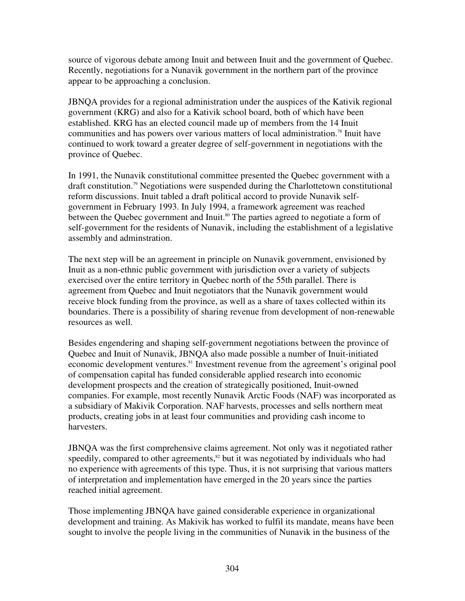source of vigorous debate among Inuit and between Inuit and the government of Quebec. Recently, negotiations for a Nunavik government in the northern part of the province appear to be approaching a conclusion.

JBNQA provides for a regional administration under the auspices of the Kativik regional government (KRG) and also for a Kativik school board, both of which have been established. KRG has an elected council made up of members from the 14 Inuit communities and has powers over various matters of local administration. 78 Inuit have continued to work toward a greater degree of self-government in negotiations with the province of Quebec.

In 1991, the Nunavik constitutional committee presented the Quebec government with a draft constitution. <sup>79</sup> Negotiations were suspended during the Charlottetown constitutional reform discussions. Inuit tabled a draft political accord to provide Nunavik selfgovernment in February 1993. In July 1994, a framework agreement was reached between the Quebec government and Inuit.<sup>80</sup> The parties agreed to negotiate a form of self-government for the residents of Nunavik, including the establishment of a legislative assembly and adminstration.

The next step will be an agreement in principle on Nunavik government, envisioned by Inuit as a non-ethnic public government with jurisdiction over a variety of subjects exercised over the entire territory in Quebec north of the 55th parallel. There is agreement from Quebec and Inuit negotiators that the Nunavik government would receive block funding from the province, as well as a share of taxes collected within its boundaries. There is a possibility of sharing revenue from development of non-renewable resources as well.

Besides engendering and shaping self-government negotiations between the province of Quebec and Inuit of Nunavik, JBNQA also made possible a number of Inuit-initiated economic development ventures. 81 Investment revenue from the agreement's original pool of compensation capital has funded considerable applied research into economic development prospects and the creation of strategically positioned, Inuit-owned companies. For example, most recently Nunavik Arctic Foods (NAF) was incorporated as a subsidiary of Makivik Corporation. NAF harvests, processes and sells northern meat products, creating jobs in at least four communities and providing cash income to harvesters.

JBNQA was the first comprehensive claims agreement. Not only was it negotiated rather speedily, compared to other agreements,<sup>82</sup> but it was negotiated by individuals who had no experience with agreements of this type. Thus, it is not surprising that various matters of interpretation and implementation have emerged in the 20 years since the parties reached initial agreement.

Those implementing JBNQA have gained considerable experience in organizational development and training. As Makivik has worked to fulfil its mandate, means have been sought to involve the people living in the communities of Nunavik in the business of the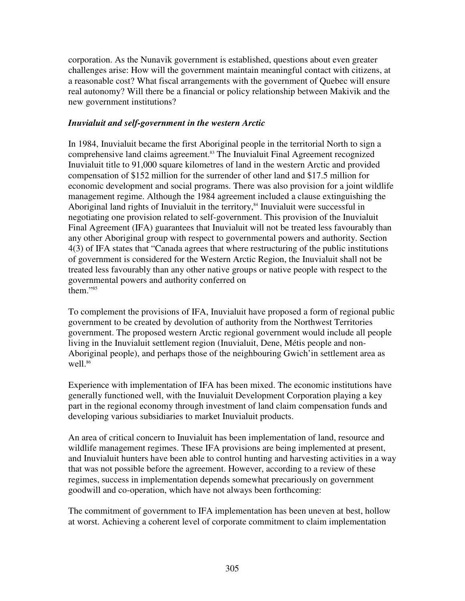corporation. As the Nunavik government is established, questions about even greater challenges arise: How will the government maintain meaningful contact with citizens, at a reasonable cost? What fiscal arrangements with the government of Quebec will ensure real autonomy? Will there be a financial or policy relationship between Makivik and the new government institutions?

### *Inuvialuit and self-government in the western Arctic*

In 1984, Inuvialuit became the first Aboriginal people in the territorial North to sign a comprehensive land claims agreement. <sup>83</sup> The Inuvialuit Final Agreement recognized Inuvialuit title to 91,000 square kilometres of land in the western Arctic and provided compensation of \$152 million for the surrender of other land and \$17.5 million for economic development and social programs. There was also provision for a joint wildlife management regime. Although the 1984 agreement included a clause extinguishing the Aboriginal land rights of Inuvialuit in the territory, 84 Inuvialuit were successful in negotiating one provision related to self-government. This provision of the Inuvialuit Final Agreement (IFA) guarantees that Inuvialuit will not be treated less favourably than any other Aboriginal group with respect to governmental powers and authority. Section 4(3) of IFA states that "Canada agrees that where restructuring of the public institutions of government is considered for the Western Arctic Region, the Inuvialuit shall not be treated less favourably than any other native groups or native people with respect to the governmental powers and authority conferred on them." 85

To complement the provisions of IFA, Inuvialuit have proposed a form of regional public government to be created by devolution of authority from the Northwest Territories government. The proposed western Arctic regional government would include all people living in the Inuvialuit settlement region (Inuvialuit, Dene, Métis people and non-Aboriginal people), and perhaps those of the neighbouring Gwich'in settlement area as well. 86

Experience with implementation of IFA has been mixed. The economic institutions have generally functioned well, with the Inuvialuit Development Corporation playing a key part in the regional economy through investment of land claim compensation funds and developing various subsidiaries to market Inuvialuit products.

An area of critical concern to Inuvialuit has been implementation of land, resource and wildlife management regimes. These IFA provisions are being implemented at present, and Inuvialuit hunters have been able to control hunting and harvesting activities in a way that was not possible before the agreement. However, according to a review of these regimes, success in implementation depends somewhat precariously on government goodwill and co-operation, which have not always been forthcoming:

The commitment of government to IFA implementation has been uneven at best, hollow at worst. Achieving a coherent level of corporate commitment to claim implementation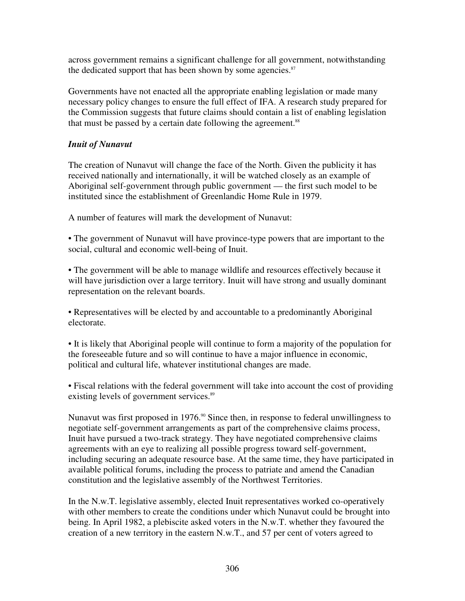across government remains a significant challenge for all government, notwithstanding the dedicated support that has been shown by some agencies.<sup>87</sup>

Governments have not enacted all the appropriate enabling legislation or made many necessary policy changes to ensure the full effect of IFA. A research study prepared for the Commission suggests that future claims should contain a list of enabling legislation that must be passed by a certain date following the agreement.<sup>88</sup>

#### *Inuit of Nunavut*

The creation of Nunavut will change the face of the North. Given the publicity it has received nationally and internationally, it will be watched closely as an example of Aboriginal self-government through public government — the first such model to be instituted since the establishment of Greenlandic Home Rule in 1979.

A number of features will mark the development of Nunavut:

• The government of Nunavut will have province-type powers that are important to the social, cultural and economic well-being of Inuit.

• The government will be able to manage wildlife and resources effectively because it will have jurisdiction over a large territory. Inuit will have strong and usually dominant representation on the relevant boards.

• Representatives will be elected by and accountable to a predominantly Aboriginal electorate.

• It is likely that Aboriginal people will continue to form a majority of the population for the foreseeable future and so will continue to have a major influence in economic, political and cultural life, whatever institutional changes are made.

• Fiscal relations with the federal government will take into account the cost of providing existing levels of government services.<sup>89</sup>

Nunavut was first proposed in 1976.<sup>90</sup> Since then, in response to federal unwillingness to negotiate self-government arrangements as part of the comprehensive claims process, Inuit have pursued a two-track strategy. They have negotiated comprehensive claims agreements with an eye to realizing all possible progress toward self-government, including securing an adequate resource base. At the same time, they have participated in available political forums, including the process to patriate and amend the Canadian constitution and the legislative assembly of the Northwest Territories.

In the N.w.T. legislative assembly, elected Inuit representatives worked co-operatively with other members to create the conditions under which Nunavut could be brought into being. In April 1982, a plebiscite asked voters in the N.w.T. whether they favoured the creation of a new territory in the eastern N.w.T., and 57 per cent of voters agreed to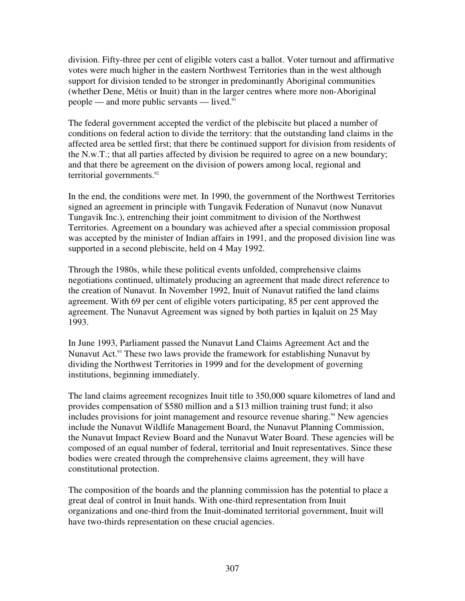division. Fifty-three per cent of eligible voters cast a ballot. Voter turnout and affirmative votes were much higher in the eastern Northwest Territories than in the west although support for division tended to be stronger in predominantly Aboriginal communities (whether Dene, Métis or Inuit) than in the larger centres where more non-Aboriginal people — and more public servants — lived. 91

The federal government accepted the verdict of the plebiscite but placed a number of conditions on federal action to divide the territory: that the outstanding land claims in the affected area be settled first; that there be continued support for division from residents of the N.w.T.; that all parties affected by division be required to agree on a new boundary; and that there be agreement on the division of powers among local, regional and territorial governments. 92

In the end, the conditions were met. In 1990, the government of the Northwest Territories signed an agreement in principle with Tungavik Federation of Nunavut (now Nunavut Tungavik Inc.), entrenching their joint commitment to division of the Northwest Territories. Agreement on a boundary was achieved after a special commission proposal was accepted by the minister of Indian affairs in 1991, and the proposed division line was supported in a second plebiscite, held on 4 May 1992.

Through the 1980s, while these political events unfolded, comprehensive claims negotiations continued, ultimately producing an agreement that made direct reference to the creation of Nunavut. In November 1992, Inuit of Nunavut ratified the land claims agreement. With 69 per cent of eligible voters participating, 85 per cent approved the agreement. The Nunavut Agreement was signed by both parties in Iqaluit on 25 May 1993.

In June 1993, Parliament passed the Nunavut Land Claims Agreement Act and the Nunavut Act. <sup>93</sup> These two laws provide the framework for establishing Nunavut by dividing the Northwest Territories in 1999 and for the development of governing institutions, beginning immediately.

The land claims agreement recognizes Inuit title to 350,000 square kilometres of land and provides compensation of \$580 million and a \$13 million training trust fund; it also includes provisions for joint management and resource revenue sharing.<sup>94</sup> New agencies include the Nunavut Wildlife Management Board, the Nunavut Planning Commission, the Nunavut Impact Review Board and the Nunavut Water Board. These agencies will be composed of an equal number of federal, territorial and Inuit representatives. Since these bodies were created through the comprehensive claims agreement, they will have constitutional protection.

The composition of the boards and the planning commission has the potential to place a great deal of control in Inuit hands. With one-third representation from Inuit organizations and one-third from the Inuit-dominated territorial government, Inuit will have two-thirds representation on these crucial agencies.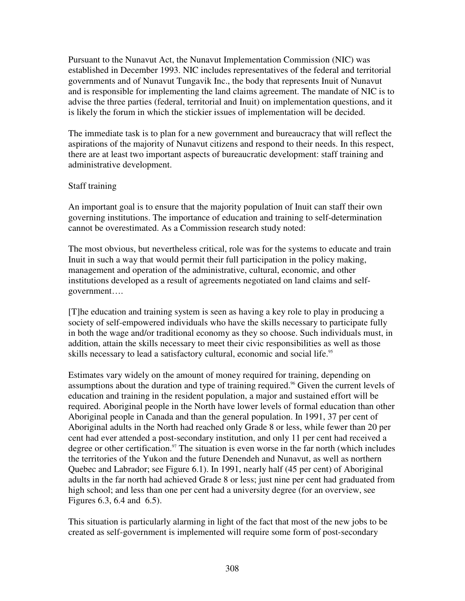Pursuant to the Nunavut Act, the Nunavut Implementation Commission (NIC) was established in December 1993. NIC includes representatives of the federal and territorial governments and of Nunavut Tungavik Inc., the body that represents Inuit of Nunavut and is responsible for implementing the land claims agreement. The mandate of NIC is to advise the three parties (federal, territorial and Inuit) on implementation questions, and it is likely the forum in which the stickier issues of implementation will be decided.

The immediate task is to plan for a new government and bureaucracy that will reflect the aspirations of the majority of Nunavut citizens and respond to their needs. In this respect, there are at least two important aspects of bureaucratic development: staff training and administrative development.

#### Staff training

An important goal is to ensure that the majority population of Inuit can staff their own governing institutions. The importance of education and training to self-determination cannot be overestimated. As a Commission research study noted:

The most obvious, but nevertheless critical, role was for the systems to educate and train Inuit in such a way that would permit their full participation in the policy making, management and operation of the administrative, cultural, economic, and other institutions developed as a result of agreements negotiated on land claims and selfgovernment….

[T]he education and training system is seen as having a key role to play in producing a society of self-empowered individuals who have the skills necessary to participate fully in both the wage and/or traditional economy as they so choose. Such individuals must, in addition, attain the skills necessary to meet their civic responsibilities as well as those skills necessary to lead a satisfactory cultural, economic and social life.<sup>95</sup>

Estimates vary widely on the amount of money required for training, depending on assumptions about the duration and type of training required. <sup>96</sup> Given the current levels of education and training in the resident population, a major and sustained effort will be required. Aboriginal people in the North have lower levels of formal education than other Aboriginal people in Canada and than the general population. In 1991, 37 per cent of Aboriginal adults in the North had reached only Grade 8 or less, while fewer than 20 per cent had ever attended a post-secondary institution, and only 11 per cent had received a degree or other certification.<sup>97</sup> The situation is even worse in the far north (which includes the territories of the Yukon and the future Denendeh and Nunavut, as well as northern Quebec and Labrador; see Figure 6.1). In 1991, nearly half (45 per cent) of Aboriginal adults in the far north had achieved Grade 8 or less; just nine per cent had graduated from high school; and less than one per cent had a university degree (for an overview, see Figures 6.3, 6.4 and 6.5).

This situation is particularly alarming in light of the fact that most of the new jobs to be created as self-government is implemented will require some form of post-secondary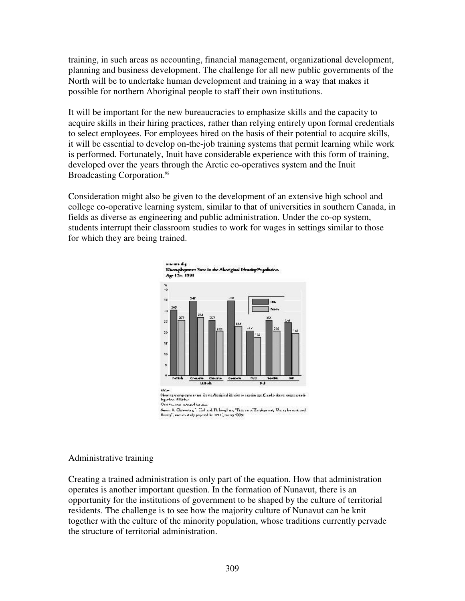training, in such areas as accounting, financial management, organizational development, planning and business development. The challenge for all new public governments of the North will be to undertake human development and training in a way that makes it possible for northern Aboriginal people to staff their own institutions.

It will be important for the new bureaucracies to emphasize skills and the capacity to acquire skills in their hiring practices, rather than relying entirely upon formal credentials to select employees. For employees hired on the basis of their potential to acquire skills, it will be essential to develop on-the-job training systems that permit learning while work is performed. Fortunately, Inuit have considerable experience with this form of training, developed over the years through the Arctic co-operatives system and the Inuit Broadcasting Corporation. 98

Consideration might also be given to the development of an extensive high school and college co-operative learning system, similar to that of universities in southern Canada, in fields as diverse as engineering and public administration. Under the co-op system, students interrupt their classroom studies to work for wages in settings similar to those for which they are being trained.



#### Administrative training

Creating a trained administration is only part of the equation. How that administration operates is another important question. In the formation of Nunavut, there is an opportunity for the institutions of government to be shaped by the culture of territorial residents. The challenge is to see how the majority culture of Nunavut can be knit together with the culture of the minority population, whose traditions currently pervade the structure of territorial administration.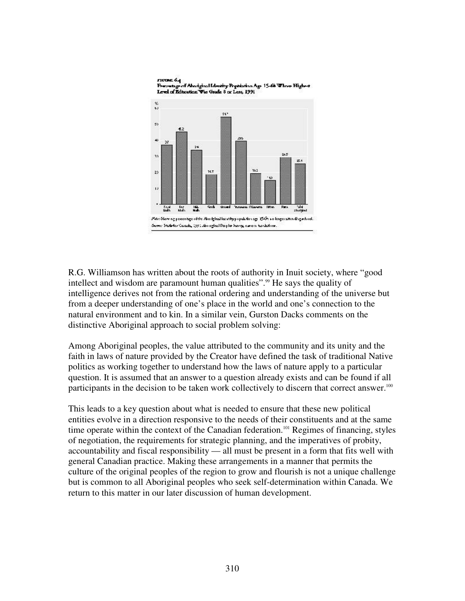

R.G. Williamson has written about the roots of authority in Inuit society, where "good intellect and wisdom are paramount human qualities". <sup>99</sup> He says the quality of intelligence derives not from the rational ordering and understanding of the universe but from a deeper understanding of one's place in the world and one's connection to the natural environment and to kin. In a similar vein, Gurston Dacks comments on the distinctive Aboriginal approach to social problem solving:

Among Aboriginal peoples, the value attributed to the community and its unity and the faith in laws of nature provided by the Creator have defined the task of traditional Native politics as working together to understand how the laws of nature apply to a particular question. It is assumed that an answer to a question already exists and can be found if all participants in the decision to be taken work collectively to discern that correct answer.<sup>100</sup>

This leads to a key question about what is needed to ensure that these new political entities evolve in a direction responsive to the needs of their constituents and at the same time operate within the context of the Canadian federation. <sup>101</sup> Regimes of financing, styles of negotiation, the requirements for strategic planning, and the imperatives of probity, accountability and fiscal responsibility — all must be present in a form that fits well with general Canadian practice. Making these arrangements in a manner that permits the culture of the original peoples of the region to grow and flourish is not a unique challenge but is common to all Aboriginal peoples who seek self-determination within Canada. We return to this matter in our later discussion of human development.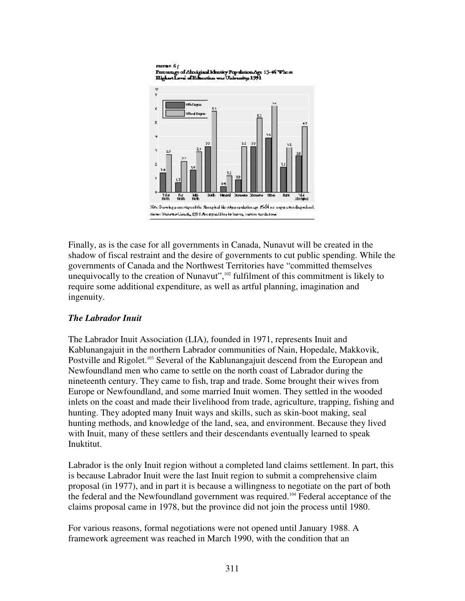

Finally, as is the case for all governments in Canada, Nunavut will be created in the shadow of fiscal restraint and the desire of governments to cut public spending. While the governments of Canada and the Northwest Territories have "committed themselves unequivocally to the creation of Nunavut", 102 fulfilment of this commitment is likely to require some additional expenditure, as well as artful planning, imagination and ingenuity.

### *The Labrador Inuit*

The Labrador Inuit Association (LIA), founded in 1971, represents Inuit and Kablunangajuit in the northern Labrador communities of Nain, Hopedale, Makkovik, Postville and Rigolet.<sup>103</sup> Several of the Kablunangajuit descend from the European and Newfoundland men who came to settle on the north coast of Labrador during the nineteenth century. They came to fish, trap and trade. Some brought their wives from Europe or Newfoundland, and some married Inuit women. They settled in the wooded inlets on the coast and made their livelihood from trade, agriculture, trapping, fishing and hunting. They adopted many Inuit ways and skills, such as skin-boot making, seal hunting methods, and knowledge of the land, sea, and environment. Because they lived with Inuit, many of these settlers and their descendants eventually learned to speak Inuktitut.

Labrador is the only Inuit region without a completed land claims settlement. In part, this is because Labrador Inuit were the last Inuit region to submit a comprehensive claim proposal (in 1977), and in part it is because a willingness to negotiate on the part of both the federal and the Newfoundland government was required. <sup>104</sup> Federal acceptance of the claims proposal came in 1978, but the province did not join the process until 1980.

For various reasons, formal negotiations were not opened until January 1988. A framework agreement was reached in March 1990, with the condition that an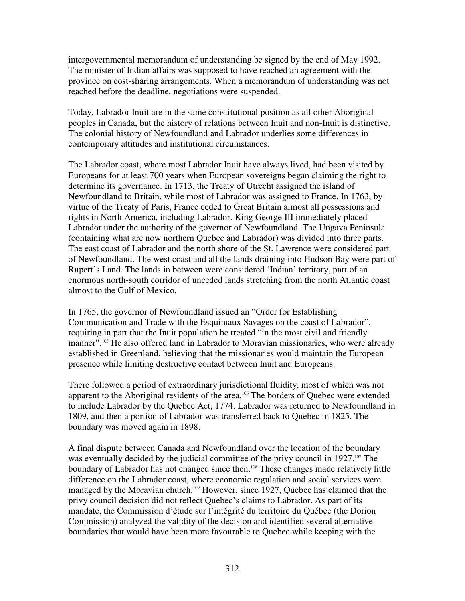intergovernmental memorandum of understanding be signed by the end of May 1992. The minister of Indian affairs was supposed to have reached an agreement with the province on cost-sharing arrangements. When a memorandum of understanding was not reached before the deadline, negotiations were suspended.

Today, Labrador Inuit are in the same constitutional position as all other Aboriginal peoples in Canada, but the history of relations between Inuit and non-Inuit is distinctive. The colonial history of Newfoundland and Labrador underlies some differences in contemporary attitudes and institutional circumstances.

The Labrador coast, where most Labrador Inuit have always lived, had been visited by Europeans for at least 700 years when European sovereigns began claiming the right to determine its governance. In 1713, the Treaty of Utrecht assigned the island of Newfoundland to Britain, while most of Labrador was assigned to France. In 1763, by virtue of the Treaty of Paris, France ceded to Great Britain almost all possessions and rights in North America, including Labrador. King George III immediately placed Labrador under the authority of the governor of Newfoundland. The Ungava Peninsula (containing what are now northern Quebec and Labrador) was divided into three parts. The east coast of Labrador and the north shore of the St. Lawrence were considered part of Newfoundland. The west coast and all the lands draining into Hudson Bay were part of Rupert's Land. The lands in between were considered 'Indian' territory, part of an enormous north-south corridor of unceded lands stretching from the north Atlantic coast almost to the Gulf of Mexico.

In 1765, the governor of Newfoundland issued an "Order for Establishing Communication and Trade with the Esquimaux Savages on the coast of Labrador", requiring in part that the Inuit population be treated "in the most civil and friendly manner".<sup>105</sup> He also offered land in Labrador to Moravian missionaries, who were already established in Greenland, believing that the missionaries would maintain the European presence while limiting destructive contact between Inuit and Europeans.

There followed a period of extraordinary jurisdictional fluidity, most of which was not apparent to the Aboriginal residents of the area. <sup>106</sup> The borders of Quebec were extended to include Labrador by the Quebec Act, 1774. Labrador was returned to Newfoundland in 1809, and then a portion of Labrador was transferred back to Quebec in 1825. The boundary was moved again in 1898.

A final dispute between Canada and Newfoundland over the location of the boundary was eventually decided by the judicial committee of the privy council in 1927.<sup>107</sup> The boundary of Labrador has not changed since then. <sup>108</sup> These changes made relatively little difference on the Labrador coast, where economic regulation and social services were managed by the Moravian church.<sup>109</sup> However, since 1927, Quebec has claimed that the privy council decision did not reflect Quebec's claims to Labrador. As part of its mandate, the Commission d'étude sur l'intégrité du territoire du Québec (the Dorion Commission) analyzed the validity of the decision and identified several alternative boundaries that would have been more favourable to Quebec while keeping with the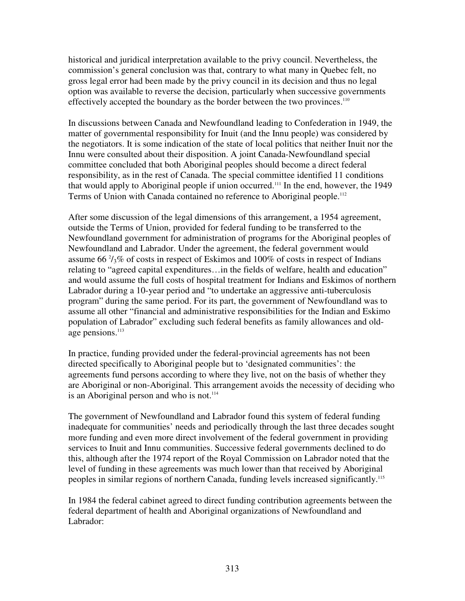historical and juridical interpretation available to the privy council. Nevertheless, the commission's general conclusion was that, contrary to what many in Quebec felt, no gross legal error had been made by the privy council in its decision and thus no legal option was available to reverse the decision, particularly when successive governments effectively accepted the boundary as the border between the two provinces.<sup>110</sup>

In discussions between Canada and Newfoundland leading to Confederation in 1949, the matter of governmental responsibility for Inuit (and the Innu people) was considered by the negotiators. It is some indication of the state of local politics that neither Inuit nor the Innu were consulted about their disposition. A joint Canada-Newfoundland special committee concluded that both Aboriginal peoples should become a direct federal responsibility, as in the rest of Canada. The special committee identified 11 conditions that would apply to Aboriginal people if union occurred.<sup>111</sup> In the end, however, the 1949 Terms of Union with Canada contained no reference to Aboriginal people.<sup>112</sup>

After some discussion of the legal dimensions of this arrangement, a 1954 agreement, outside the Terms of Union, provided for federal funding to be transferred to the Newfoundland government for administration of programs for the Aboriginal peoples of Newfoundland and Labrador. Under the agreement, the federal government would assume 66 2 /3% of costs in respect of Eskimos and 100% of costs in respect of Indians relating to "agreed capital expenditures…in the fields of welfare, health and education" and would assume the full costs of hospital treatment for Indians and Eskimos of northern Labrador during a 10-year period and "to undertake an aggressive anti-tuberculosis program" during the same period. For its part, the government of Newfoundland was to assume all other "financial and administrative responsibilities for the Indian and Eskimo population of Labrador" excluding such federal benefits as family allowances and oldage pensions. 113

In practice, funding provided under the federal-provincial agreements has not been directed specifically to Aboriginal people but to 'designated communities': the agreements fund persons according to where they live, not on the basis of whether they are Aboriginal or non-Aboriginal. This arrangement avoids the necessity of deciding who is an Aboriginal person and who is not.<sup>114</sup>

The government of Newfoundland and Labrador found this system of federal funding inadequate for communities' needs and periodically through the last three decades sought more funding and even more direct involvement of the federal government in providing services to Inuit and Innu communities. Successive federal governments declined to do this, although after the 1974 report of the Royal Commission on Labrador noted that the level of funding in these agreements was much lower than that received by Aboriginal peoples in similar regions of northern Canada, funding levels increased significantly. 115

In 1984 the federal cabinet agreed to direct funding contribution agreements between the federal department of health and Aboriginal organizations of Newfoundland and Labrador: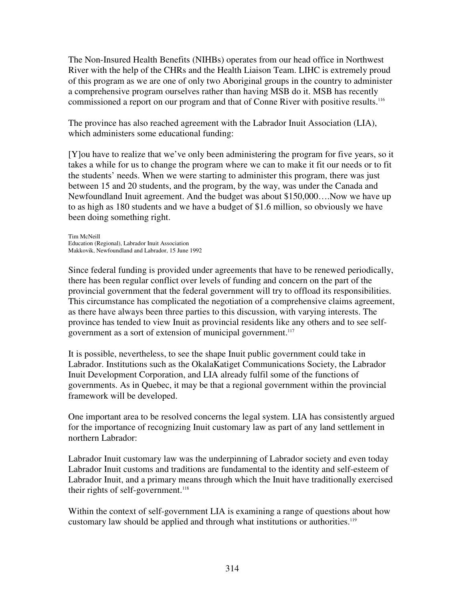The Non-Insured Health Benefits (NIHBs) operates from our head office in Northwest River with the help of the CHRs and the Health Liaison Team. LIHC is extremely proud of this program as we are one of only two Aboriginal groups in the country to administer a comprehensive program ourselves rather than having MSB do it. MSB has recently commissioned a report on our program and that of Conne River with positive results.<sup>116</sup>

The province has also reached agreement with the Labrador Inuit Association (LIA), which administers some educational funding:

[Y]ou have to realize that we've only been administering the program for five years, so it takes a while for us to change the program where we can to make it fit our needs or to fit the students' needs. When we were starting to administer this program, there was just between 15 and 20 students, and the program, by the way, was under the Canada and Newfoundland Inuit agreement. And the budget was about \$150,000….Now we have up to as high as 180 students and we have a budget of \$1.6 million, so obviously we have been doing something right.

Tim McNeill Education (Regional), Labrador Inuit Association Makkovik, Newfoundland and Labrador, 15 June 1992

Since federal funding is provided under agreements that have to be renewed periodically, there has been regular conflict over levels of funding and concern on the part of the provincial government that the federal government will try to offload its responsibilities. This circumstance has complicated the negotiation of a comprehensive claims agreement, as there have always been three parties to this discussion, with varying interests. The province has tended to view Inuit as provincial residents like any others and to see selfgovernment as a sort of extension of municipal government. 117

It is possible, nevertheless, to see the shape Inuit public government could take in Labrador. Institutions such as the OkalaKatiget Communications Society, the Labrador Inuit Development Corporation, and LIA already fulfil some of the functions of governments. As in Quebec, it may be that a regional government within the provincial framework will be developed.

One important area to be resolved concerns the legal system. LIA has consistently argued for the importance of recognizing Inuit customary law as part of any land settlement in northern Labrador:

Labrador Inuit customary law was the underpinning of Labrador society and even today Labrador Inuit customs and traditions are fundamental to the identity and self-esteem of Labrador Inuit, and a primary means through which the Inuit have traditionally exercised their rights of self-government. 118

Within the context of self-government LIA is examining a range of questions about how customary law should be applied and through what institutions or authorities. 119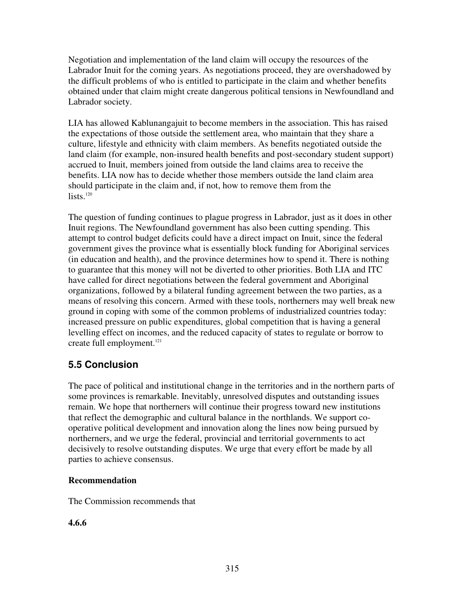Negotiation and implementation of the land claim will occupy the resources of the Labrador Inuit for the coming years. As negotiations proceed, they are overshadowed by the difficult problems of who is entitled to participate in the claim and whether benefits obtained under that claim might create dangerous political tensions in Newfoundland and Labrador society.

LIA has allowed Kablunangajuit to become members in the association. This has raised the expectations of those outside the settlement area, who maintain that they share a culture, lifestyle and ethnicity with claim members. As benefits negotiated outside the land claim (for example, non-insured health benefits and post-secondary student support) accrued to Inuit, members joined from outside the land claims area to receive the benefits. LIA now has to decide whether those members outside the land claim area should participate in the claim and, if not, how to remove them from the lists.<sup>120</sup>

The question of funding continues to plague progress in Labrador, just as it does in other Inuit regions. The Newfoundland government has also been cutting spending. This attempt to control budget deficits could have a direct impact on Inuit, since the federal government gives the province what is essentially block funding for Aboriginal services (in education and health), and the province determines how to spend it. There is nothing to guarantee that this money will not be diverted to other priorities. Both LIA and ITC have called for direct negotiations between the federal government and Aboriginal organizations, followed by a bilateral funding agreement between the two parties, as a means of resolving this concern. Armed with these tools, northerners may well break new ground in coping with some of the common problems of industrialized countries today: increased pressure on public expenditures, global competition that is having a general levelling effect on incomes, and the reduced capacity of states to regulate or borrow to create full employment. 121

# **5.5 Conclusion**

The pace of political and institutional change in the territories and in the northern parts of some provinces is remarkable. Inevitably, unresolved disputes and outstanding issues remain. We hope that northerners will continue their progress toward new institutions that reflect the demographic and cultural balance in the northlands. We support cooperative political development and innovation along the lines now being pursued by northerners, and we urge the federal, provincial and territorial governments to act decisively to resolve outstanding disputes. We urge that every effort be made by all parties to achieve consensus.

### **Recommendation**

The Commission recommends that

**4.6.6**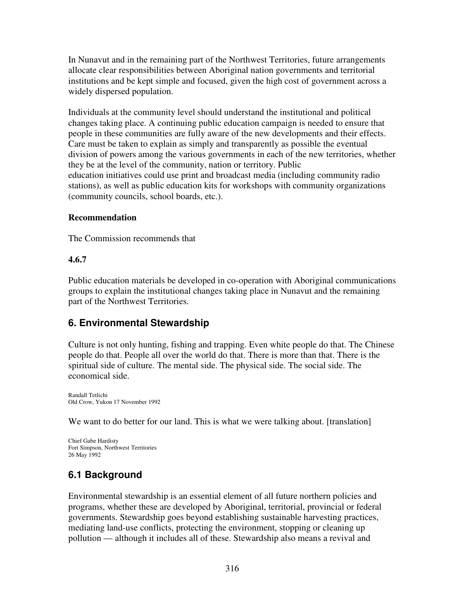In Nunavut and in the remaining part of the Northwest Territories, future arrangements allocate clear responsibilities between Aboriginal nation governments and territorial institutions and be kept simple and focused, given the high cost of government across a widely dispersed population.

Individuals at the community level should understand the institutional and political changes taking place. A continuing public education campaign is needed to ensure that people in these communities are fully aware of the new developments and their effects. Care must be taken to explain as simply and transparently as possible the eventual division of powers among the various governments in each of the new territories, whether they be at the level of the community, nation or territory. Public education initiatives could use print and broadcast media (including community radio stations), as well as public education kits for workshops with community organizations (community councils, school boards, etc.).

### **Recommendation**

The Commission recommends that

#### **4.6.7**

Public education materials be developed in co-operation with Aboriginal communications groups to explain the institutional changes taking place in Nunavut and the remaining part of the Northwest Territories.

## **6. Environmental Stewardship**

Culture is not only hunting, fishing and trapping. Even white people do that. The Chinese people do that. People all over the world do that. There is more than that. There is the spiritual side of culture. The mental side. The physical side. The social side. The economical side.

Randall Tetlichi Old Crow, Yukon 17 November 1992

We want to do better for our land. This is what we were talking about. [translation]

Chief Gabe Hardisty Fort Simpson, Northwest Territories 26 May 1992

# **6.1 Background**

Environmental stewardship is an essential element of all future northern policies and programs, whether these are developed by Aboriginal, territorial, provincial or federal governments. Stewardship goes beyond establishing sustainable harvesting practices, mediating land-use conflicts, protecting the environment, stopping or cleaning up pollution — although it includes all of these. Stewardship also means a revival and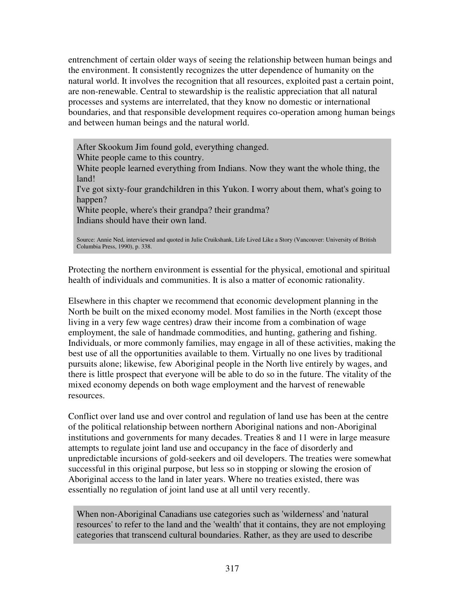entrenchment of certain older ways of seeing the relationship between human beings and the environment. It consistently recognizes the utter dependence of humanity on the natural world. It involves the recognition that all resources, exploited past a certain point, are non-renewable. Central to stewardship is the realistic appreciation that all natural processes and systems are interrelated, that they know no domestic or international boundaries, and that responsible development requires co-operation among human beings and between human beings and the natural world.

After Skookum Jim found gold, everything changed.

White people came to this country.

White people learned everything from Indians. Now they want the whole thing, the land!

I've got sixty-four grandchildren in this Yukon. I worry about them, what's going to happen?

White people, where's their grandpa? their grandma? Indians should have their own land.

Source: Annie Ned, interviewed and quoted in Julie Cruikshank, Life Lived Like a Story (Vancouver: University of British Columbia Press, 1990), p. 338.

Protecting the northern environment is essential for the physical, emotional and spiritual health of individuals and communities. It is also a matter of economic rationality.

Elsewhere in this chapter we recommend that economic development planning in the North be built on the mixed economy model. Most families in the North (except those living in a very few wage centres) draw their income from a combination of wage employment, the sale of handmade commodities, and hunting, gathering and fishing. Individuals, or more commonly families, may engage in all of these activities, making the best use of all the opportunities available to them. Virtually no one lives by traditional pursuits alone; likewise, few Aboriginal people in the North live entirely by wages, and there is little prospect that everyone will be able to do so in the future. The vitality of the mixed economy depends on both wage employment and the harvest of renewable resources.

Conflict over land use and over control and regulation of land use has been at the centre of the political relationship between northern Aboriginal nations and non-Aboriginal institutions and governments for many decades. Treaties 8 and 11 were in large measure attempts to regulate joint land use and occupancy in the face of disorderly and unpredictable incursions of gold-seekers and oil developers. The treaties were somewhat successful in this original purpose, but less so in stopping or slowing the erosion of Aboriginal access to the land in later years. Where no treaties existed, there was essentially no regulation of joint land use at all until very recently.

When non-Aboriginal Canadians use categories such as 'wilderness'and 'natural resources'to refer to the land and the 'wealth'that it contains, they are not employing categories that transcend cultural boundaries. Rather, as they are used to describe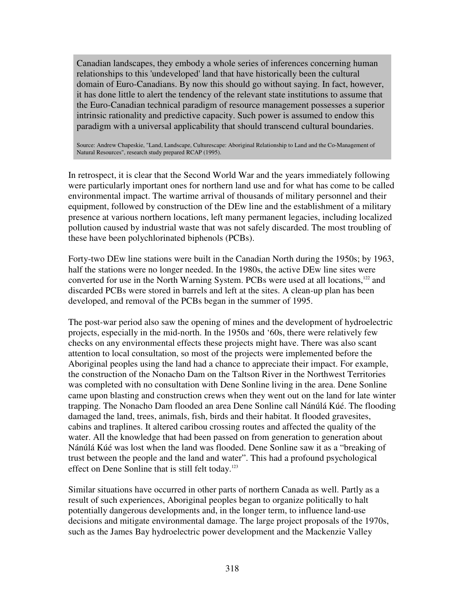Canadian landscapes, they embody a whole series of inferences concerning human relationships to this 'undeveloped'land that have historically been the cultural domain of Euro-Canadians. By now this should go without saying. In fact, however, it has done little to alert the tendency of the relevant state institutions to assume that the Euro-Canadian technical paradigm of resource management possesses a superior intrinsic rationality and predictive capacity. Such power is assumed to endow this paradigm with a universal applicability that should transcend cultural boundaries.

Source: Andrew Chapeskie, "Land, Landscape, Culturescape: Aboriginal Relationship to Land and the Co-Management of Natural Resources", research study prepared RCAP (1995).

In retrospect, it is clear that the Second World War and the years immediately following were particularly important ones for northern land use and for what has come to be called environmental impact. The wartime arrival of thousands of military personnel and their equipment, followed by construction of the DEw line and the establishment of a military presence at various northern locations, left many permanent legacies, including localized pollution caused by industrial waste that was not safely discarded. The most troubling of these have been polychlorinated biphenols (PCBs).

Forty-two DEw line stations were built in the Canadian North during the 1950s; by 1963, half the stations were no longer needed. In the 1980s, the active DEw line sites were converted for use in the North Warning System. PCBs were used at all locations,<sup>122</sup> and discarded PCBs were stored in barrels and left at the sites. A clean-up plan has been developed, and removal of the PCBs began in the summer of 1995.

The post-war period also saw the opening of mines and the development of hydroelectric projects, especially in the mid-north. In the 1950s and '60s, there were relatively few checks on any environmental effects these projects might have. There was also scant attention to local consultation, so most of the projects were implemented before the Aboriginal peoples using the land had a chance to appreciate their impact. For example, the construction of the Nonacho Dam on the Taltson River in the Northwest Territories was completed with no consultation with Dene Sonline living in the area. Dene Sonline came upon blasting and construction crews when they went out on the land for late winter trapping. The Nonacho Dam flooded an area Dene Sonline call Nánúlá Kúé. The flooding damaged the land, trees, animals, fish, birds and their habitat. It flooded gravesites, cabins and traplines. It altered caribou crossing routes and affected the quality of the water. All the knowledge that had been passed on from generation to generation about Nánúlá Kúé was lost when the land was flooded. Dene Sonline saw it as a "breaking of trust between the people and the land and water". This had a profound psychological effect on Dene Sonline that is still felt today.<sup>123</sup>

Similar situations have occurred in other parts of northern Canada as well. Partly as a result of such experiences, Aboriginal peoples began to organize politically to halt potentially dangerous developments and, in the longer term, to influence land-use decisions and mitigate environmental damage. The large project proposals of the 1970s, such as the James Bay hydroelectric power development and the Mackenzie Valley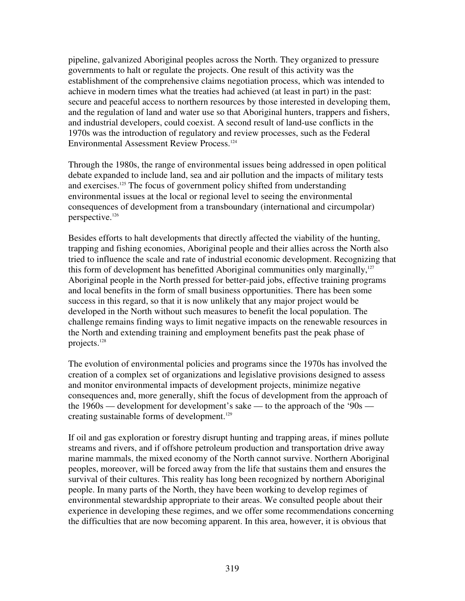pipeline, galvanized Aboriginal peoples across the North. They organized to pressure governments to halt or regulate the projects. One result of this activity was the establishment of the comprehensive claims negotiation process, which was intended to achieve in modern times what the treaties had achieved (at least in part) in the past: secure and peaceful access to northern resources by those interested in developing them, and the regulation of land and water use so that Aboriginal hunters, trappers and fishers, and industrial developers, could coexist. A second result of land-use conflicts in the 1970s was the introduction of regulatory and review processes, such as the Federal Environmental Assessment Review Process. 124

Through the 1980s, the range of environmental issues being addressed in open political debate expanded to include land, sea and air pollution and the impacts of military tests and exercises.<sup>125</sup> The focus of government policy shifted from understanding environmental issues at the local or regional level to seeing the environmental consequences of development from a transboundary (international and circumpolar) perspective. 126

Besides efforts to halt developments that directly affected the viability of the hunting, trapping and fishing economies, Aboriginal people and their allies across the North also tried to influence the scale and rate of industrial economic development. Recognizing that this form of development has benefitted Aboriginal communities only marginally,<sup>127</sup> Aboriginal people in the North pressed for better-paid jobs, effective training programs and local benefits in the form of small business opportunities. There has been some success in this regard, so that it is now unlikely that any major project would be developed in the North without such measures to benefit the local population. The challenge remains finding ways to limit negative impacts on the renewable resources in the North and extending training and employment benefits past the peak phase of projects. 128

The evolution of environmental policies and programs since the 1970s has involved the creation of a complex set of organizations and legislative provisions designed to assess and monitor environmental impacts of development projects, minimize negative consequences and, more generally, shift the focus of development from the approach of the 1960s — development for development's sake — to the approach of the '90s creating sustainable forms of development. 129

If oil and gas exploration or forestry disrupt hunting and trapping areas, if mines pollute streams and rivers, and if offshore petroleum production and transportation drive away marine mammals, the mixed economy of the North cannot survive. Northern Aboriginal peoples, moreover, will be forced away from the life that sustains them and ensures the survival of their cultures. This reality has long been recognized by northern Aboriginal people. In many parts of the North, they have been working to develop regimes of environmental stewardship appropriate to their areas. We consulted people about their experience in developing these regimes, and we offer some recommendations concerning the difficulties that are now becoming apparent. In this area, however, it is obvious that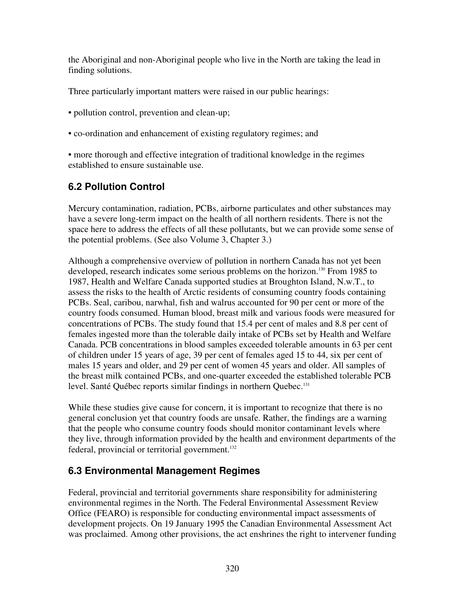the Aboriginal and non-Aboriginal people who live in the North are taking the lead in finding solutions.

Three particularly important matters were raised in our public hearings:

• pollution control, prevention and clean-up;

• co-ordination and enhancement of existing regulatory regimes; and

• more thorough and effective integration of traditional knowledge in the regimes established to ensure sustainable use.

# **6.2 Pollution Control**

Mercury contamination, radiation, PCBs, airborne particulates and other substances may have a severe long-term impact on the health of all northern residents. There is not the space here to address the effects of all these pollutants, but we can provide some sense of the potential problems. (See also Volume 3, Chapter 3.)

Although a comprehensive overview of pollution in northern Canada has not yet been developed, research indicates some serious problems on the horizon. <sup>130</sup> From 1985 to 1987, Health and Welfare Canada supported studies at Broughton Island, N.w.T., to assess the risks to the health of Arctic residents of consuming country foods containing PCBs. Seal, caribou, narwhal, fish and walrus accounted for 90 per cent or more of the country foods consumed. Human blood, breast milk and various foods were measured for concentrations of PCBs. The study found that 15.4 per cent of males and 8.8 per cent of females ingested more than the tolerable daily intake of PCBs set by Health and Welfare Canada. PCB concentrations in blood samples exceeded tolerable amounts in 63 per cent of children under 15 years of age, 39 per cent of females aged 15 to 44, six per cent of males 15 years and older, and 29 per cent of women 45 years and older. All samples of the breast milk contained PCBs, and one-quarter exceeded the established tolerable PCB level. Santé Québec reports similar findings in northern Quebec. 131

While these studies give cause for concern, it is important to recognize that there is no general conclusion yet that country foods are unsafe. Rather, the findings are a warning that the people who consume country foods should monitor contaminant levels where they live, through information provided by the health and environment departments of the federal, provincial or territorial government. 132

# **6.3 Environmental Management Regimes**

Federal, provincial and territorial governments share responsibility for administering environmental regimes in the North. The Federal Environmental Assessment Review Office (FEARO) is responsible for conducting environmental impact assessments of development projects. On 19 January 1995 the Canadian Environmental Assessment Act was proclaimed. Among other provisions, the act enshrines the right to intervener funding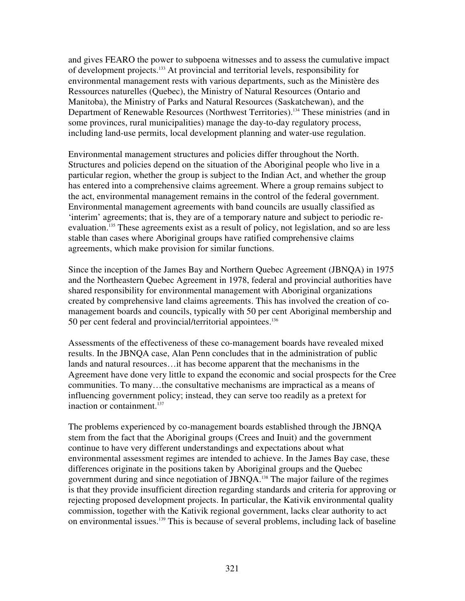and gives FEARO the power to subpoena witnesses and to assess the cumulative impact of development projects. <sup>133</sup> At provincial and territorial levels, responsibility for environmental management rests with various departments, such as the Ministère des Ressources naturelles (Quebec), the Ministry of Natural Resources (Ontario and Manitoba), the Ministry of Parks and Natural Resources (Saskatchewan), and the Department of Renewable Resources (Northwest Territories). <sup>134</sup> These ministries (and in some provinces, rural municipalities) manage the day-to-day regulatory process, including land-use permits, local development planning and water-use regulation.

Environmental management structures and policies differ throughout the North. Structures and policies depend on the situation of the Aboriginal people who live in a particular region, whether the group is subject to the Indian Act, and whether the group has entered into a comprehensive claims agreement. Where a group remains subject to the act, environmental management remains in the control of the federal government. Environmental management agreements with band councils are usually classified as 'interim' agreements; that is, they are of a temporary nature and subject to periodic reevaluation. <sup>135</sup> These agreements exist as a result of policy, not legislation, and so are less stable than cases where Aboriginal groups have ratified comprehensive claims agreements, which make provision for similar functions.

Since the inception of the James Bay and Northern Quebec Agreement (JBNQA) in 1975 and the Northeastern Quebec Agreement in 1978, federal and provincial authorities have shared responsibility for environmental management with Aboriginal organizations created by comprehensive land claims agreements. This has involved the creation of comanagement boards and councils, typically with 50 per cent Aboriginal membership and 50 per cent federal and provincial/territorial appointees. 136

Assessments of the effectiveness of these co-management boards have revealed mixed results. In the JBNQA case, Alan Penn concludes that in the administration of public lands and natural resources…it has become apparent that the mechanisms in the Agreement have done very little to expand the economic and social prospects for the Cree communities. To many…the consultative mechanisms are impractical as a means of influencing government policy; instead, they can serve too readily as a pretext for inaction or containment. 137

The problems experienced by co-management boards established through the JBNQA stem from the fact that the Aboriginal groups (Crees and Inuit) and the government continue to have very different understandings and expectations about what environmental assessment regimes are intended to achieve. In the James Bay case, these differences originate in the positions taken by Aboriginal groups and the Quebec government during and since negotiation of JBNQA. <sup>138</sup> The major failure of the regimes is that they provide insufficient direction regarding standards and criteria for approving or rejecting proposed development projects. In particular, the Kativik environmental quality commission, together with the Kativik regional government, lacks clear authority to act on environmental issues. <sup>139</sup> This is because of several problems, including lack of baseline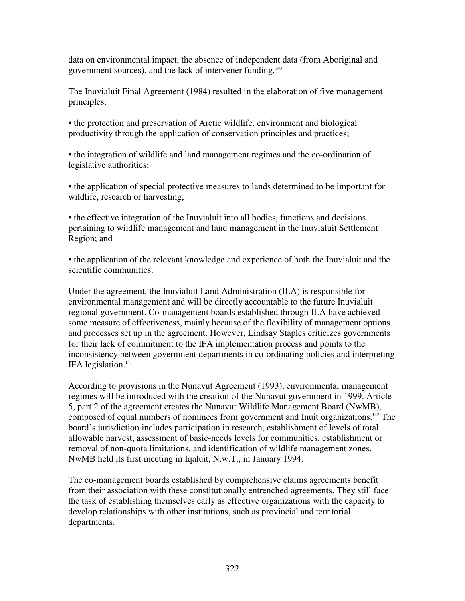data on environmental impact, the absence of independent data (from Aboriginal and government sources), and the lack of intervener funding. 140

The Inuvialuit Final Agreement (1984) resulted in the elaboration of five management principles:

• the protection and preservation of Arctic wildlife, environment and biological productivity through the application of conservation principles and practices;

• the integration of wildlife and land management regimes and the co-ordination of legislative authorities;

• the application of special protective measures to lands determined to be important for wildlife, research or harvesting;

• the effective integration of the Inuvialuit into all bodies, functions and decisions pertaining to wildlife management and land management in the Inuvialuit Settlement Region; and

• the application of the relevant knowledge and experience of both the Inuvialuit and the scientific communities.

Under the agreement, the Inuvialuit Land Administration (ILA) is responsible for environmental management and will be directly accountable to the future Inuvialuit regional government. Co-management boards established through ILA have achieved some measure of effectiveness, mainly because of the flexibility of management options and processes set up in the agreement. However, Lindsay Staples criticizes governments for their lack of commitment to the IFA implementation process and points to the inconsistency between government departments in co-ordinating policies and interpreting IFA legislation. 141

According to provisions in the Nunavut Agreement (1993), environmental management regimes will be introduced with the creation of the Nunavut government in 1999. Article 5, part 2 of the agreement creates the Nunavut Wildlife Management Board (NwMB), composed of equal numbers of nominees from government and Inuit organizations.<sup>142</sup> The board's jurisdiction includes participation in research, establishment of levels of total allowable harvest, assessment of basic-needs levels for communities, establishment or removal of non-quota limitations, and identification of wildlife management zones. NwMB held its first meeting in Iqaluit, N.w.T., in January 1994.

The co-management boards established by comprehensive claims agreements benefit from their association with these constitutionally entrenched agreements. They still face the task of establishing themselves early as effective organizations with the capacity to develop relationships with other institutions, such as provincial and territorial departments.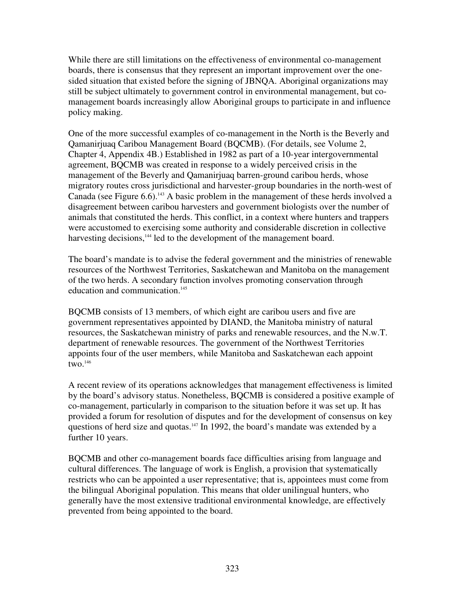While there are still limitations on the effectiveness of environmental co-management boards, there is consensus that they represent an important improvement over the onesided situation that existed before the signing of JBNQA. Aboriginal organizations may still be subject ultimately to government control in environmental management, but comanagement boards increasingly allow Aboriginal groups to participate in and influence policy making.

One of the more successful examples of co-management in the North is the Beverly and Qamanirjuaq Caribou Management Board (BQCMB). (For details, see Volume 2, Chapter 4, Appendix 4B.) Established in 1982 as part of a 10-year intergovernmental agreement, BQCMB was created in response to a widely perceived crisis in the management of the Beverly and Qamanirjuaq barren-ground caribou herds, whose migratory routes cross jurisdictional and harvester-group boundaries in the north-west of Canada (see Figure 6.6).<sup>143</sup> A basic problem in the management of these herds involved a disagreement between caribou harvesters and government biologists over the number of animals that constituted the herds. This conflict, in a context where hunters and trappers were accustomed to exercising some authority and considerable discretion in collective harvesting decisions,<sup>144</sup> led to the development of the management board.

The board's mandate is to advise the federal government and the ministries of renewable resources of the Northwest Territories, Saskatchewan and Manitoba on the management of the two herds. A secondary function involves promoting conservation through education and communication. 145

BQCMB consists of 13 members, of which eight are caribou users and five are government representatives appointed by DIAND, the Manitoba ministry of natural resources, the Saskatchewan ministry of parks and renewable resources, and the N.w.T. department of renewable resources. The government of the Northwest Territories appoints four of the user members, while Manitoba and Saskatchewan each appoint two. $146$ 

A recent review of its operations acknowledges that management effectiveness is limited by the board's advisory status. Nonetheless, BQCMB is considered a positive example of co-management, particularly in comparison to the situation before it was set up. It has provided a forum for resolution of disputes and for the development of consensus on key questions of herd size and quotas.<sup>147</sup> In 1992, the board's mandate was extended by a further 10 years.

BQCMB and other co-management boards face difficulties arising from language and cultural differences. The language of work is English, a provision that systematically restricts who can be appointed a user representative; that is, appointees must come from the bilingual Aboriginal population. This means that older unilingual hunters, who generally have the most extensive traditional environmental knowledge, are effectively prevented from being appointed to the board.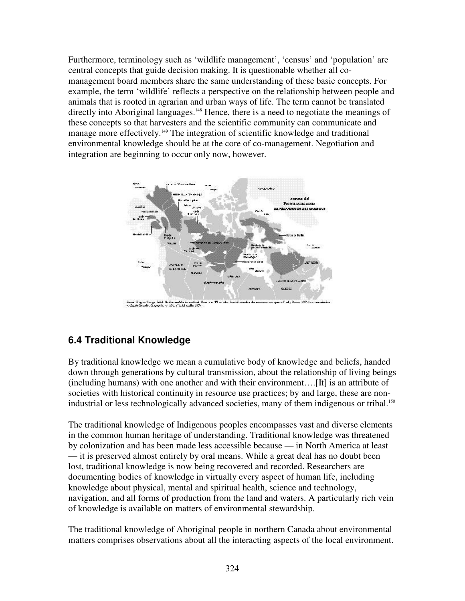Furthermore, terminology such as 'wildlife management', 'census' and 'population' are central concepts that guide decision making. It is questionable whether all comanagement board members share the same understanding of these basic concepts. For example, the term 'wildlife' reflects a perspective on the relationship between people and animals that is rooted in agrarian and urban ways of life. The term cannot be translated directly into Aboriginal languages.<sup>148</sup> Hence, there is a need to negotiate the meanings of these concepts so that harvesters and the scientific community can communicate and manage more effectively.<sup>149</sup> The integration of scientific knowledge and traditional environmental knowledge should be at the core of co-management. Negotiation and integration are beginning to occur only now, however.



## **6.4 Traditional Knowledge**

By traditional knowledge we mean a cumulative body of knowledge and beliefs, handed down through generations by cultural transmission, about the relationship of living beings (including humans) with one another and with their environment….[It] is an attribute of societies with historical continuity in resource use practices; by and large, these are nonindustrial or less technologically advanced societies, many of them indigenous or tribal.<sup>150</sup>

The traditional knowledge of Indigenous peoples encompasses vast and diverse elements in the common human heritage of understanding. Traditional knowledge was threatened by colonization and has been made less accessible because — in North America at least — it is preserved almost entirely by oral means. While a great deal has no doubt been lost, traditional knowledge is now being recovered and recorded. Researchers are documenting bodies of knowledge in virtually every aspect of human life, including knowledge about physical, mental and spiritual health, science and technology, navigation, and all forms of production from the land and waters. A particularly rich vein of knowledge is available on matters of environmental stewardship.

The traditional knowledge of Aboriginal people in northern Canada about environmental matters comprises observations about all the interacting aspects of the local environment.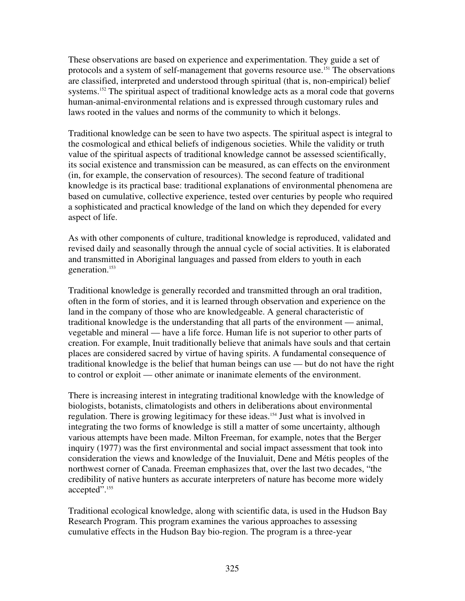These observations are based on experience and experimentation. They guide a set of protocols and a system of self-management that governs resource use. <sup>151</sup> The observations are classified, interpreted and understood through spiritual (that is, non-empirical) belief systems.<sup>152</sup> The spiritual aspect of traditional knowledge acts as a moral code that governs human-animal-environmental relations and is expressed through customary rules and laws rooted in the values and norms of the community to which it belongs.

Traditional knowledge can be seen to have two aspects. The spiritual aspect is integral to the cosmological and ethical beliefs of indigenous societies. While the validity or truth value of the spiritual aspects of traditional knowledge cannot be assessed scientifically, its social existence and transmission can be measured, as can effects on the environment (in, for example, the conservation of resources). The second feature of traditional knowledge is its practical base: traditional explanations of environmental phenomena are based on cumulative, collective experience, tested over centuries by people who required a sophisticated and practical knowledge of the land on which they depended for every aspect of life.

As with other components of culture, traditional knowledge is reproduced, validated and revised daily and seasonally through the annual cycle of social activities. It is elaborated and transmitted in Aboriginal languages and passed from elders to youth in each generation. 153

Traditional knowledge is generally recorded and transmitted through an oral tradition, often in the form of stories, and it is learned through observation and experience on the land in the company of those who are knowledgeable. A general characteristic of traditional knowledge is the understanding that all parts of the environment — animal, vegetable and mineral — have a life force. Human life is not superior to other parts of creation. For example, Inuit traditionally believe that animals have souls and that certain places are considered sacred by virtue of having spirits. A fundamental consequence of traditional knowledge is the belief that human beings can use — but do not have the right to control or exploit — other animate or inanimate elements of the environment.

There is increasing interest in integrating traditional knowledge with the knowledge of biologists, botanists, climatologists and others in deliberations about environmental regulation. There is growing legitimacy for these ideas. 154 Just what is involved in integrating the two forms of knowledge is still a matter of some uncertainty, although various attempts have been made. Milton Freeman, for example, notes that the Berger inquiry (1977) was the first environmental and social impact assessment that took into consideration the views and knowledge of the Inuvialuit, Dene and Métis peoples of the northwest corner of Canada. Freeman emphasizes that, over the last two decades, "the credibility of native hunters as accurate interpreters of nature has become more widely accepted". 155

Traditional ecological knowledge, along with scientific data, is used in the Hudson Bay Research Program. This program examines the various approaches to assessing cumulative effects in the Hudson Bay bio-region. The program is a three-year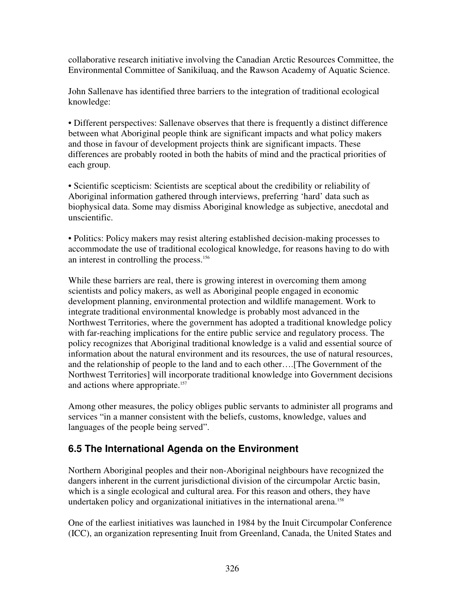collaborative research initiative involving the Canadian Arctic Resources Committee, the Environmental Committee of Sanikiluaq, and the Rawson Academy of Aquatic Science.

John Sallenave has identified three barriers to the integration of traditional ecological knowledge:

• Different perspectives: Sallenave observes that there is frequently a distinct difference between what Aboriginal people think are significant impacts and what policy makers and those in favour of development projects think are significant impacts. These differences are probably rooted in both the habits of mind and the practical priorities of each group.

• Scientific scepticism: Scientists are sceptical about the credibility or reliability of Aboriginal information gathered through interviews, preferring 'hard' data such as biophysical data. Some may dismiss Aboriginal knowledge as subjective, anecdotal and unscientific.

• Politics: Policy makers may resist altering established decision-making processes to accommodate the use of traditional ecological knowledge, for reasons having to do with an interest in controlling the process. 156

While these barriers are real, there is growing interest in overcoming them among scientists and policy makers, as well as Aboriginal people engaged in economic development planning, environmental protection and wildlife management. Work to integrate traditional environmental knowledge is probably most advanced in the Northwest Territories, where the government has adopted a traditional knowledge policy with far-reaching implications for the entire public service and regulatory process. The policy recognizes that Aboriginal traditional knowledge is a valid and essential source of information about the natural environment and its resources, the use of natural resources, and the relationship of people to the land and to each other….[The Government of the Northwest Territories] will incorporate traditional knowledge into Government decisions and actions where appropriate. 157

Among other measures, the policy obliges public servants to administer all programs and services "in a manner consistent with the beliefs, customs, knowledge, values and languages of the people being served".

# **6.5 The International Agenda on the Environment**

Northern Aboriginal peoples and their non-Aboriginal neighbours have recognized the dangers inherent in the current jurisdictional division of the circumpolar Arctic basin, which is a single ecological and cultural area. For this reason and others, they have undertaken policy and organizational initiatives in the international arena. 158

One of the earliest initiatives was launched in 1984 by the Inuit Circumpolar Conference (ICC), an organization representing Inuit from Greenland, Canada, the United States and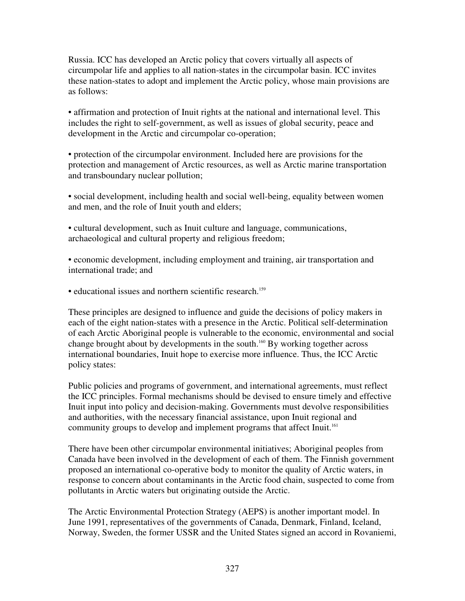Russia. ICC has developed an Arctic policy that covers virtually all aspects of circumpolar life and applies to all nation-states in the circumpolar basin. ICC invites these nation-states to adopt and implement the Arctic policy, whose main provisions are as follows:

• affirmation and protection of Inuit rights at the national and international level. This includes the right to self-government, as well as issues of global security, peace and development in the Arctic and circumpolar co-operation;

• protection of the circumpolar environment. Included here are provisions for the protection and management of Arctic resources, as well as Arctic marine transportation and transboundary nuclear pollution;

• social development, including health and social well-being, equality between women and men, and the role of Inuit youth and elders;

• cultural development, such as Inuit culture and language, communications, archaeological and cultural property and religious freedom;

• economic development, including employment and training, air transportation and international trade; and

• educational issues and northern scientific research.<sup>159</sup>

These principles are designed to influence and guide the decisions of policy makers in each of the eight nation-states with a presence in the Arctic. Political self-determination of each Arctic Aboriginal people is vulnerable to the economic, environmental and social change brought about by developments in the south. <sup>160</sup> By working together across international boundaries, Inuit hope to exercise more influence. Thus, the ICC Arctic policy states:

Public policies and programs of government, and international agreements, must reflect the ICC principles. Formal mechanisms should be devised to ensure timely and effective Inuit input into policy and decision-making. Governments must devolve responsibilities and authorities, with the necessary financial assistance, upon Inuit regional and community groups to develop and implement programs that affect Inuit. 161

There have been other circumpolar environmental initiatives; Aboriginal peoples from Canada have been involved in the development of each of them. The Finnish government proposed an international co-operative body to monitor the quality of Arctic waters, in response to concern about contaminants in the Arctic food chain, suspected to come from pollutants in Arctic waters but originating outside the Arctic.

The Arctic Environmental Protection Strategy (AEPS) is another important model. In June 1991, representatives of the governments of Canada, Denmark, Finland, Iceland, Norway, Sweden, the former USSR and the United States signed an accord in Rovaniemi,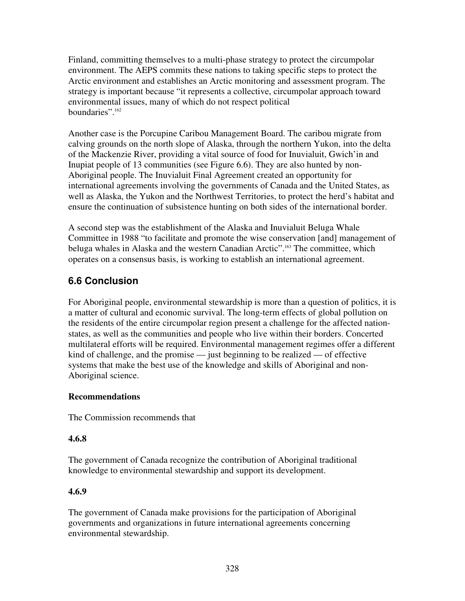Finland, committing themselves to a multi-phase strategy to protect the circumpolar environment. The AEPS commits these nations to taking specific steps to protect the Arctic environment and establishes an Arctic monitoring and assessment program. The strategy is important because "it represents a collective, circumpolar approach toward environmental issues, many of which do not respect political boundaries". 162

Another case is the Porcupine Caribou Management Board. The caribou migrate from calving grounds on the north slope of Alaska, through the northern Yukon, into the delta of the Mackenzie River, providing a vital source of food for Inuvialuit, Gwich'in and Inupiat people of 13 communities (see Figure 6.6). They are also hunted by non-Aboriginal people. The Inuvialuit Final Agreement created an opportunity for international agreements involving the governments of Canada and the United States, as well as Alaska, the Yukon and the Northwest Territories, to protect the herd's habitat and ensure the continuation of subsistence hunting on both sides of the international border.

A second step was the establishment of the Alaska and Inuvialuit Beluga Whale Committee in 1988 "to facilitate and promote the wise conservation [and] management of beluga whales in Alaska and the western Canadian Arctic". <sup>163</sup> The committee, which operates on a consensus basis, is working to establish an international agreement.

# **6.6 Conclusion**

For Aboriginal people, environmental stewardship is more than a question of politics, it is a matter of cultural and economic survival. The long-term effects of global pollution on the residents of the entire circumpolar region present a challenge for the affected nationstates, as well as the communities and people who live within their borders. Concerted multilateral efforts will be required. Environmental management regimes offer a different kind of challenge, and the promise — just beginning to be realized — of effective systems that make the best use of the knowledge and skills of Aboriginal and non-Aboriginal science.

## **Recommendations**

The Commission recommends that

## **4.6.8**

The government of Canada recognize the contribution of Aboriginal traditional knowledge to environmental stewardship and support its development.

## **4.6.9**

The government of Canada make provisions for the participation of Aboriginal governments and organizations in future international agreements concerning environmental stewardship.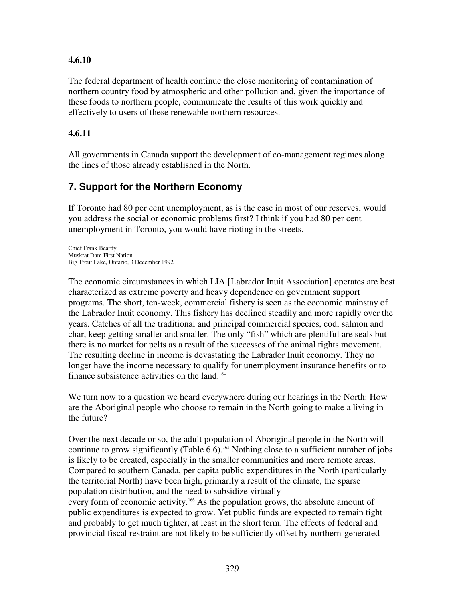## **4.6.10**

The federal department of health continue the close monitoring of contamination of northern country food by atmospheric and other pollution and, given the importance of these foods to northern people, communicate the results of this work quickly and effectively to users of these renewable northern resources.

## **4.6.11**

All governments in Canada support the development of co-management regimes along the lines of those already established in the North.

## **7. Support for the Northern Economy**

If Toronto had 80 per cent unemployment, as is the case in most of our reserves, would you address the social or economic problems first? I think if you had 80 per cent unemployment in Toronto, you would have rioting in the streets.

Chief Frank Beardy Muskrat Dam First Nation Big Trout Lake, Ontario, 3 December 1992

The economic circumstances in which LIA [Labrador Inuit Association] operates are best characterized as extreme poverty and heavy dependence on government support programs. The short, ten-week, commercial fishery is seen as the economic mainstay of the Labrador Inuit economy. This fishery has declined steadily and more rapidly over the years. Catches of all the traditional and principal commercial species, cod, salmon and char, keep getting smaller and smaller. The only "fish" which are plentiful are seals but there is no market for pelts as a result of the successes of the animal rights movement. The resulting decline in income is devastating the Labrador Inuit economy. They no longer have the income necessary to qualify for unemployment insurance benefits or to finance subsistence activities on the land. 164

We turn now to a question we heard everywhere during our hearings in the North: How are the Aboriginal people who choose to remain in the North going to make a living in the future?

Over the next decade or so, the adult population of Aboriginal people in the North will continue to grow significantly (Table 6.6). <sup>165</sup> Nothing close to a sufficient number of jobs is likely to be created, especially in the smaller communities and more remote areas. Compared to southern Canada, per capita public expenditures in the North (particularly the territorial North) have been high, primarily a result of the climate, the sparse population distribution, and the need to subsidize virtually

every form of economic activity.<sup>166</sup> As the population grows, the absolute amount of public expenditures is expected to grow. Yet public funds are expected to remain tight and probably to get much tighter, at least in the short term. The effects of federal and provincial fiscal restraint are not likely to be sufficiently offset by northern-generated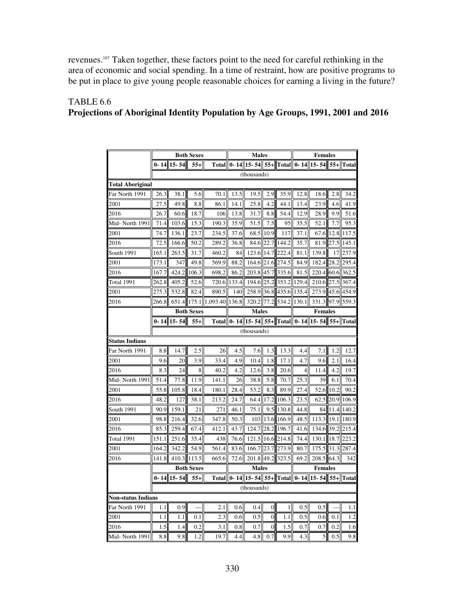revenues. <sup>167</sup> Taken together, these factors point to the need for careful rethinking in the area of economic and social spending. In a time of restraint, how are positive programs to be put in place to give young people reasonable choices for earning a living in the future?

## TABLE 6.6 **Projections of Aboriginal Identity Population by Age Groups, 1991, 2001 and 2016**

|                           |                         | <b>Both Sexes</b>  | <b>Males</b>      |          |              |                         | <b>Females</b> |                  |                                         |                                                                 |          |       |
|---------------------------|-------------------------|--------------------|-------------------|----------|--------------|-------------------------|----------------|------------------|-----------------------------------------|-----------------------------------------------------------------|----------|-------|
|                           |                         | $0 - 14$   15 - 54 | 55+               |          |              |                         |                |                  |                                         | Total   0- 14  15- 54   55+  Total   0- 14  15- 54   55+  Total |          |       |
|                           | (thousands)             |                    |                   |          |              |                         |                |                  |                                         |                                                                 |          |       |
| Total Aboriginal          |                         |                    |                   |          |              |                         |                |                  |                                         |                                                                 |          |       |
| Far North 1991            | 26.3                    | 38.1               | 5.6               | 70.1     | 13.5         | 19.5                    | 2.9            | 35.9             | 12.8                                    | 18.6                                                            | 2.8      | 34.2  |
| 2001                      | 27.5                    | 49.8               | 8.8               | 86.1     | 14.1         | 25.8                    | 4.2            | 44.1             | 13.4                                    | 23.9                                                            | 4.6      | 41.9  |
| 2016                      | 26.7                    | 60.6               | 18.7              | 106      | 13.8         | 31.7                    | 8.8            | 54.4             | 12.9                                    | 28.9                                                            | 9.9      | 51.6  |
| Mid- North 1991           | 71.4                    | 103.6              | 15.3              | 190.3    | 35.9         | 51.5                    | 7.5            | 95               | 35.5                                    | 52.1                                                            | 7.7      | 95.3  |
| 2001                      | 74.7                    | 136.1              | 23.7              | 234.5    | 37.6         | 68.5                    | 10.9           | 117              | 37.1                                    | 67.6                                                            | 12.8     | 117.5 |
| 2016                      | 72.5                    | 166.6              | 50.2              | 289.2    | 36.8         | 84.6                    | 22.7           | 144.2            | 35.7                                    | 81.9                                                            | 27.5     | 145.1 |
| South 1991                | 165.1                   | 263.5              | 31.7              | 460.2    | 84           | 123.6                   | 14.7           | 222.4            | 81.1                                    | 139.8                                                           | 17       | 237.9 |
| 2001                      | 173.1                   | 347                | 49.8              | 569.9    | 88.2         | 164.6                   | 21.6           | 274.5            | 84.9                                    | 182.4                                                           | 28.2     | 295.4 |
| 2016                      | 167.7                   | 424.2              | 106.3             | 698.2    | 86.2         | 203.8                   | 45.7           | 335.6            | 81.5                                    | 220.4                                                           | 60.6     | 362.5 |
| Total 1991                | 262.8                   | 405.2              | 52.6              | 720.6    | 133.4        | 194.6                   | 25.2           | 353.2            | 129.4                                   | 210.6                                                           | 27.5     | 367.4 |
| 2001                      | 275.3                   | 532.8              | 82.4              | 890.5    | 140          | 258.9 36.8              |                | 435.6            | 135.4                                   | 273.9 45.6                                                      |          | 454.9 |
| 2016                      | 266.8                   | 651.4              | 175.1             | 1,093.40 | 136.8        | 320.2                   | 77.2           | 534.2            | 130.1                                   | 331.3 97.9                                                      |          | 559.3 |
|                           |                         |                    | <b>Both Sexes</b> |          |              | <b>Males</b>            |                |                  | <b>Females</b>                          |                                                                 |          |       |
|                           |                         | $0 - 14$ 15 - 54   | 55+               |          |              |                         |                |                  |                                         | Total   0- 14  15- 54   55+  Total   0- 14  15- 54   55+  Total |          |       |
|                           | (thousands)             |                    |                   |          |              |                         |                |                  |                                         |                                                                 |          |       |
| Status Indians            |                         |                    |                   |          |              |                         |                |                  |                                         |                                                                 |          |       |
| Far North 1991            | 8.8                     | 14.7               | 2.5               | 26       | 4.5          | 7.6                     | 1.3            | 13.3             | 4.4                                     | 7.1                                                             | 1.2      | 12.7  |
| 2001                      | 9.6                     | 20                 | 3.9               | 33.4     | 4.9          | 10.4                    | 1.8            | 17.1             | 4.7                                     | 9.6                                                             | 2.1      | 16.4  |
| 2016                      | 8.3                     | 24                 | 8                 | 40.2     | 4.2          | 12.6                    | 3.8            | 20.6             | 4                                       | 11.4                                                            | 4.2      | 19.7  |
| Mid- North 1991           | 51.4                    | 77.8               | 11.9              | 141.1    | 26           | 38.8                    | 5.8            | 70.7             | 25.3                                    | 39                                                              | 6.1      | 70.4  |
| 2001                      | 55.8                    | 105.8              | 18.4              | 180.1    | 28.4         | 53.2                    | 8.3            | 89.9             | 27.4                                    | 52.6                                                            | 10.2     | 90.2  |
| 2016                      | 48.2                    | 127                | 38.1              | 213.2    | 24.7         | 64.4                    | 17.2           | 106.3            | 23.5                                    | 62.5                                                            | 20.9     | 106.9 |
| South 1991                | 90.9                    | 159.1              | 21                | 271      | 46.1         | 75.1                    | 9.5            | 130.8            | 44.8                                    | 84                                                              | 11.4     | 140.2 |
| 2001                      | 98.8                    | 216.4              | 32.6              | 347.8    | 50.3         | 103                     | 13.6           | 166.9            | 48.5                                    | 113.3                                                           | 19.1     | 180.9 |
| 2016                      | 85.3                    | 259.4              | 67.4              | 412.1    | 43.7         | 124.7                   | 28.2           | 196.7            | 41.6                                    | 134.6                                                           | 39.2     | 215.4 |
| Total 1991                | 151.1                   | 251.6              | 35.4              | 438      | 76.6         |                         |                | 121.5 16.6 214.8 | 74.4                                    | 130.1                                                           | 18.7     | 223.2 |
| 2001                      | 164.2                   | 342.2              | 54.9              | 561.4    | 83.6         |                         |                | 166.7 23.7 273.9 | 80.7                                    | 175.5                                                           | 31.3     | 287.4 |
| 2016                      | 141.8                   | 410.3              | 113.5             | 665.6    | 72.6         | 201.8                   | 49.2           | 323.5            | 69.2                                    | 208.5                                                           | 64.3     | 342   |
|                           | <b>Both Sexes</b>       |                    |                   |          | <b>Males</b> |                         |                |                  | <b>Females</b>                          |                                                                 |          |       |
|                           | $0 - 14$ 15 - 54<br>55+ |                    |                   | Total    |              | 0-14 15 - 54 55 + Total |                |                  | $15 - 54$<br>$0 - 14$<br>$55+$<br>Total |                                                                 |          |       |
|                           | (thousands)             |                    |                   |          |              |                         |                |                  |                                         |                                                                 |          |       |
| <b>Non-status Indians</b> |                         |                    |                   |          |              |                         |                |                  |                                         |                                                                 |          |       |
| Far North 1991            | 1.1                     | 0.9                |                   | 2.1      | 0.6          | 0.4                     | $\overline{0}$ | $1\vert$         | 0.5                                     | 0.5                                                             |          | 1.1   |
| 2001                      | 1.1                     | 1.1                | 0.1               | 2.3      | 0.6          | 0.5                     | $\overline{0}$ | 1.1              | 0.5                                     | 0.6                                                             | $_{0.1}$ | 1.2   |
| 2016                      | 1.5                     | 1.4                | 0.2               | 3.1      | 0.8          | 0.7                     | $\overline{0}$ | 1.5              | 0.7                                     | 0.7                                                             | 0.2      | 1.6   |
| Mid-North 1991            | 8.8                     | 9.8                | 1.2               | 19.7     | 4.4          | 4.8                     | 0.7            | 9.9              | 43                                      | 51                                                              | 0.5      | 9.8   |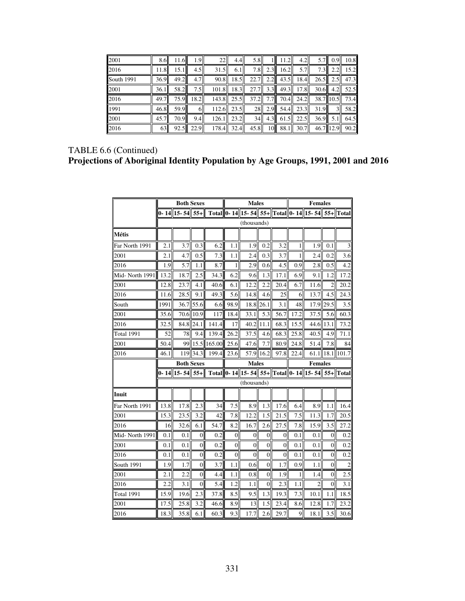| 2001       | 8.6    | 11.6 | 1.9              | 22    | 4.4II      | 5.8        |      |               | 4.2       | 5.7II      | 0.91           | 10.8       |
|------------|--------|------|------------------|-------|------------|------------|------|---------------|-----------|------------|----------------|------------|
| 2016       | 11.8II | 15.1 | 4.5 <sub>1</sub> | 31.5  | 6.1        | 7.8        | 2.3  | 16.2          | 5.7       | 7.3        | 2.21           | 15.2       |
| South 1991 | 36.9   | 49.2 | 4.7              | 90.8  | 18.5       | 22.7       | 2.2I | 43.5          | 18.4      | $26.5$ 2.5 |                | 47.3       |
| 2001       | 36.1   | 58.2 | 7.5              | 101.8 | 18.3       | $27.7$ 3.3 |      |               | 49.3 17.8 | 30.6       |                | $4.2$ 52.5 |
| 2016       | 49.7   | 75.9 | 18.2             |       | 143.8 25.5 | 37.2       | 7.7  |               | 70.4 24.2 | 38.7 10.5  |                | 73.4       |
| 1991       | 46.8   | 59.9 | 61               |       | 112.6 23.5 | 28         |      | 2.9 54.4 23.3 |           | 31.9       | 3 <sup>1</sup> | 58.2       |
| 2001       | 45.7   | 70.9 | 9.4              | 126.1 | 23.2       | 34         | 4.3  | 61.5          | 22.5      |            | $36.9$ 5.1     | 64.5       |
| 2016       | 63     | 92.5 | 22.9             |       | 178.4 32.4 | 45.8       | 10   | 88.1          | 30.7      | 46.7 12.9  |                | 90.2       |

## TABLE 6.6 (Continued)

|                | <b>Both Sexes</b> |                          |                  |             |                  | <b>Males</b>                                 |                  |                | <b>Females</b> |                                           |                |                |  |
|----------------|-------------------|--------------------------|------------------|-------------|------------------|----------------------------------------------|------------------|----------------|----------------|-------------------------------------------|----------------|----------------|--|
|                |                   | $0 - 14$   15 - 54   55+ |                  |             |                  | Total 0- 14 15 - 54 55 + Total 0- 14 15 - 54 |                  |                |                |                                           |                | $55+$ Total    |  |
|                | (thousands)       |                          |                  |             |                  |                                              |                  |                |                |                                           |                |                |  |
| <b>Métis</b>   |                   |                          |                  |             |                  |                                              |                  |                |                |                                           |                |                |  |
| Far North 1991 | 2.1               | 3.7                      | 0.3              | 6.2         | 1.1              | 1.9                                          | 0.2              | 3.2            | $\frac{1}{2}$  | 1.9                                       | 0.1            | 3              |  |
| 2001           | 2.1               | 4.7                      | 0.5              | 7.3         | 1.1              | 2.4                                          | 0.3              | 3.7            | $\mathbf{1}$   | 2.4                                       | 0.2            | 3.6            |  |
| 2016           | 1.9               | 5.7                      | 1.1              | 8.7         | $\mathbf{1}$     | 2.9                                          | 0.6              | 4.5            | 0.9            | 2.8                                       | 0.5            | 4.2            |  |
| Mid-North 1991 | 13.2              | 18.7                     | 2.5              | 34.3        | 6.2              | 9.6                                          | 1.3              | 17.1           | 6.9            | 9.1                                       | 1.2            | 17.2           |  |
| 2001           | 12.8              | 23.7                     | 4.1              | 40.6        | 6.1              | 12.2                                         | 2.2              | 20.4           | 6.7            | 11.6                                      | $\overline{2}$ | 20.2           |  |
| 2016           | 11.6              | 28.5                     | 9.1              | 49.3        | 5.6              | 14.8                                         | 4.6              | 25             | 6              | 13.7                                      | 4.5            | 24.3           |  |
| South          | 1991              | 36.7                     | 55.6             | 6.6         | 98.9             |                                              | 18.8 26.1        | 3.1            | 48             | 17.9                                      | 29.5           | 3.5            |  |
| 2001           | 35.6              | 70.6                     | 10.9             | 117         | 18.4             | 33.1                                         | 5.3              | 56.7           | 17.2           | 37.5                                      | 5.6            | 60.3           |  |
| 2016           | 32.5              | 84.8                     | 24.1             | 141.4       | 17               | 40.2                                         | 11.1             | 68.3           | 15.5           | 44.6                                      | 13.1           | 73.2           |  |
| Total 1991     | 52                | 78                       | 9.4              | 139.4       | 26.2             | 37.5                                         | 4.6              | 68.3           | 25.8           | 40.5                                      | 4.9            | 71.1           |  |
| 2001           | 50.4              | 99                       |                  | 15.5 165.00 | 25.6             | 47.6                                         | 7.7              | 80.9           | 24.8           | 51.4                                      | 7.8            | 84             |  |
| 2016           | 46.1              | 119                      | 34.3             | 199.4       | 23.6             |                                              | 57.9 16.2        | 97.8           | 22.4           | 61.1 18.1                                 |                | 101.7          |  |
|                | <b>Both Sexes</b> |                          |                  |             |                  | <b>Males</b>                                 |                  |                | <b>Females</b> |                                           |                |                |  |
|                |                   | $0 - 14$ 15 - 54         | $55+$            |             |                  |                                              |                  |                |                | Total 0- 14 15- 54 55+ Total 0- 14 15- 54 |                | $55+$ Total    |  |
|                | (thousands)       |                          |                  |             |                  |                                              |                  |                |                |                                           |                |                |  |
| Inuit          |                   |                          |                  |             |                  |                                              |                  |                |                |                                           |                |                |  |
| Far North 1991 | 13.8              | 17.8                     | 2.3              | 34          | 7.5              | 8.9                                          | 1.3              | 17.6           | 6.4            | 8.9                                       | 1.1            | 16.4           |  |
| 2001           | 15.3              | 23.5                     | 3.2              | 42          | 7.8              | 12.2                                         | 1.5              | 21.5           | 7.5            | 11.3                                      | 1.7            | 20.5           |  |
| 2016           | 16                | 32.6                     | 6.1              | 54.7        | 8.2              | 16.7                                         | 2.6              | 27.5           | 7.8            | 15.9                                      | 3.5            | 27.2           |  |
| Mid-North 1991 | 0.1               | 0.1                      | $\overline{0}$   | 0.2         | $\boldsymbol{0}$ | $\boldsymbol{0}$                             | $\boldsymbol{0}$ | $\overline{0}$ | 0.1            | 0.1                                       | $\overline{0}$ | 0.2            |  |
| 2001           | 0.1               | 0.1                      | $\boldsymbol{0}$ | 0.2         | $\boldsymbol{0}$ | $\boldsymbol{0}$                             | $\overline{0}$   | $\mathbf{0}$   | 0.1            | 0.1                                       | $\overline{0}$ | 0.2            |  |
| 2016           | 0.1               | 0.1                      | $\overline{0}$   | 0.2         | $\overline{0}$   | $\overline{0}$                               | $\overline{0}$   | $\overline{0}$ | 0.1            | 0.1                                       | $\theta$       | 0.2            |  |
| South 1991     | 1.9               | 1.7                      | $\overline{0}$   | 3.7         | 1.1              | 0.6                                          | $\overline{0}$   | 1.7            | 0.9            | $1.1\,$                                   | $\overline{0}$ | $\mathfrak{2}$ |  |
| 2001           | 2.1               | 2.2                      | $\overline{0}$   | 4.4         | 1.1              | 0.8                                          | $\overline{0}$   | 1.9            | $\frac{1}{2}$  | 1.4                                       | $\overline{0}$ | $2.5\,$        |  |
| 2016           | 2.2               | 3.1                      | $\overline{0}$   | 5.4         | 1.2              | 1.1                                          | 0                | 2.3            | 1.1            | $\overline{c}$                            | $\overline{0}$ | 3.1            |  |
| Total 1991     | 15.9              | 19.6                     | 2.3              | 37.8        | 8.5              | 9.5                                          | 1.3              | 19.3           | 7.3            | 10.1                                      | 1.1            | 18.5           |  |
| 2001           | 17.5              | 25.8                     | 3.2              | 46.6        | 8.9              | 13                                           | 1.5              | 23.4           | 8.6            | 12.8                                      | 1.7            | 23.2           |  |
| 2016           |                   |                          |                  |             |                  |                                              |                  |                |                |                                           |                |                |  |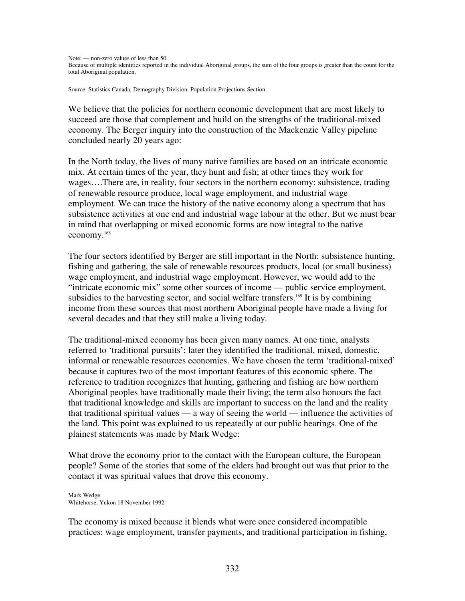Note: — non-zero values of less than 50. Because of multiple identities reported in the individual Aboriginal groups, the sum of the four groups is greater than the count for the total Aboriginal population.

Source: Statistics Canada, Demography Division, Population Projections Section.

We believe that the policies for northern economic development that are most likely to succeed are those that complement and build on the strengths of the traditional-mixed economy. The Berger inquiry into the construction of the Mackenzie Valley pipeline concluded nearly 20 years ago:

In the North today, the lives of many native families are based on an intricate economic mix. At certain times of the year, they hunt and fish; at other times they work for wages….There are, in reality, four sectors in the northern economy: subsistence, trading of renewable resource produce, local wage employment, and industrial wage employment. We can trace the history of the native economy along a spectrum that has subsistence activities at one end and industrial wage labour at the other. But we must bear in mind that overlapping or mixed economic forms are now integral to the native economy. 168

The four sectors identified by Berger are still important in the North: subsistence hunting, fishing and gathering, the sale of renewable resources products, local (or small business) wage employment, and industrial wage employment. However, we would add to the "intricate economic mix" some other sources of income — public service employment, subsidies to the harvesting sector, and social welfare transfers.<sup>169</sup> It is by combining income from these sources that most northern Aboriginal people have made a living for several decades and that they still make a living today.

The traditional-mixed economy has been given many names. At one time, analysts referred to 'traditional pursuits'; later they identified the traditional, mixed, domestic, informal or renewable resources economies. We have chosen the term 'traditional-mixed' because it captures two of the most important features of this economic sphere. The reference to tradition recognizes that hunting, gathering and fishing are how northern Aboriginal peoples have traditionally made their living; the term also honours the fact that traditional knowledge and skills are important to success on the land and the reality that traditional spiritual values — a way of seeing the world — influence the activities of the land. This point was explained to us repeatedly at our public hearings. One of the plainest statements was made by Mark Wedge:

What drove the economy prior to the contact with the European culture, the European people? Some of the stories that some of the elders had brought out was that prior to the contact it was spiritual values that drove this economy.

Mark Wedge Whitehorse, Yukon 18 November 1992

The economy is mixed because it blends what were once considered incompatible practices: wage employment, transfer payments, and traditional participation in fishing,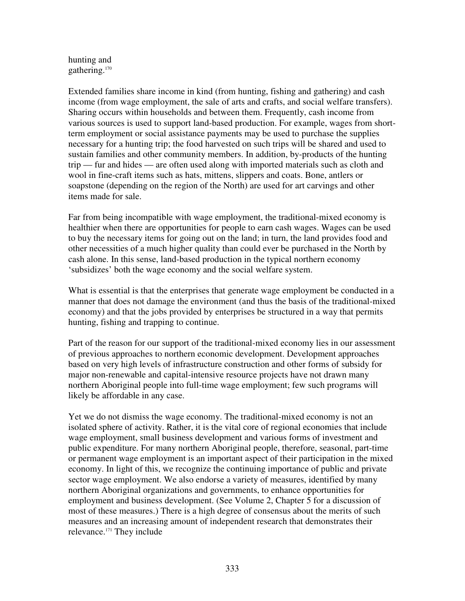### hunting and gathering. 170

Extended families share income in kind (from hunting, fishing and gathering) and cash income (from wage employment, the sale of arts and crafts, and social welfare transfers). Sharing occurs within households and between them. Frequently, cash income from various sources is used to support land-based production. For example, wages from shortterm employment or social assistance payments may be used to purchase the supplies necessary for a hunting trip; the food harvested on such trips will be shared and used to sustain families and other community members. In addition, by-products of the hunting trip — fur and hides — are often used along with imported materials such as cloth and wool in fine-craft items such as hats, mittens, slippers and coats. Bone, antlers or soapstone (depending on the region of the North) are used for art carvings and other items made for sale.

Far from being incompatible with wage employment, the traditional-mixed economy is healthier when there are opportunities for people to earn cash wages. Wages can be used to buy the necessary items for going out on the land; in turn, the land provides food and other necessities of a much higher quality than could ever be purchased in the North by cash alone. In this sense, land-based production in the typical northern economy 'subsidizes' both the wage economy and the social welfare system.

What is essential is that the enterprises that generate wage employment be conducted in a manner that does not damage the environment (and thus the basis of the traditional-mixed economy) and that the jobs provided by enterprises be structured in a way that permits hunting, fishing and trapping to continue.

Part of the reason for our support of the traditional-mixed economy lies in our assessment of previous approaches to northern economic development. Development approaches based on very high levels of infrastructure construction and other forms of subsidy for major non-renewable and capital-intensive resource projects have not drawn many northern Aboriginal people into full-time wage employment; few such programs will likely be affordable in any case.

Yet we do not dismiss the wage economy. The traditional-mixed economy is not an isolated sphere of activity. Rather, it is the vital core of regional economies that include wage employment, small business development and various forms of investment and public expenditure. For many northern Aboriginal people, therefore, seasonal, part-time or permanent wage employment is an important aspect of their participation in the mixed economy. In light of this, we recognize the continuing importance of public and private sector wage employment. We also endorse a variety of measures, identified by many northern Aboriginal organizations and governments, to enhance opportunities for employment and business development. (See Volume 2, Chapter 5 for a discussion of most of these measures.) There is a high degree of consensus about the merits of such measures and an increasing amount of independent research that demonstrates their relevance. <sup>171</sup> They include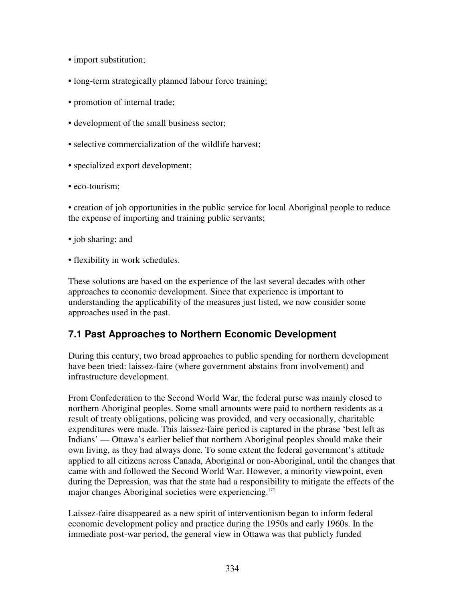- import substitution;
- long-term strategically planned labour force training;
- promotion of internal trade;
- development of the small business sector;
- selective commercialization of the wildlife harvest;
- specialized export development;
- eco-tourism:

• creation of job opportunities in the public service for local Aboriginal people to reduce the expense of importing and training public servants;

- job sharing; and
- flexibility in work schedules.

These solutions are based on the experience of the last several decades with other approaches to economic development. Since that experience is important to understanding the applicability of the measures just listed, we now consider some approaches used in the past.

# **7.1 Past Approaches to Northern Economic Development**

During this century, two broad approaches to public spending for northern development have been tried: laissez-faire (where government abstains from involvement) and infrastructure development.

From Confederation to the Second World War, the federal purse was mainly closed to northern Aboriginal peoples. Some small amounts were paid to northern residents as a result of treaty obligations, policing was provided, and very occasionally, charitable expenditures were made. This laissez-faire period is captured in the phrase 'best left as Indians' — Ottawa's earlier belief that northern Aboriginal peoples should make their own living, as they had always done. To some extent the federal government's attitude applied to all citizens across Canada, Aboriginal or non-Aboriginal, until the changes that came with and followed the Second World War. However, a minority viewpoint, even during the Depression, was that the state had a responsibility to mitigate the effects of the major changes Aboriginal societies were experiencing.<sup>172</sup>

Laissez-faire disappeared as a new spirit of interventionism began to inform federal economic development policy and practice during the 1950s and early 1960s. In the immediate post-war period, the general view in Ottawa was that publicly funded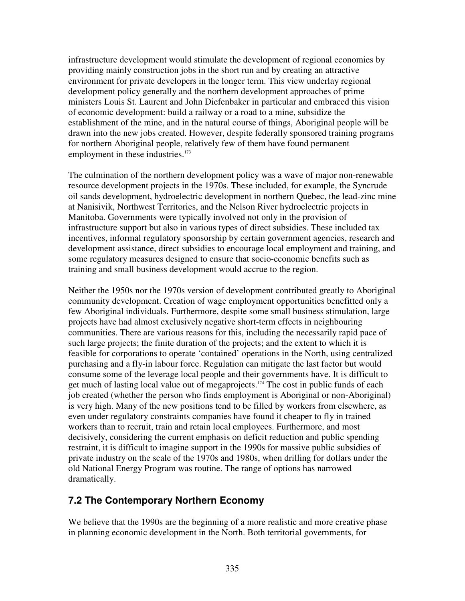infrastructure development would stimulate the development of regional economies by providing mainly construction jobs in the short run and by creating an attractive environment for private developers in the longer term. This view underlay regional development policy generally and the northern development approaches of prime ministers Louis St. Laurent and John Diefenbaker in particular and embraced this vision of economic development: build a railway or a road to a mine, subsidize the establishment of the mine, and in the natural course of things, Aboriginal people will be drawn into the new jobs created. However, despite federally sponsored training programs for northern Aboriginal people, relatively few of them have found permanent employment in these industries. 173

The culmination of the northern development policy was a wave of major non-renewable resource development projects in the 1970s. These included, for example, the Syncrude oil sands development, hydroelectric development in northern Quebec, the lead-zinc mine at Nanisivik, Northwest Territories, and the Nelson River hydroelectric projects in Manitoba. Governments were typically involved not only in the provision of infrastructure support but also in various types of direct subsidies. These included tax incentives, informal regulatory sponsorship by certain government agencies, research and development assistance, direct subsidies to encourage local employment and training, and some regulatory measures designed to ensure that socio-economic benefits such as training and small business development would accrue to the region.

Neither the 1950s nor the 1970s version of development contributed greatly to Aboriginal community development. Creation of wage employment opportunities benefitted only a few Aboriginal individuals. Furthermore, despite some small business stimulation, large projects have had almost exclusively negative short-term effects in neighbouring communities. There are various reasons for this, including the necessarily rapid pace of such large projects; the finite duration of the projects; and the extent to which it is feasible for corporations to operate 'contained' operations in the North, using centralized purchasing and a fly-in labour force. Regulation can mitigate the last factor but would consume some of the leverage local people and their governments have. It is difficult to get much of lasting local value out of megaprojects. <sup>174</sup> The cost in public funds of each job created (whether the person who finds employment is Aboriginal or non-Aboriginal) is very high. Many of the new positions tend to be filled by workers from elsewhere, as even under regulatory constraints companies have found it cheaper to fly in trained workers than to recruit, train and retain local employees. Furthermore, and most decisively, considering the current emphasis on deficit reduction and public spending restraint, it is difficult to imagine support in the 1990s for massive public subsidies of private industry on the scale of the 1970s and 1980s, when drilling for dollars under the old National Energy Program was routine. The range of options has narrowed dramatically.

# **7.2 The Contemporary Northern Economy**

We believe that the 1990s are the beginning of a more realistic and more creative phase in planning economic development in the North. Both territorial governments, for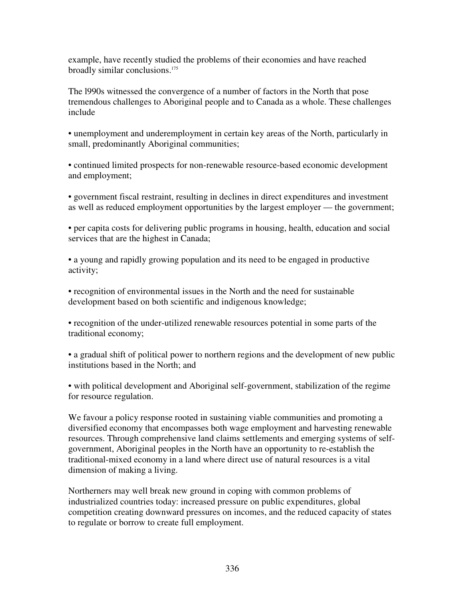example, have recently studied the problems of their economies and have reached broadly similar conclusions. 175

The l990s witnessed the convergence of a number of factors in the North that pose tremendous challenges to Aboriginal people and to Canada as a whole. These challenges include

• unemployment and underemployment in certain key areas of the North, particularly in small, predominantly Aboriginal communities;

• continued limited prospects for non-renewable resource-based economic development and employment;

• government fiscal restraint, resulting in declines in direct expenditures and investment as well as reduced employment opportunities by the largest employer — the government;

• per capita costs for delivering public programs in housing, health, education and social services that are the highest in Canada;

• a young and rapidly growing population and its need to be engaged in productive activity;

• recognition of environmental issues in the North and the need for sustainable development based on both scientific and indigenous knowledge;

• recognition of the under-utilized renewable resources potential in some parts of the traditional economy;

• a gradual shift of political power to northern regions and the development of new public institutions based in the North; and

• with political development and Aboriginal self-government, stabilization of the regime for resource regulation.

We favour a policy response rooted in sustaining viable communities and promoting a diversified economy that encompasses both wage employment and harvesting renewable resources. Through comprehensive land claims settlements and emerging systems of selfgovernment, Aboriginal peoples in the North have an opportunity to re-establish the traditional-mixed economy in a land where direct use of natural resources is a vital dimension of making a living.

Northerners may well break new ground in coping with common problems of industrialized countries today: increased pressure on public expenditures, global competition creating downward pressures on incomes, and the reduced capacity of states to regulate or borrow to create full employment.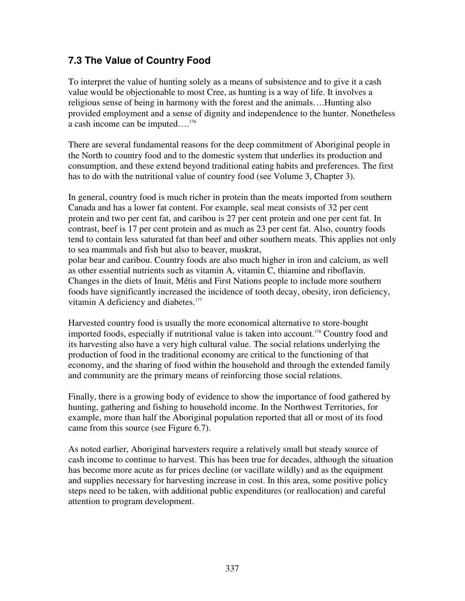# **7.3 The Value of Country Food**

To interpret the value of hunting solely as a means of subsistence and to give it a cash value would be objectionable to most Cree, as hunting is a way of life. It involves a religious sense of being in harmony with the forest and the animals….Hunting also provided employment and a sense of dignity and independence to the hunter. Nonetheless a cash income can be imputed…. 176

There are several fundamental reasons for the deep commitment of Aboriginal people in the North to country food and to the domestic system that underlies its production and consumption, and these extend beyond traditional eating habits and preferences. The first has to do with the nutritional value of country food (see Volume 3, Chapter 3).

In general, country food is much richer in protein than the meats imported from southern Canada and has a lower fat content. For example, seal meat consists of 32 per cent protein and two per cent fat, and caribou is 27 per cent protein and one per cent fat. In contrast, beef is 17 per cent protein and as much as 23 per cent fat. Also, country foods tend to contain less saturated fat than beef and other southern meats. This applies not only to sea mammals and fish but also to beaver, muskrat, polar bear and caribou. Country foods are also much higher in iron and calcium, as well

as other essential nutrients such as vitamin A, vitamin C, thiamine and riboflavin. Changes in the diets of Inuit, Métis and First Nations people to include more southern foods have significantly increased the incidence of tooth decay, obesity, iron deficiency, vitamin A deficiency and diabetes.<sup>177</sup>

Harvested country food is usually the more economical alternative to store-bought imported foods, especially if nutritional value is taken into account. <sup>178</sup> Country food and its harvesting also have a very high cultural value. The social relations underlying the production of food in the traditional economy are critical to the functioning of that economy, and the sharing of food within the household and through the extended family and community are the primary means of reinforcing those social relations.

Finally, there is a growing body of evidence to show the importance of food gathered by hunting, gathering and fishing to household income. In the Northwest Territories, for example, more than half the Aboriginal population reported that all or most of its food came from this source (see Figure 6.7).

As noted earlier, Aboriginal harvesters require a relatively small but steady source of cash income to continue to harvest. This has been true for decades, although the situation has become more acute as fur prices decline (or vacillate wildly) and as the equipment and supplies necessary for harvesting increase in cost. In this area, some positive policy steps need to be taken, with additional public expenditures (or reallocation) and careful attention to program development.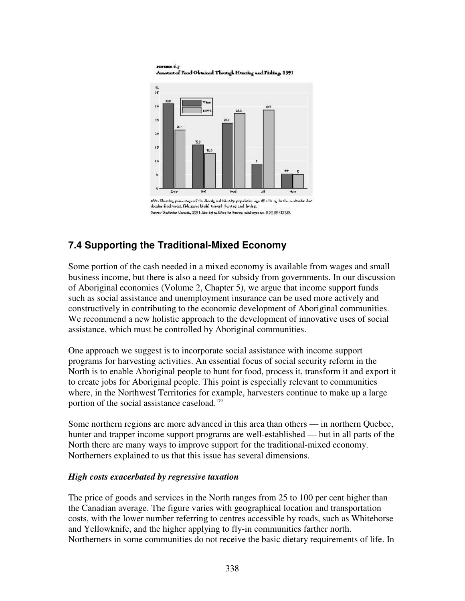FIFTHE 6.7 **Amount of Food Obwined The** otach Hunting and Fishian 1991



At Saving premergent to Andy ad identity population age 5 of the ag in the ambasive that obains food mat. Esh gan chiefe to such husting and desisg. Server Statistics Concide, 1994. Also digital liber for Survey, adalogue no. 89-39-1953).

## **7.4 Supporting the Traditional-Mixed Economy**

Some portion of the cash needed in a mixed economy is available from wages and small business income, but there is also a need for subsidy from governments. In our discussion of Aboriginal economies (Volume 2, Chapter 5), we argue that income support funds such as social assistance and unemployment insurance can be used more actively and constructively in contributing to the economic development of Aboriginal communities. We recommend a new holistic approach to the development of innovative uses of social assistance, which must be controlled by Aboriginal communities.

One approach we suggest is to incorporate social assistance with income support programs for harvesting activities. An essential focus of social security reform in the North is to enable Aboriginal people to hunt for food, process it, transform it and export it to create jobs for Aboriginal people. This point is especially relevant to communities where, in the Northwest Territories for example, harvesters continue to make up a large portion of the social assistance caseload.<sup>179</sup>

Some northern regions are more advanced in this area than others — in northern Quebec, hunter and trapper income support programs are well-established — but in all parts of the North there are many ways to improve support for the traditional-mixed economy. Northerners explained to us that this issue has several dimensions.

#### *High costs exacerbated by regressive taxation*

The price of goods and services in the North ranges from 25 to 100 per cent higher than the Canadian average. The figure varies with geographical location and transportation costs, with the lower number referring to centres accessible by roads, such as Whitehorse and Yellowknife, and the higher applying to fly-in communities farther north. Northerners in some communities do not receive the basic dietary requirements of life. In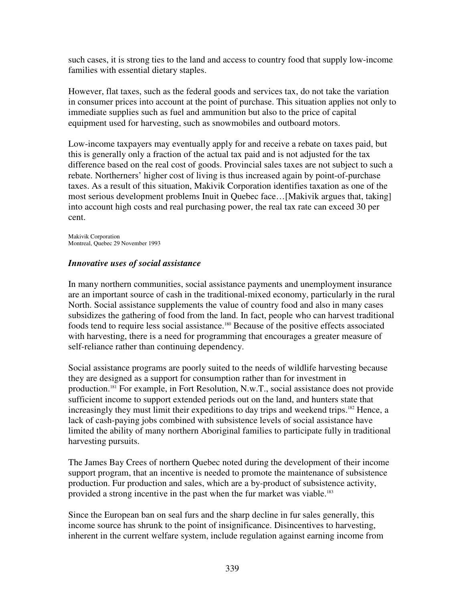such cases, it is strong ties to the land and access to country food that supply low-income families with essential dietary staples.

However, flat taxes, such as the federal goods and services tax, do not take the variation in consumer prices into account at the point of purchase. This situation applies not only to immediate supplies such as fuel and ammunition but also to the price of capital equipment used for harvesting, such as snowmobiles and outboard motors.

Low-income taxpayers may eventually apply for and receive a rebate on taxes paid, but this is generally only a fraction of the actual tax paid and is not adjusted for the tax difference based on the real cost of goods. Provincial sales taxes are not subject to such a rebate. Northerners' higher cost of living is thus increased again by point-of-purchase taxes. As a result of this situation, Makivik Corporation identifies taxation as one of the most serious development problems Inuit in Quebec face…[Makivik argues that, taking] into account high costs and real purchasing power, the real tax rate can exceed 30 per cent.

Makivik Corporation Montreal, Quebec 29 November 1993

#### *Innovative uses of social assistance*

In many northern communities, social assistance payments and unemployment insurance are an important source of cash in the traditional-mixed economy, particularly in the rural North. Social assistance supplements the value of country food and also in many cases subsidizes the gathering of food from the land. In fact, people who can harvest traditional foods tend to require less social assistance.<sup>180</sup> Because of the positive effects associated with harvesting, there is a need for programming that encourages a greater measure of self-reliance rather than continuing dependency.

Social assistance programs are poorly suited to the needs of wildlife harvesting because they are designed as a support for consumption rather than for investment in production. <sup>181</sup> For example, in Fort Resolution, N.w.T., social assistance does not provide sufficient income to support extended periods out on the land, and hunters state that increasingly they must limit their expeditions to day trips and weekend trips. <sup>182</sup> Hence, a lack of cash-paying jobs combined with subsistence levels of social assistance have limited the ability of many northern Aboriginal families to participate fully in traditional harvesting pursuits.

The James Bay Crees of northern Quebec noted during the development of their income support program, that an incentive is needed to promote the maintenance of subsistence production. Fur production and sales, which are a by-product of subsistence activity, provided a strong incentive in the past when the fur market was viable.<sup>183</sup>

Since the European ban on seal furs and the sharp decline in fur sales generally, this income source has shrunk to the point of insignificance. Disincentives to harvesting, inherent in the current welfare system, include regulation against earning income from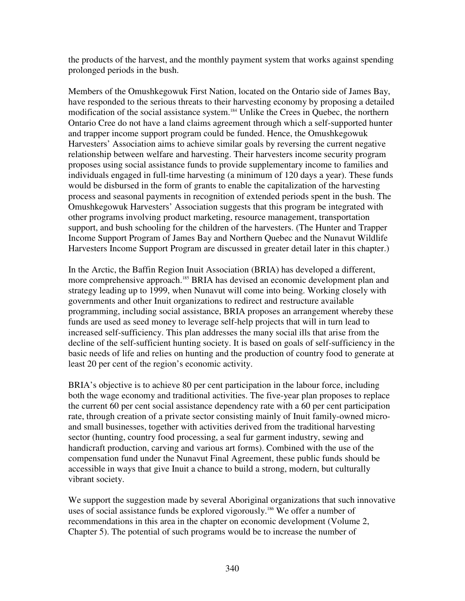the products of the harvest, and the monthly payment system that works against spending prolonged periods in the bush.

Members of the Omushkegowuk First Nation, located on the Ontario side of James Bay, have responded to the serious threats to their harvesting economy by proposing a detailed modification of the social assistance system. <sup>184</sup> Unlike the Crees in Quebec, the northern Ontario Cree do not have a land claims agreement through which a self-supported hunter and trapper income support program could be funded. Hence, the Omushkegowuk Harvesters' Association aims to achieve similar goals by reversing the current negative relationship between welfare and harvesting. Their harvesters income security program proposes using social assistance funds to provide supplementary income to families and individuals engaged in full-time harvesting (a minimum of 120 days a year). These funds would be disbursed in the form of grants to enable the capitalization of the harvesting process and seasonal payments in recognition of extended periods spent in the bush. The Omushkegowuk Harvesters' Association suggests that this program be integrated with other programs involving product marketing, resource management, transportation support, and bush schooling for the children of the harvesters. (The Hunter and Trapper Income Support Program of James Bay and Northern Quebec and the Nunavut Wildlife Harvesters Income Support Program are discussed in greater detail later in this chapter.)

In the Arctic, the Baffin Region Inuit Association (BRIA) has developed a different, more comprehensive approach.<sup>185</sup> BRIA has devised an economic development plan and strategy leading up to 1999, when Nunavut will come into being. Working closely with governments and other Inuit organizations to redirect and restructure available programming, including social assistance, BRIA proposes an arrangement whereby these funds are used as seed money to leverage self-help projects that will in turn lead to increased self-sufficiency. This plan addresses the many social ills that arise from the decline of the self-sufficient hunting society. It is based on goals of self-sufficiency in the basic needs of life and relies on hunting and the production of country food to generate at least 20 per cent of the region's economic activity.

BRIA's objective is to achieve 80 per cent participation in the labour force, including both the wage economy and traditional activities. The five-year plan proposes to replace the current 60 per cent social assistance dependency rate with a 60 per cent participation rate, through creation of a private sector consisting mainly of Inuit family-owned microand small businesses, together with activities derived from the traditional harvesting sector (hunting, country food processing, a seal fur garment industry, sewing and handicraft production, carving and various art forms). Combined with the use of the compensation fund under the Nunavut Final Agreement, these public funds should be accessible in ways that give Inuit a chance to build a strong, modern, but culturally vibrant society.

We support the suggestion made by several Aboriginal organizations that such innovative uses of social assistance funds be explored vigorously. <sup>186</sup> We offer a number of recommendations in this area in the chapter on economic development (Volume 2, Chapter 5). The potential of such programs would be to increase the number of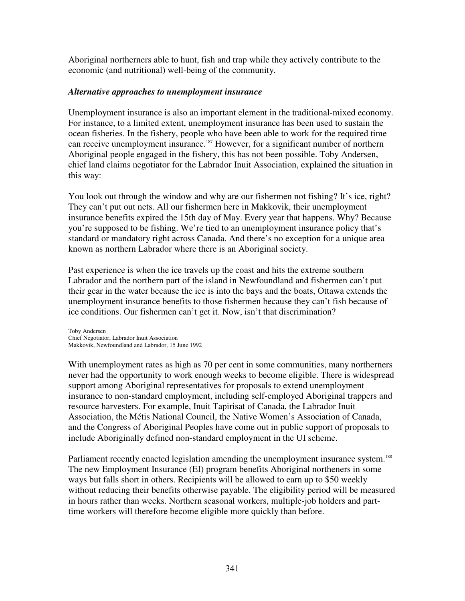Aboriginal northerners able to hunt, fish and trap while they actively contribute to the economic (and nutritional) well-being of the community.

#### *Alternative approaches to unemployment insurance*

Unemployment insurance is also an important element in the traditional-mixed economy. For instance, to a limited extent, unemployment insurance has been used to sustain the ocean fisheries. In the fishery, people who have been able to work for the required time can receive unemployment insurance.<sup>187</sup> However, for a significant number of northern Aboriginal people engaged in the fishery, this has not been possible. Toby Andersen, chief land claims negotiator for the Labrador Inuit Association, explained the situation in this way:

You look out through the window and why are our fishermen not fishing? It's ice, right? They can't put out nets. All our fishermen here in Makkovik, their unemployment insurance benefits expired the 15th day of May. Every year that happens. Why? Because you're supposed to be fishing. We're tied to an unemployment insurance policy that's standard or mandatory right across Canada. And there's no exception for a unique area known as northern Labrador where there is an Aboriginal society.

Past experience is when the ice travels up the coast and hits the extreme southern Labrador and the northern part of the island in Newfoundland and fishermen can't put their gear in the water because the ice is into the bays and the boats, Ottawa extends the unemployment insurance benefits to those fishermen because they can't fish because of ice conditions. Our fishermen can't get it. Now, isn't that discrimination?

Toby Andersen Chief Negotiator, Labrador Inuit Association Makkovik, Newfoundland and Labrador, 15 June 1992

With unemployment rates as high as 70 per cent in some communities, many northerners never had the opportunity to work enough weeks to become eligible. There is widespread support among Aboriginal representatives for proposals to extend unemployment insurance to non-standard employment, including self-employed Aboriginal trappers and resource harvesters. For example, Inuit Tapirisat of Canada, the Labrador Inuit Association, the Métis National Council, the Native Women's Association of Canada, and the Congress of Aboriginal Peoples have come out in public support of proposals to include Aboriginally defined non-standard employment in the UI scheme.

Parliament recently enacted legislation amending the unemployment insurance system.<sup>188</sup> The new Employment Insurance (EI) program benefits Aboriginal northeners in some ways but falls short in others. Recipients will be allowed to earn up to \$50 weekly without reducing their benefits otherwise payable. The eligibility period will be measured in hours rather than weeks. Northern seasonal workers, multiple-job holders and parttime workers will therefore become eligible more quickly than before.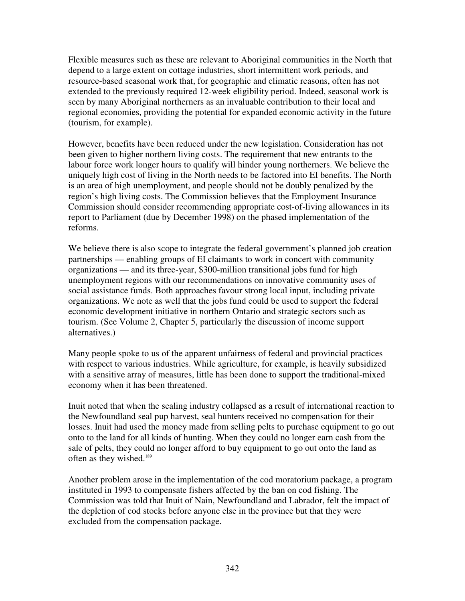Flexible measures such as these are relevant to Aboriginal communities in the North that depend to a large extent on cottage industries, short intermittent work periods, and resource-based seasonal work that, for geographic and climatic reasons, often has not extended to the previously required 12-week eligibility period. Indeed, seasonal work is seen by many Aboriginal northerners as an invaluable contribution to their local and regional economies, providing the potential for expanded economic activity in the future (tourism, for example).

However, benefits have been reduced under the new legislation. Consideration has not been given to higher northern living costs. The requirement that new entrants to the labour force work longer hours to qualify will hinder young northerners. We believe the uniquely high cost of living in the North needs to be factored into EI benefits. The North is an area of high unemployment, and people should not be doubly penalized by the region's high living costs. The Commission believes that the Employment Insurance Commission should consider recommending appropriate cost-of-living allowances in its report to Parliament (due by December 1998) on the phased implementation of the reforms.

We believe there is also scope to integrate the federal government's planned job creation partnerships — enabling groups of EI claimants to work in concert with community organizations — and its three-year, \$300-million transitional jobs fund for high unemployment regions with our recommendations on innovative community uses of social assistance funds. Both approaches favour strong local input, including private organizations. We note as well that the jobs fund could be used to support the federal economic development initiative in northern Ontario and strategic sectors such as tourism. (See Volume 2, Chapter 5, particularly the discussion of income support alternatives.)

Many people spoke to us of the apparent unfairness of federal and provincial practices with respect to various industries. While agriculture, for example, is heavily subsidized with a sensitive array of measures, little has been done to support the traditional-mixed economy when it has been threatened.

Inuit noted that when the sealing industry collapsed as a result of international reaction to the Newfoundland seal pup harvest, seal hunters received no compensation for their losses. Inuit had used the money made from selling pelts to purchase equipment to go out onto to the land for all kinds of hunting. When they could no longer earn cash from the sale of pelts, they could no longer afford to buy equipment to go out onto the land as often as they wished. 189

Another problem arose in the implementation of the cod moratorium package, a program instituted in 1993 to compensate fishers affected by the ban on cod fishing. The Commission was told that Inuit of Nain, Newfoundland and Labrador, felt the impact of the depletion of cod stocks before anyone else in the province but that they were excluded from the compensation package.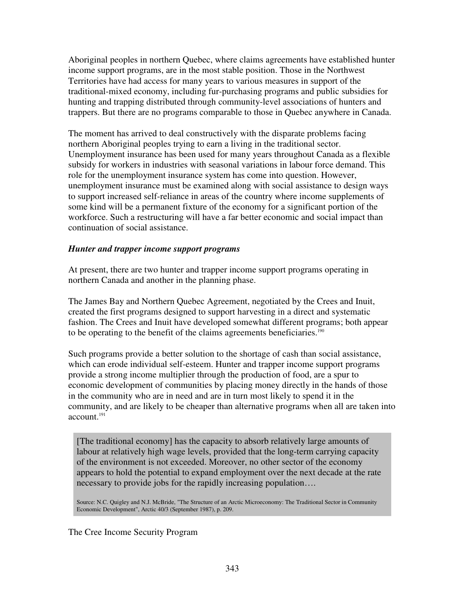Aboriginal peoples in northern Quebec, where claims agreements have established hunter income support programs, are in the most stable position. Those in the Northwest Territories have had access for many years to various measures in support of the traditional-mixed economy, including fur-purchasing programs and public subsidies for hunting and trapping distributed through community-level associations of hunters and trappers. But there are no programs comparable to those in Quebec anywhere in Canada.

The moment has arrived to deal constructively with the disparate problems facing northern Aboriginal peoples trying to earn a living in the traditional sector. Unemployment insurance has been used for many years throughout Canada as a flexible subsidy for workers in industries with seasonal variations in labour force demand. This role for the unemployment insurance system has come into question. However, unemployment insurance must be examined along with social assistance to design ways to support increased self-reliance in areas of the country where income supplements of some kind will be a permanent fixture of the economy for a significant portion of the workforce. Such a restructuring will have a far better economic and social impact than continuation of social assistance.

#### *Hunter and trapper income support programs*

At present, there are two hunter and trapper income support programs operating in northern Canada and another in the planning phase.

The James Bay and Northern Quebec Agreement, negotiated by the Crees and Inuit, created the first programs designed to support harvesting in a direct and systematic fashion. The Crees and Inuit have developed somewhat different programs; both appear to be operating to the benefit of the claims agreements beneficiaries. 190

Such programs provide a better solution to the shortage of cash than social assistance, which can erode individual self-esteem. Hunter and trapper income support programs provide a strong income multiplier through the production of food, are a spur to economic development of communities by placing money directly in the hands of those in the community who are in need and are in turn most likely to spend it in the community, and are likely to be cheaper than alternative programs when all are taken into account. 191

[The traditional economy] has the capacity to absorb relatively large amounts of labour at relatively high wage levels, provided that the long-term carrying capacity of the environment is not exceeded. Moreover, no other sector of the economy appears to hold the potential to expand employment over the next decade at the rate necessary to provide jobs for the rapidly increasing population….

Source: N.C. Quigley and N.J. McBride, "The Structure of an Arctic Microeconomy: The Traditional Sector in Community Economic Development", Arctic 40/3 (September 1987), p. 209.

The Cree Income Security Program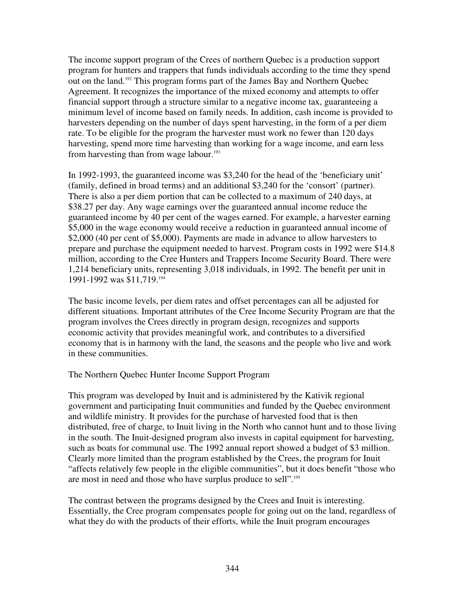The income support program of the Crees of northern Quebec is a production support program for hunters and trappers that funds individuals according to the time they spend out on the land. <sup>192</sup> This program forms part of the James Bay and Northern Quebec Agreement. It recognizes the importance of the mixed economy and attempts to offer financial support through a structure similar to a negative income tax, guaranteeing a minimum level of income based on family needs. In addition, cash income is provided to harvesters depending on the number of days spent harvesting, in the form of a per diem rate. To be eligible for the program the harvester must work no fewer than 120 days harvesting, spend more time harvesting than working for a wage income, and earn less from harvesting than from wage labour.<sup>193</sup>

In 1992-1993, the guaranteed income was \$3,240 for the head of the 'beneficiary unit' (family, defined in broad terms) and an additional \$3,240 for the 'consort' (partner). There is also a per diem portion that can be collected to a maximum of 240 days, at \$38.27 per day. Any wage earnings over the guaranteed annual income reduce the guaranteed income by 40 per cent of the wages earned. For example, a harvester earning \$5,000 in the wage economy would receive a reduction in guaranteed annual income of \$2,000 (40 per cent of \$5,000). Payments are made in advance to allow harvesters to prepare and purchase the equipment needed to harvest. Program costs in 1992 were \$14.8 million, according to the Cree Hunters and Trappers Income Security Board. There were 1,214 beneficiary units, representing 3,018 individuals, in 1992. The benefit per unit in 1991-1992 was \$11,719. 194

The basic income levels, per diem rates and offset percentages can all be adjusted for different situations. Important attributes of the Cree Income Security Program are that the program involves the Crees directly in program design, recognizes and supports economic activity that provides meaningful work, and contributes to a diversified economy that is in harmony with the land, the seasons and the people who live and work in these communities.

The Northern Quebec Hunter Income Support Program

This program was developed by Inuit and is administered by the Kativik regional government and participating Inuit communities and funded by the Quebec environment and wildlife ministry. It provides for the purchase of harvested food that is then distributed, free of charge, to Inuit living in the North who cannot hunt and to those living in the south. The Inuit-designed program also invests in capital equipment for harvesting, such as boats for communal use. The 1992 annual report showed a budget of \$3 million. Clearly more limited than the program established by the Crees, the program for Inuit "affects relatively few people in the eligible communities", but it does benefit "those who are most in need and those who have surplus produce to sell". 195

The contrast between the programs designed by the Crees and Inuit is interesting. Essentially, the Cree program compensates people for going out on the land, regardless of what they do with the products of their efforts, while the Inuit program encourages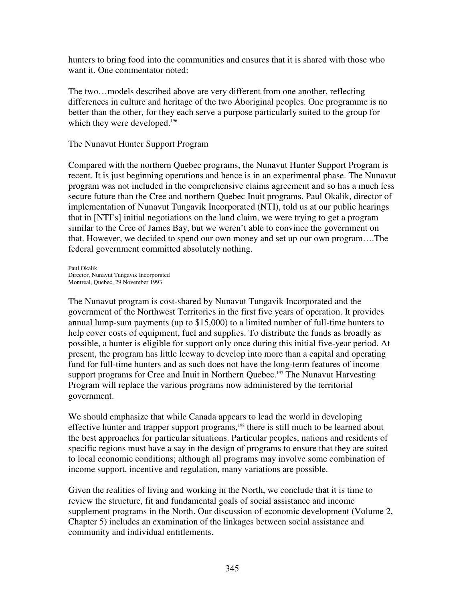hunters to bring food into the communities and ensures that it is shared with those who want it. One commentator noted:

The two…models described above are very different from one another, reflecting differences in culture and heritage of the two Aboriginal peoples. One programme is no better than the other, for they each serve a purpose particularly suited to the group for which they were developed. 196

The Nunavut Hunter Support Program

Compared with the northern Quebec programs, the Nunavut Hunter Support Program is recent. It is just beginning operations and hence is in an experimental phase. The Nunavut program was not included in the comprehensive claims agreement and so has a much less secure future than the Cree and northern Quebec Inuit programs. Paul Okalik, director of implementation of Nunavut Tungavik Incorporated (NTI), told us at our public hearings that in [NTI's] initial negotiations on the land claim, we were trying to get a program similar to the Cree of James Bay, but we weren't able to convince the government on that. However, we decided to spend our own money and set up our own program….The federal government committed absolutely nothing.

Paul Okalik Director, Nunavut Tungavik Incorporated Montreal, Quebec, 29 November 1993

The Nunavut program is cost-shared by Nunavut Tungavik Incorporated and the government of the Northwest Territories in the first five years of operation. It provides annual lump-sum payments (up to \$15,000) to a limited number of full-time hunters to help cover costs of equipment, fuel and supplies. To distribute the funds as broadly as possible, a hunter is eligible for support only once during this initial five-year period. At present, the program has little leeway to develop into more than a capital and operating fund for full-time hunters and as such does not have the long-term features of income support programs for Cree and Inuit in Northern Quebec.<sup>197</sup> The Nunavut Harvesting Program will replace the various programs now administered by the territorial government.

We should emphasize that while Canada appears to lead the world in developing effective hunter and trapper support programs,<sup>198</sup> there is still much to be learned about the best approaches for particular situations. Particular peoples, nations and residents of specific regions must have a say in the design of programs to ensure that they are suited to local economic conditions; although all programs may involve some combination of income support, incentive and regulation, many variations are possible.

Given the realities of living and working in the North, we conclude that it is time to review the structure, fit and fundamental goals of social assistance and income supplement programs in the North. Our discussion of economic development (Volume 2, Chapter 5) includes an examination of the linkages between social assistance and community and individual entitlements.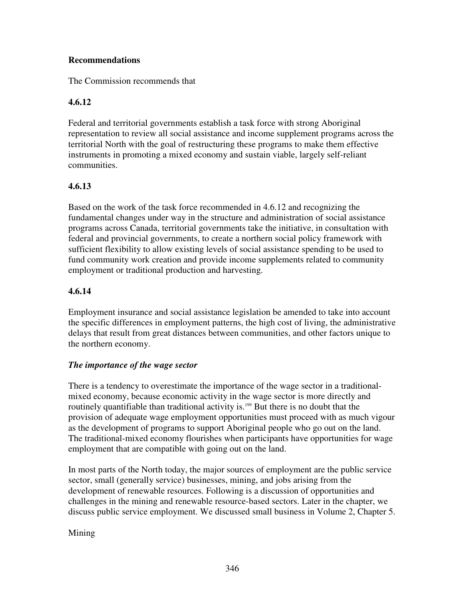### **Recommendations**

The Commission recommends that

### **4.6.12**

Federal and territorial governments establish a task force with strong Aboriginal representation to review all social assistance and income supplement programs across the territorial North with the goal of restructuring these programs to make them effective instruments in promoting a mixed economy and sustain viable, largely self-reliant communities.

### **4.6.13**

Based on the work of the task force recommended in 4.6.12 and recognizing the fundamental changes under way in the structure and administration of social assistance programs across Canada, territorial governments take the initiative, in consultation with federal and provincial governments, to create a northern social policy framework with sufficient flexibility to allow existing levels of social assistance spending to be used to fund community work creation and provide income supplements related to community employment or traditional production and harvesting.

#### **4.6.14**

Employment insurance and social assistance legislation be amended to take into account the specific differences in employment patterns, the high cost of living, the administrative delays that result from great distances between communities, and other factors unique to the northern economy.

### *The importance of the wage sector*

There is a tendency to overestimate the importance of the wage sector in a traditionalmixed economy, because economic activity in the wage sector is more directly and routinely quantifiable than traditional activity is.<sup>199</sup> But there is no doubt that the provision of adequate wage employment opportunities must proceed with as much vigour as the development of programs to support Aboriginal people who go out on the land. The traditional-mixed economy flourishes when participants have opportunities for wage employment that are compatible with going out on the land.

In most parts of the North today, the major sources of employment are the public service sector, small (generally service) businesses, mining, and jobs arising from the development of renewable resources. Following is a discussion of opportunities and challenges in the mining and renewable resource-based sectors. Later in the chapter, we discuss public service employment. We discussed small business in Volume 2, Chapter 5.

### Mining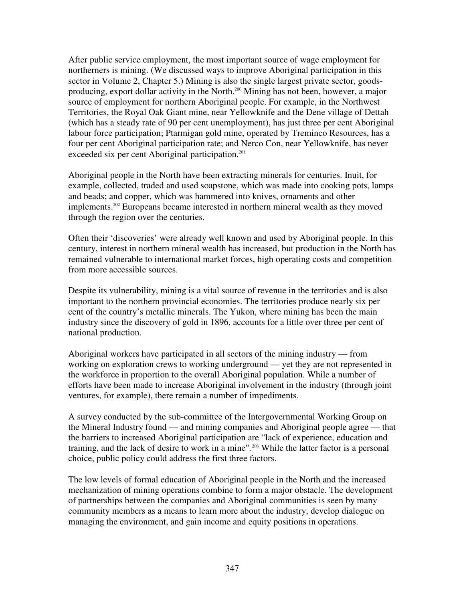After public service employment, the most important source of wage employment for northerners is mining. (We discussed ways to improve Aboriginal participation in this sector in Volume 2, Chapter 5.) Mining is also the single largest private sector, goodsproducing, export dollar activity in the North. <sup>200</sup> Mining has not been, however, a major source of employment for northern Aboriginal people. For example, in the Northwest Territories, the Royal Oak Giant mine, near Yellowknife and the Dene village of Dettah (which has a steady rate of 90 per cent unemployment), has just three per cent Aboriginal labour force participation; Ptarmigan gold mine, operated by Treminco Resources, has a four per cent Aboriginal participation rate; and Nerco Con, near Yellowknife, has never exceeded six per cent Aboriginal participation. 201

Aboriginal people in the North have been extracting minerals for centuries. Inuit, for example, collected, traded and used soapstone, which was made into cooking pots, lamps and beads; and copper, which was hammered into knives, ornaments and other implements. <sup>202</sup> Europeans became interested in northern mineral wealth as they moved through the region over the centuries.

Often their 'discoveries' were already well known and used by Aboriginal people. In this century, interest in northern mineral wealth has increased, but production in the North has remained vulnerable to international market forces, high operating costs and competition from more accessible sources.

Despite its vulnerability, mining is a vital source of revenue in the territories and is also important to the northern provincial economies. The territories produce nearly six per cent of the country's metallic minerals. The Yukon, where mining has been the main industry since the discovery of gold in 1896, accounts for a little over three per cent of national production.

Aboriginal workers have participated in all sectors of the mining industry — from working on exploration crews to working underground — yet they are not represented in the workforce in proportion to the overall Aboriginal population. While a number of efforts have been made to increase Aboriginal involvement in the industry (through joint ventures, for example), there remain a number of impediments.

A survey conducted by the sub-committee of the Intergovernmental Working Group on the Mineral Industry found — and mining companies and Aboriginal people agree — that the barriers to increased Aboriginal participation are "lack of experience, education and training, and the lack of desire to work in a mine".<sup>203</sup> While the latter factor is a personal choice, public policy could address the first three factors.

The low levels of formal education of Aboriginal people in the North and the increased mechanization of mining operations combine to form a major obstacle. The development of partnerships between the companies and Aboriginal communities is seen by many community members as a means to learn more about the industry, develop dialogue on managing the environment, and gain income and equity positions in operations.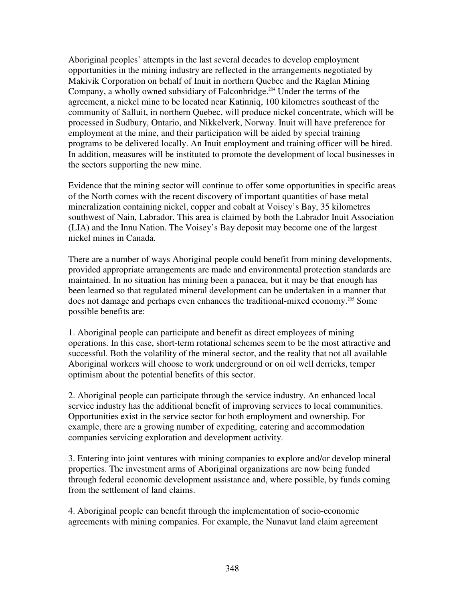Aboriginal peoples' attempts in the last several decades to develop employment opportunities in the mining industry are reflected in the arrangements negotiated by Makivik Corporation on behalf of Inuit in northern Quebec and the Raglan Mining Company, a wholly owned subsidiary of Falconbridge. <sup>204</sup> Under the terms of the agreement, a nickel mine to be located near Katinniq, 100 kilometres southeast of the community of Salluit, in northern Quebec, will produce nickel concentrate, which will be processed in Sudbury, Ontario, and Nikkelverk, Norway. Inuit will have preference for employment at the mine, and their participation will be aided by special training programs to be delivered locally. An Inuit employment and training officer will be hired. In addition, measures will be instituted to promote the development of local businesses in the sectors supporting the new mine.

Evidence that the mining sector will continue to offer some opportunities in specific areas of the North comes with the recent discovery of important quantities of base metal mineralization containing nickel, copper and cobalt at Voisey's Bay, 35 kilometres southwest of Nain, Labrador. This area is claimed by both the Labrador Inuit Association (LIA) and the Innu Nation. The Voisey's Bay deposit may become one of the largest nickel mines in Canada.

There are a number of ways Aboriginal people could benefit from mining developments, provided appropriate arrangements are made and environmental protection standards are maintained. In no situation has mining been a panacea, but it may be that enough has been learned so that regulated mineral development can be undertaken in a manner that does not damage and perhaps even enhances the traditional-mixed economy. <sup>205</sup> Some possible benefits are:

1. Aboriginal people can participate and benefit as direct employees of mining operations. In this case, short-term rotational schemes seem to be the most attractive and successful. Both the volatility of the mineral sector, and the reality that not all available Aboriginal workers will choose to work underground or on oil well derricks, temper optimism about the potential benefits of this sector.

2. Aboriginal people can participate through the service industry. An enhanced local service industry has the additional benefit of improving services to local communities. Opportunities exist in the service sector for both employment and ownership. For example, there are a growing number of expediting, catering and accommodation companies servicing exploration and development activity.

3. Entering into joint ventures with mining companies to explore and/or develop mineral properties. The investment arms of Aboriginal organizations are now being funded through federal economic development assistance and, where possible, by funds coming from the settlement of land claims.

4. Aboriginal people can benefit through the implementation of socio-economic agreements with mining companies. For example, the Nunavut land claim agreement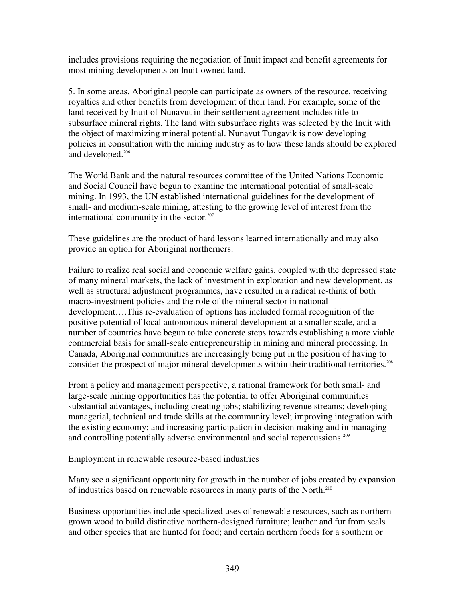includes provisions requiring the negotiation of Inuit impact and benefit agreements for most mining developments on Inuit-owned land.

5. In some areas, Aboriginal people can participate as owners of the resource, receiving royalties and other benefits from development of their land. For example, some of the land received by Inuit of Nunavut in their settlement agreement includes title to subsurface mineral rights. The land with subsurface rights was selected by the Inuit with the object of maximizing mineral potential. Nunavut Tungavik is now developing policies in consultation with the mining industry as to how these lands should be explored and developed. 206

The World Bank and the natural resources committee of the United Nations Economic and Social Council have begun to examine the international potential of small-scale mining. In 1993, the UN established international guidelines for the development of small- and medium-scale mining, attesting to the growing level of interest from the international community in the sector. 207

These guidelines are the product of hard lessons learned internationally and may also provide an option for Aboriginal northerners:

Failure to realize real social and economic welfare gains, coupled with the depressed state of many mineral markets, the lack of investment in exploration and new development, as well as structural adjustment programmes, have resulted in a radical re-think of both macro-investment policies and the role of the mineral sector in national development….This re-evaluation of options has included formal recognition of the positive potential of local autonomous mineral development at a smaller scale, and a number of countries have begun to take concrete steps towards establishing a more viable commercial basis for small-scale entrepreneurship in mining and mineral processing. In Canada, Aboriginal communities are increasingly being put in the position of having to consider the prospect of major mineral developments within their traditional territories. 208

From a policy and management perspective, a rational framework for both small- and large-scale mining opportunities has the potential to offer Aboriginal communities substantial advantages, including creating jobs; stabilizing revenue streams; developing managerial, technical and trade skills at the community level; improving integration with the existing economy; and increasing participation in decision making and in managing and controlling potentially adverse environmental and social repercussions. 209

Employment in renewable resource-based industries

Many see a significant opportunity for growth in the number of jobs created by expansion of industries based on renewable resources in many parts of the North.<sup>210</sup>

Business opportunities include specialized uses of renewable resources, such as northerngrown wood to build distinctive northern-designed furniture; leather and fur from seals and other species that are hunted for food; and certain northern foods for a southern or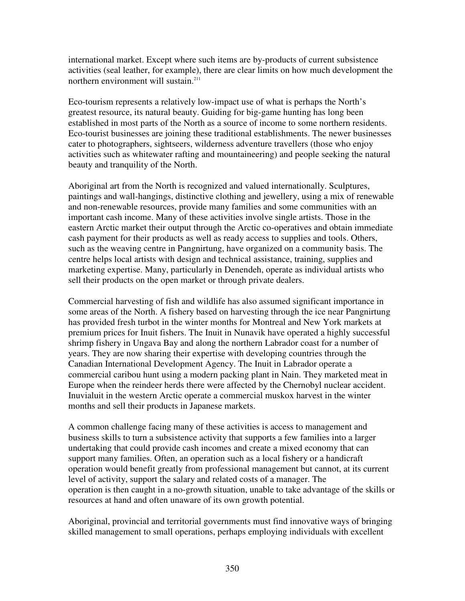international market. Except where such items are by-products of current subsistence activities (seal leather, for example), there are clear limits on how much development the northern environment will sustain. 211

Eco-tourism represents a relatively low-impact use of what is perhaps the North's greatest resource, its natural beauty. Guiding for big-game hunting has long been established in most parts of the North as a source of income to some northern residents. Eco-tourist businesses are joining these traditional establishments. The newer businesses cater to photographers, sightseers, wilderness adventure travellers (those who enjoy activities such as whitewater rafting and mountaineering) and people seeking the natural beauty and tranquility of the North.

Aboriginal art from the North is recognized and valued internationally. Sculptures, paintings and wall-hangings, distinctive clothing and jewellery, using a mix of renewable and non-renewable resources, provide many families and some communities with an important cash income. Many of these activities involve single artists. Those in the eastern Arctic market their output through the Arctic co-operatives and obtain immediate cash payment for their products as well as ready access to supplies and tools. Others, such as the weaving centre in Pangnirtung, have organized on a community basis. The centre helps local artists with design and technical assistance, training, supplies and marketing expertise. Many, particularly in Denendeh, operate as individual artists who sell their products on the open market or through private dealers.

Commercial harvesting of fish and wildlife has also assumed significant importance in some areas of the North. A fishery based on harvesting through the ice near Pangnirtung has provided fresh turbot in the winter months for Montreal and New York markets at premium prices for Inuit fishers. The Inuit in Nunavik have operated a highly successful shrimp fishery in Ungava Bay and along the northern Labrador coast for a number of years. They are now sharing their expertise with developing countries through the Canadian International Development Agency. The Inuit in Labrador operate a commercial caribou hunt using a modern packing plant in Nain. They marketed meat in Europe when the reindeer herds there were affected by the Chernobyl nuclear accident. Inuvialuit in the western Arctic operate a commercial muskox harvest in the winter months and sell their products in Japanese markets.

A common challenge facing many of these activities is access to management and business skills to turn a subsistence activity that supports a few families into a larger undertaking that could provide cash incomes and create a mixed economy that can support many families. Often, an operation such as a local fishery or a handicraft operation would benefit greatly from professional management but cannot, at its current level of activity, support the salary and related costs of a manager. The operation is then caught in a no-growth situation, unable to take advantage of the skills or resources at hand and often unaware of its own growth potential.

Aboriginal, provincial and territorial governments must find innovative ways of bringing skilled management to small operations, perhaps employing individuals with excellent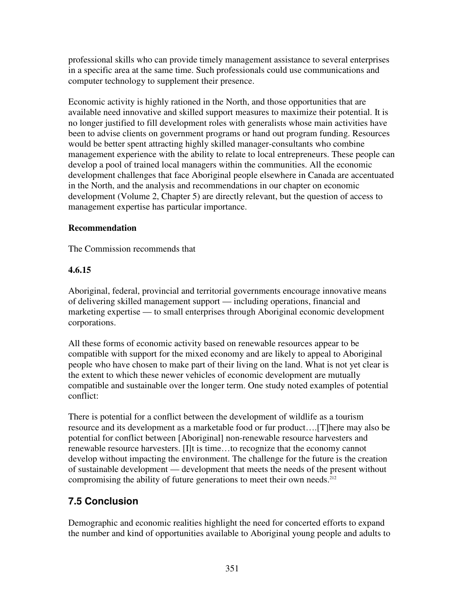professional skills who can provide timely management assistance to several enterprises in a specific area at the same time. Such professionals could use communications and computer technology to supplement their presence.

Economic activity is highly rationed in the North, and those opportunities that are available need innovative and skilled support measures to maximize their potential. It is no longer justified to fill development roles with generalists whose main activities have been to advise clients on government programs or hand out program funding. Resources would be better spent attracting highly skilled manager-consultants who combine management experience with the ability to relate to local entrepreneurs. These people can develop a pool of trained local managers within the communities. All the economic development challenges that face Aboriginal people elsewhere in Canada are accentuated in the North, and the analysis and recommendations in our chapter on economic development (Volume 2, Chapter 5) are directly relevant, but the question of access to management expertise has particular importance.

### **Recommendation**

The Commission recommends that

## **4.6.15**

Aboriginal, federal, provincial and territorial governments encourage innovative means of delivering skilled management support — including operations, financial and marketing expertise — to small enterprises through Aboriginal economic development corporations.

All these forms of economic activity based on renewable resources appear to be compatible with support for the mixed economy and are likely to appeal to Aboriginal people who have chosen to make part of their living on the land. What is not yet clear is the extent to which these newer vehicles of economic development are mutually compatible and sustainable over the longer term. One study noted examples of potential conflict:

There is potential for a conflict between the development of wildlife as a tourism resource and its development as a marketable food or fur product….[T]here may also be potential for conflict between [Aboriginal] non-renewable resource harvesters and renewable resource harvesters. [I]t is time…to recognize that the economy cannot develop without impacting the environment. The challenge for the future is the creation of sustainable development — development that meets the needs of the present without compromising the ability of future generations to meet their own needs. 212

# **7.5 Conclusion**

Demographic and economic realities highlight the need for concerted efforts to expand the number and kind of opportunities available to Aboriginal young people and adults to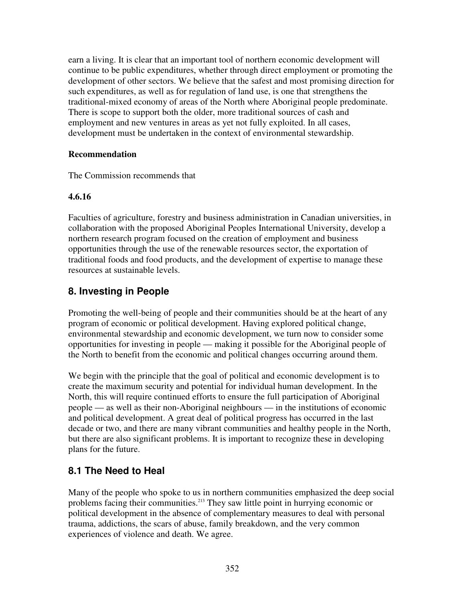earn a living. It is clear that an important tool of northern economic development will continue to be public expenditures, whether through direct employment or promoting the development of other sectors. We believe that the safest and most promising direction for such expenditures, as well as for regulation of land use, is one that strengthens the traditional-mixed economy of areas of the North where Aboriginal people predominate. There is scope to support both the older, more traditional sources of cash and employment and new ventures in areas as yet not fully exploited. In all cases, development must be undertaken in the context of environmental stewardship.

### **Recommendation**

The Commission recommends that

## **4.6.16**

Faculties of agriculture, forestry and business administration in Canadian universities, in collaboration with the proposed Aboriginal Peoples International University, develop a northern research program focused on the creation of employment and business opportunities through the use of the renewable resources sector, the exportation of traditional foods and food products, and the development of expertise to manage these resources at sustainable levels.

# **8. Investing in People**

Promoting the well-being of people and their communities should be at the heart of any program of economic or political development. Having explored political change, environmental stewardship and economic development, we turn now to consider some opportunities for investing in people — making it possible for the Aboriginal people of the North to benefit from the economic and political changes occurring around them.

We begin with the principle that the goal of political and economic development is to create the maximum security and potential for individual human development. In the North, this will require continued efforts to ensure the full participation of Aboriginal people — as well as their non-Aboriginal neighbours — in the institutions of economic and political development. A great deal of political progress has occurred in the last decade or two, and there are many vibrant communities and healthy people in the North, but there are also significant problems. It is important to recognize these in developing plans for the future.

# **8.1 The Need to Heal**

Many of the people who spoke to us in northern communities emphasized the deep social problems facing their communities. <sup>213</sup> They saw little point in hurrying economic or political development in the absence of complementary measures to deal with personal trauma, addictions, the scars of abuse, family breakdown, and the very common experiences of violence and death. We agree.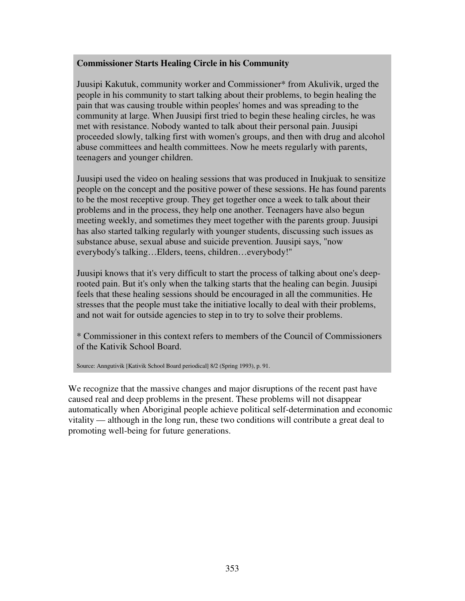#### **Commissioner Starts Healing Circle in his Community**

Juusipi Kakutuk, community worker and Commissioner\* from Akulivik, urged the people in his community to start talking about their problems, to begin healing the pain that was causing trouble within peoples'homes and was spreading to the community at large. When Juusipi first tried to begin these healing circles, he was met with resistance. Nobody wanted to talk about their personal pain. Juusipi proceeded slowly, talking first with women's groups, and then with drug and alcohol abuse committees and health committees. Now he meets regularly with parents, teenagers and younger children.

Juusipi used the video on healing sessions that was produced in Inukjuak to sensitize people on the concept and the positive power of these sessions. He has found parents to be the most receptive group. They get together once a week to talk about their problems and in the process, they help one another. Teenagers have also begun meeting weekly, and sometimes they meet together with the parents group. Juusipi has also started talking regularly with younger students, discussing such issues as substance abuse, sexual abuse and suicide prevention. Juusipi says, "now everybody's talking…Elders, teens, children…everybody!"

Juusipi knows that it's very difficult to start the process of talking about one's deeprooted pain. But it's only when the talking starts that the healing can begin. Juusipi feels that these healing sessions should be encouraged in all the communities. He stresses that the people must take the initiative locally to deal with their problems, and not wait for outside agencies to step in to try to solve their problems.

\* Commissioner in this context refers to members of the Council of Commissioners of the Kativik School Board.

Source: Anngutivik [Kativik School Board periodical] 8/2 (Spring 1993), p. 91.

We recognize that the massive changes and major disruptions of the recent past have caused real and deep problems in the present. These problems will not disappear automatically when Aboriginal people achieve political self-determination and economic vitality — although in the long run, these two conditions will contribute a great deal to promoting well-being for future generations.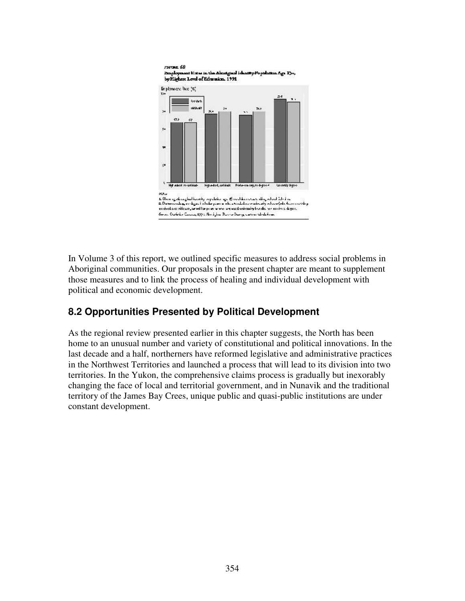

In Volume 3 of this report, we outlined specific measures to address social problems in Aboriginal communities. Our proposals in the present chapter are meant to supplement those measures and to link the process of healing and individual development with political and economic development.

# **8.2 Opportunities Presented by Political Development**

As the regional review presented earlier in this chapter suggests, the North has been home to an unusual number and variety of constitutional and political innovations. In the last decade and a half, northerners have reformed legislative and administrative practices in the Northwest Territories and launched a process that will lead to its division into two territories. In the Yukon, the comprehensive claims process is gradually but inexorably changing the face of local and territorial government, and in Nunavik and the traditional territory of the James Bay Crees, unique public and quasi-public institutions are under constant development.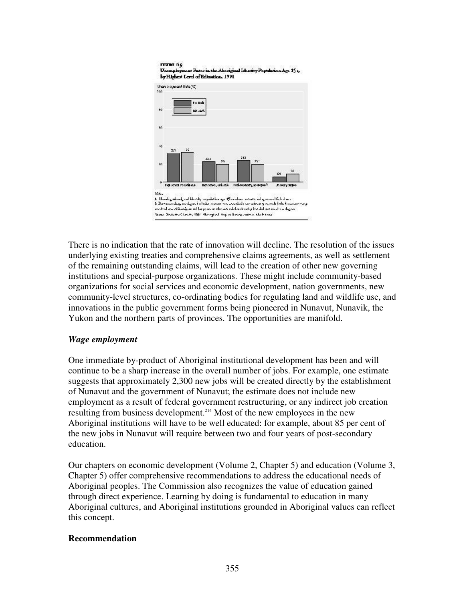

There is no indication that the rate of innovation will decline. The resolution of the issues underlying existing treaties and comprehensive claims agreements, as well as settlement of the remaining outstanding claims, will lead to the creation of other new governing institutions and special-purpose organizations. These might include community-based organizations for social services and economic development, nation governments, new community-level structures, co-ordinating bodies for regulating land and wildlife use, and innovations in the public government forms being pioneered in Nunavut, Nunavik, the Yukon and the northern parts of provinces. The opportunities are manifold.

### *Wage employment*

One immediate by-product of Aboriginal institutional development has been and will continue to be a sharp increase in the overall number of jobs. For example, one estimate suggests that approximately 2,300 new jobs will be created directly by the establishment of Nunavut and the government of Nunavut; the estimate does not include new employment as a result of federal government restructuring, or any indirect job creation resulting from business development. <sup>214</sup> Most of the new employees in the new Aboriginal institutions will have to be well educated: for example, about 85 per cent of the new jobs in Nunavut will require between two and four years of post-secondary education.

Our chapters on economic development (Volume 2, Chapter 5) and education (Volume 3, Chapter 5) offer comprehensive recommendations to address the educational needs of Aboriginal peoples. The Commission also recognizes the value of education gained through direct experience. Learning by doing is fundamental to education in many Aboriginal cultures, and Aboriginal institutions grounded in Aboriginal values can reflect this concept.

### **Recommendation**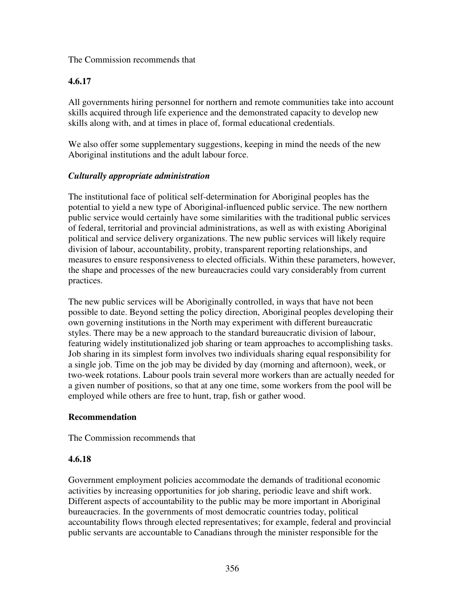#### The Commission recommends that

### **4.6.17**

All governments hiring personnel for northern and remote communities take into account skills acquired through life experience and the demonstrated capacity to develop new skills along with, and at times in place of, formal educational credentials.

We also offer some supplementary suggestions, keeping in mind the needs of the new Aboriginal institutions and the adult labour force.

### *Culturally appropriate administration*

The institutional face of political self-determination for Aboriginal peoples has the potential to yield a new type of Aboriginal-influenced public service. The new northern public service would certainly have some similarities with the traditional public services of federal, territorial and provincial administrations, as well as with existing Aboriginal political and service delivery organizations. The new public services will likely require division of labour, accountability, probity, transparent reporting relationships, and measures to ensure responsiveness to elected officials. Within these parameters, however, the shape and processes of the new bureaucracies could vary considerably from current practices.

The new public services will be Aboriginally controlled, in ways that have not been possible to date. Beyond setting the policy direction, Aboriginal peoples developing their own governing institutions in the North may experiment with different bureaucratic styles. There may be a new approach to the standard bureaucratic division of labour, featuring widely institutionalized job sharing or team approaches to accomplishing tasks. Job sharing in its simplest form involves two individuals sharing equal responsibility for a single job. Time on the job may be divided by day (morning and afternoon), week, or two-week rotations. Labour pools train several more workers than are actually needed for a given number of positions, so that at any one time, some workers from the pool will be employed while others are free to hunt, trap, fish or gather wood.

#### **Recommendation**

The Commission recommends that

### **4.6.18**

Government employment policies accommodate the demands of traditional economic activities by increasing opportunities for job sharing, periodic leave and shift work. Different aspects of accountability to the public may be more important in Aboriginal bureaucracies. In the governments of most democratic countries today, political accountability flows through elected representatives; for example, federal and provincial public servants are accountable to Canadians through the minister responsible for the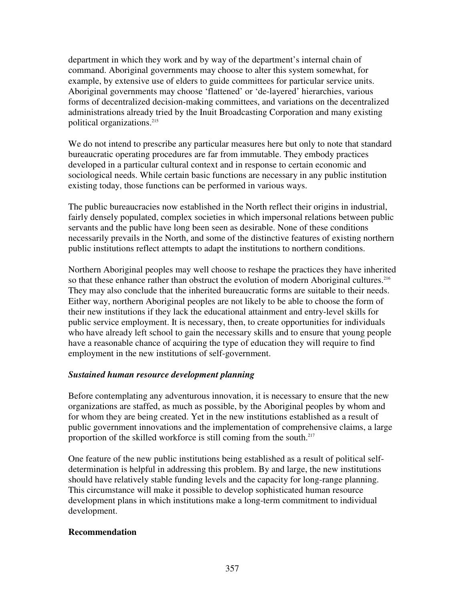department in which they work and by way of the department's internal chain of command. Aboriginal governments may choose to alter this system somewhat, for example, by extensive use of elders to guide committees for particular service units. Aboriginal governments may choose 'flattened' or 'de-layered' hierarchies, various forms of decentralized decision-making committees, and variations on the decentralized administrations already tried by the Inuit Broadcasting Corporation and many existing political organizations. 215

We do not intend to prescribe any particular measures here but only to note that standard bureaucratic operating procedures are far from immutable. They embody practices developed in a particular cultural context and in response to certain economic and sociological needs. While certain basic functions are necessary in any public institution existing today, those functions can be performed in various ways.

The public bureaucracies now established in the North reflect their origins in industrial, fairly densely populated, complex societies in which impersonal relations between public servants and the public have long been seen as desirable. None of these conditions necessarily prevails in the North, and some of the distinctive features of existing northern public institutions reflect attempts to adapt the institutions to northern conditions.

Northern Aboriginal peoples may well choose to reshape the practices they have inherited so that these enhance rather than obstruct the evolution of modern Aboriginal cultures.<sup>216</sup> They may also conclude that the inherited bureaucratic forms are suitable to their needs. Either way, northern Aboriginal peoples are not likely to be able to choose the form of their new institutions if they lack the educational attainment and entry-level skills for public service employment. It is necessary, then, to create opportunities for individuals who have already left school to gain the necessary skills and to ensure that young people have a reasonable chance of acquiring the type of education they will require to find employment in the new institutions of self-government.

### *Sustained human resource development planning*

Before contemplating any adventurous innovation, it is necessary to ensure that the new organizations are staffed, as much as possible, by the Aboriginal peoples by whom and for whom they are being created. Yet in the new institutions established as a result of public government innovations and the implementation of comprehensive claims, a large proportion of the skilled workforce is still coming from the south.<sup>217</sup>

One feature of the new public institutions being established as a result of political selfdetermination is helpful in addressing this problem. By and large, the new institutions should have relatively stable funding levels and the capacity for long-range planning. This circumstance will make it possible to develop sophisticated human resource development plans in which institutions make a long-term commitment to individual development.

### **Recommendation**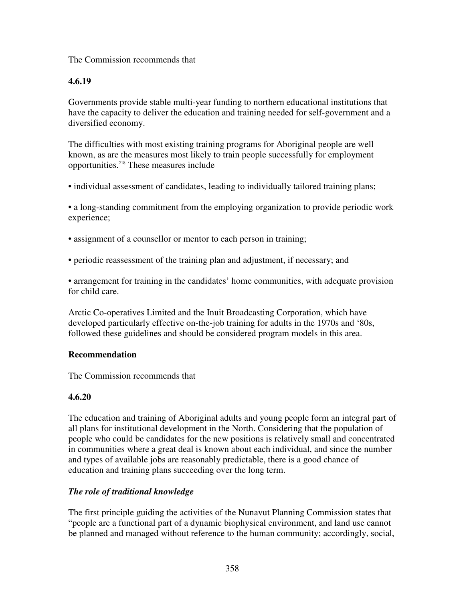The Commission recommends that

### **4.6.19**

Governments provide stable multi-year funding to northern educational institutions that have the capacity to deliver the education and training needed for self-government and a diversified economy.

The difficulties with most existing training programs for Aboriginal people are well known, as are the measures most likely to train people successfully for employment opportunities. <sup>218</sup> These measures include

• individual assessment of candidates, leading to individually tailored training plans;

• a long-standing commitment from the employing organization to provide periodic work experience;

- assignment of a counsellor or mentor to each person in training;
- periodic reassessment of the training plan and adjustment, if necessary; and

• arrangement for training in the candidates' home communities, with adequate provision for child care.

Arctic Co-operatives Limited and the Inuit Broadcasting Corporation, which have developed particularly effective on-the-job training for adults in the 1970s and '80s, followed these guidelines and should be considered program models in this area.

### **Recommendation**

The Commission recommends that

## **4.6.20**

The education and training of Aboriginal adults and young people form an integral part of all plans for institutional development in the North. Considering that the population of people who could be candidates for the new positions is relatively small and concentrated in communities where a great deal is known about each individual, and since the number and types of available jobs are reasonably predictable, there is a good chance of education and training plans succeeding over the long term.

## *The role of traditional knowledge*

The first principle guiding the activities of the Nunavut Planning Commission states that "people are a functional part of a dynamic biophysical environment, and land use cannot be planned and managed without reference to the human community; accordingly, social,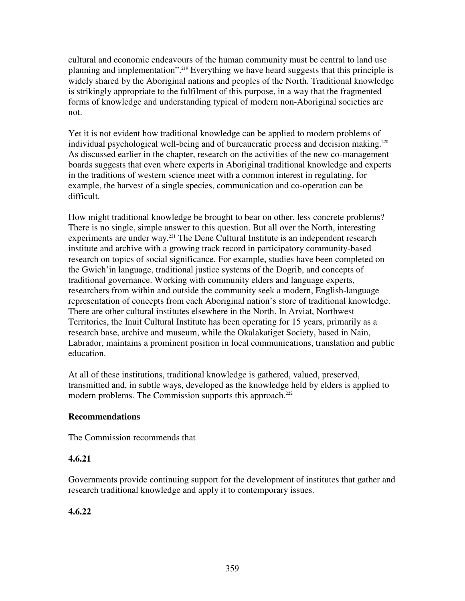cultural and economic endeavours of the human community must be central to land use planning and implementation". <sup>219</sup> Everything we have heard suggests that this principle is widely shared by the Aboriginal nations and peoples of the North. Traditional knowledge is strikingly appropriate to the fulfilment of this purpose, in a way that the fragmented forms of knowledge and understanding typical of modern non-Aboriginal societies are not.

Yet it is not evident how traditional knowledge can be applied to modern problems of individual psychological well-being and of bureaucratic process and decision making.<sup>220</sup> As discussed earlier in the chapter, research on the activities of the new co-management boards suggests that even where experts in Aboriginal traditional knowledge and experts in the traditions of western science meet with a common interest in regulating, for example, the harvest of a single species, communication and co-operation can be difficult.

How might traditional knowledge be brought to bear on other, less concrete problems? There is no single, simple answer to this question. But all over the North, interesting experiments are under way.<sup>221</sup> The Dene Cultural Institute is an independent research institute and archive with a growing track record in participatory community-based research on topics of social significance. For example, studies have been completed on the Gwich'in language, traditional justice systems of the Dogrib, and concepts of traditional governance. Working with community elders and language experts, researchers from within and outside the community seek a modern, English-language representation of concepts from each Aboriginal nation's store of traditional knowledge. There are other cultural institutes elsewhere in the North. In Arviat, Northwest Territories, the Inuit Cultural Institute has been operating for 15 years, primarily as a research base, archive and museum, while the Okalakatiget Society, based in Nain, Labrador, maintains a prominent position in local communications, translation and public education.

At all of these institutions, traditional knowledge is gathered, valued, preserved, transmitted and, in subtle ways, developed as the knowledge held by elders is applied to modern problems. The Commission supports this approach.<sup>222</sup>

### **Recommendations**

The Commission recommends that

### **4.6.21**

Governments provide continuing support for the development of institutes that gather and research traditional knowledge and apply it to contemporary issues.

### **4.6.22**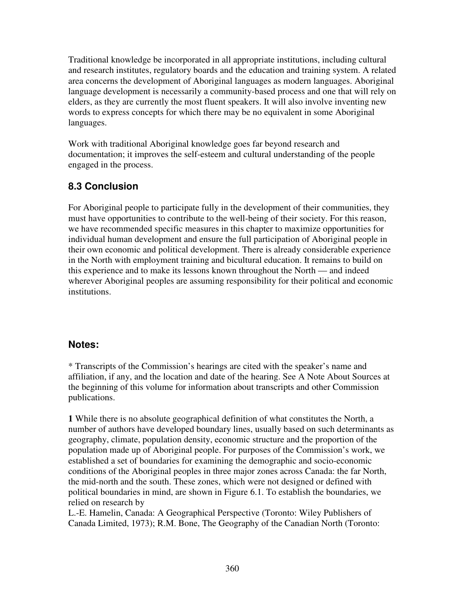Traditional knowledge be incorporated in all appropriate institutions, including cultural and research institutes, regulatory boards and the education and training system. A related area concerns the development of Aboriginal languages as modern languages. Aboriginal language development is necessarily a community-based process and one that will rely on elders, as they are currently the most fluent speakers. It will also involve inventing new words to express concepts for which there may be no equivalent in some Aboriginal languages.

Work with traditional Aboriginal knowledge goes far beyond research and documentation; it improves the self-esteem and cultural understanding of the people engaged in the process.

# **8.3 Conclusion**

For Aboriginal people to participate fully in the development of their communities, they must have opportunities to contribute to the well-being of their society. For this reason, we have recommended specific measures in this chapter to maximize opportunities for individual human development and ensure the full participation of Aboriginal people in their own economic and political development. There is already considerable experience in the North with employment training and bicultural education. It remains to build on this experience and to make its lessons known throughout the North — and indeed wherever Aboriginal peoples are assuming responsibility for their political and economic institutions.

## **Notes:**

\* Transcripts of the Commission's hearings are cited with the speaker's name and affiliation, if any, and the location and date of the hearing. See A Note About Sources at the beginning of this volume for information about transcripts and other Commission publications.

**1** While there is no absolute geographical definition of what constitutes the North, a number of authors have developed boundary lines, usually based on such determinants as geography, climate, population density, economic structure and the proportion of the population made up of Aboriginal people. For purposes of the Commission's work, we established a set of boundaries for examining the demographic and socio-economic conditions of the Aboriginal peoples in three major zones across Canada: the far North, the mid-north and the south. These zones, which were not designed or defined with political boundaries in mind, are shown in Figure 6.1. To establish the boundaries, we relied on research by

L.-E. Hamelin, Canada: A Geographical Perspective (Toronto: Wiley Publishers of Canada Limited, 1973); R.M. Bone, The Geography of the Canadian North (Toronto: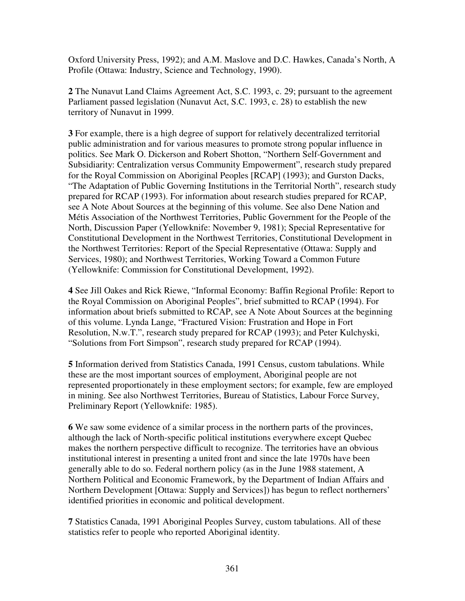Oxford University Press, 1992); and A.M. Maslove and D.C. Hawkes, Canada's North, A Profile (Ottawa: Industry, Science and Technology, 1990).

**2** The Nunavut Land Claims Agreement Act, S.C. 1993, c. 29; pursuant to the agreement Parliament passed legislation (Nunavut Act, S.C. 1993, c. 28) to establish the new territory of Nunavut in 1999.

**3** For example, there is a high degree of support for relatively decentralized territorial public administration and for various measures to promote strong popular influence in politics. See Mark O. Dickerson and Robert Shotton, "Northern Self-Government and Subsidiarity: Centralization versus Community Empowerment", research study prepared for the Royal Commission on Aboriginal Peoples [RCAP] (1993); and Gurston Dacks, "The Adaptation of Public Governing Institutions in the Territorial North", research study prepared for RCAP (1993). For information about research studies prepared for RCAP, see A Note About Sources at the beginning of this volume. See also Dene Nation and Métis Association of the Northwest Territories, Public Government for the People of the North, Discussion Paper (Yellowknife: November 9, 1981); Special Representative for Constitutional Development in the Northwest Territories, Constitutional Development in the Northwest Territories: Report of the Special Representative (Ottawa: Supply and Services, 1980); and Northwest Territories, Working Toward a Common Future (Yellowknife: Commission for Constitutional Development, 1992).

**4** See Jill Oakes and Rick Riewe, "Informal Economy: Baffin Regional Profile: Report to the Royal Commission on Aboriginal Peoples", brief submitted to RCAP (1994). For information about briefs submitted to RCAP, see A Note About Sources at the beginning of this volume. Lynda Lange, "Fractured Vision: Frustration and Hope in Fort Resolution, N.w.T.", research study prepared for RCAP (1993); and Peter Kulchyski, "Solutions from Fort Simpson", research study prepared for RCAP (1994).

**5** Information derived from Statistics Canada, 1991 Census, custom tabulations. While these are the most important sources of employment, Aboriginal people are not represented proportionately in these employment sectors; for example, few are employed in mining. See also Northwest Territories, Bureau of Statistics, Labour Force Survey, Preliminary Report (Yellowknife: 1985).

**6** We saw some evidence of a similar process in the northern parts of the provinces, although the lack of North-specific political institutions everywhere except Quebec makes the northern perspective difficult to recognize. The territories have an obvious institutional interest in presenting a united front and since the late 1970s have been generally able to do so. Federal northern policy (as in the June 1988 statement, A Northern Political and Economic Framework, by the Department of Indian Affairs and Northern Development [Ottawa: Supply and Services]) has begun to reflect northerners' identified priorities in economic and political development.

**7** Statistics Canada, 1991 Aboriginal Peoples Survey, custom tabulations. All of these statistics refer to people who reported Aboriginal identity.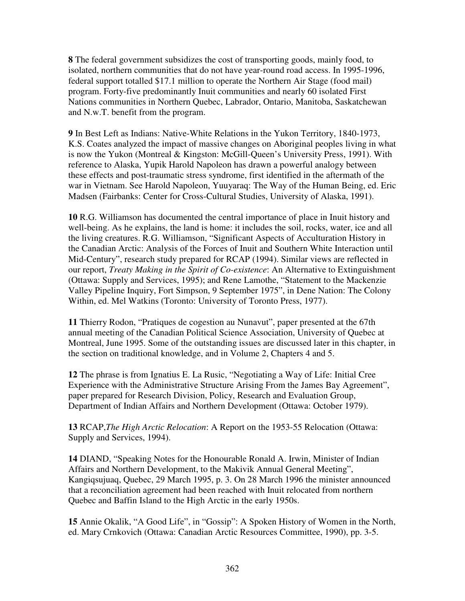**8** The federal government subsidizes the cost of transporting goods, mainly food, to isolated, northern communities that do not have year-round road access. In 1995-1996, federal support totalled \$17.1 million to operate the Northern Air Stage (food mail) program. Forty-five predominantly Inuit communities and nearly 60 isolated First Nations communities in Northern Quebec, Labrador, Ontario, Manitoba, Saskatchewan and N.w.T. benefit from the program.

**9** In Best Left as Indians: Native-White Relations in the Yukon Territory, 1840-1973, K.S. Coates analyzed the impact of massive changes on Aboriginal peoples living in what is now the Yukon (Montreal & Kingston: McGill-Queen's University Press, 1991). With reference to Alaska, Yupik Harold Napoleon has drawn a powerful analogy between these effects and post-traumatic stress syndrome, first identified in the aftermath of the war in Vietnam. See Harold Napoleon, Yuuyaraq: The Way of the Human Being, ed. Eric Madsen (Fairbanks: Center for Cross-Cultural Studies, University of Alaska, 1991).

**10** R.G. Williamson has documented the central importance of place in Inuit history and well-being. As he explains, the land is home: it includes the soil, rocks, water, ice and all the living creatures. R.G. Williamson, "Significant Aspects of Acculturation History in the Canadian Arctic: Analysis of the Forces of Inuit and Southern White Interaction until Mid-Century", research study prepared for RCAP (1994). Similar views are reflected in our report, *Treaty Making in the Spirit of Co-existence*: An Alternative to Extinguishment (Ottawa: Supply and Services, 1995); and Rene Lamothe, "Statement to the Mackenzie Valley Pipeline Inquiry, Fort Simpson, 9 September 1975", in Dene Nation: The Colony Within, ed. Mel Watkins (Toronto: University of Toronto Press, 1977).

**11** Thierry Rodon, "Pratiques de cogestion au Nunavut", paper presented at the 67th annual meeting of the Canadian Political Science Association, University of Quebec at Montreal, June 1995. Some of the outstanding issues are discussed later in this chapter, in the section on traditional knowledge, and in Volume 2, Chapters 4 and 5.

**12** The phrase is from Ignatius E. La Rusic, "Negotiating a Way of Life: Initial Cree Experience with the Administrative Structure Arising From the James Bay Agreement", paper prepared for Research Division, Policy, Research and Evaluation Group, Department of Indian Affairs and Northern Development (Ottawa: October 1979).

**13** RCAP,*The High Arctic Relocation*: A Report on the 1953-55 Relocation (Ottawa: Supply and Services, 1994).

**14** DIAND, "Speaking Notes for the Honourable Ronald A. Irwin, Minister of Indian Affairs and Northern Development, to the Makivik Annual General Meeting", Kangiqsujuaq, Quebec, 29 March 1995, p. 3. On 28 March 1996 the minister announced that a reconciliation agreement had been reached with Inuit relocated from northern Quebec and Baffin Island to the High Arctic in the early 1950s.

**15** Annie Okalik, "A Good Life", in "Gossip": A Spoken History of Women in the North, ed. Mary Crnkovich (Ottawa: Canadian Arctic Resources Committee, 1990), pp. 3-5.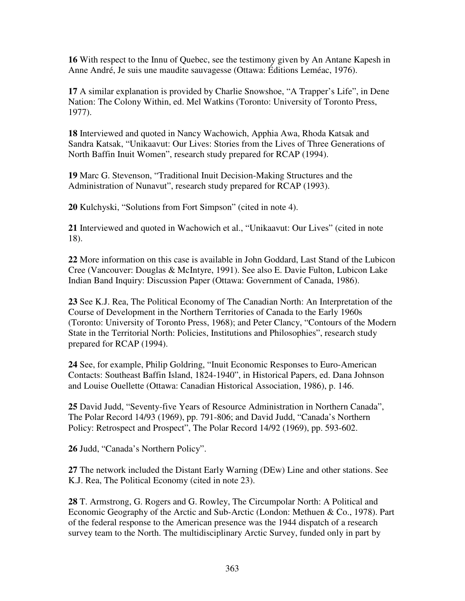**16** With respect to the Innu of Quebec, see the testimony given by An Antane Kapesh in Anne André, Je suis une maudite sauvagesse (Ottawa: Éditions Leméac, 1976).

**17** A similar explanation is provided by Charlie Snowshoe, "A Trapper's Life", in Dene Nation: The Colony Within, ed. Mel Watkins (Toronto: University of Toronto Press, 1977).

**18** Interviewed and quoted in Nancy Wachowich, Apphia Awa, Rhoda Katsak and Sandra Katsak, "Unikaavut: Our Lives: Stories from the Lives of Three Generations of North Baffin Inuit Women", research study prepared for RCAP (1994).

**19** Marc G. Stevenson, "Traditional Inuit Decision-Making Structures and the Administration of Nunavut", research study prepared for RCAP (1993).

**20** Kulchyski, "Solutions from Fort Simpson" (cited in note 4).

**21** Interviewed and quoted in Wachowich et al., "Unikaavut: Our Lives" (cited in note 18).

**22** More information on this case is available in John Goddard, Last Stand of the Lubicon Cree (Vancouver: Douglas & McIntyre, 1991). See also E. Davie Fulton, Lubicon Lake Indian Band Inquiry: Discussion Paper (Ottawa: Government of Canada, 1986).

**23** See K.J. Rea, The Political Economy of The Canadian North: An Interpretation of the Course of Development in the Northern Territories of Canada to the Early 1960s (Toronto: University of Toronto Press, 1968); and Peter Clancy, "Contours of the Modern State in the Territorial North: Policies, Institutions and Philosophies", research study prepared for RCAP (1994).

**24** See, for example, Philip Goldring, "Inuit Economic Responses to Euro-American Contacts: Southeast Baffin Island, 1824-1940", in Historical Papers, ed. Dana Johnson and Louise Ouellette (Ottawa: Canadian Historical Association, 1986), p. 146.

**25** David Judd, "Seventy-five Years of Resource Administration in Northern Canada", The Polar Record 14/93 (1969), pp. 791-806; and David Judd, "Canada's Northern Policy: Retrospect and Prospect", The Polar Record 14/92 (1969), pp. 593-602.

**26** Judd, "Canada's Northern Policy".

**27** The network included the Distant Early Warning (DEw) Line and other stations. See K.J. Rea, The Political Economy (cited in note 23).

**28** T. Armstrong, G. Rogers and G. Rowley, The Circumpolar North: A Political and Economic Geography of the Arctic and Sub-Arctic (London: Methuen & Co., 1978). Part of the federal response to the American presence was the 1944 dispatch of a research survey team to the North. The multidisciplinary Arctic Survey, funded only in part by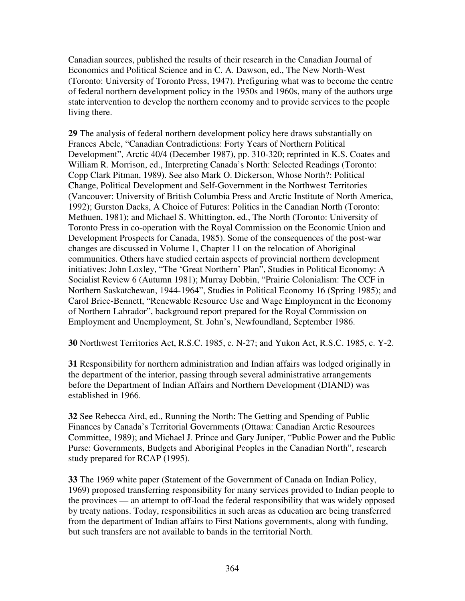Canadian sources, published the results of their research in the Canadian Journal of Economics and Political Science and in C. A. Dawson, ed., The New North-West (Toronto: University of Toronto Press, 1947). Prefiguring what was to become the centre of federal northern development policy in the 1950s and 1960s, many of the authors urge state intervention to develop the northern economy and to provide services to the people living there.

**29** The analysis of federal northern development policy here draws substantially on Frances Abele, "Canadian Contradictions: Forty Years of Northern Political Development", Arctic 40/4 (December 1987), pp. 310-320; reprinted in K.S. Coates and William R. Morrison, ed., Interpreting Canada's North: Selected Readings (Toronto: Copp Clark Pitman, 1989). See also Mark O. Dickerson, Whose North?: Political Change, Political Development and Self-Government in the Northwest Territories (Vancouver: University of British Columbia Press and Arctic Institute of North America, 1992); Gurston Dacks, A Choice of Futures: Politics in the Canadian North (Toronto: Methuen, 1981); and Michael S. Whittington, ed., The North (Toronto: University of Toronto Press in co-operation with the Royal Commission on the Economic Union and Development Prospects for Canada, 1985). Some of the consequences of the post-war changes are discussed in Volume 1, Chapter 11 on the relocation of Aboriginal communities. Others have studied certain aspects of provincial northern development initiatives: John Loxley, "The 'Great Northern' Plan", Studies in Political Economy: A Socialist Review 6 (Autumn 1981); Murray Dobbin, "Prairie Colonialism: The CCF in Northern Saskatchewan, 1944-1964", Studies in Political Economy 16 (Spring 1985); and Carol Brice-Bennett, "Renewable Resource Use and Wage Employment in the Economy of Northern Labrador", background report prepared for the Royal Commission on Employment and Unemployment, St. John's, Newfoundland, September 1986.

**30** Northwest Territories Act, R.S.C. 1985, c. N-27; and Yukon Act, R.S.C. 1985, c. Y-2.

**31** Responsibility for northern administration and Indian affairs was lodged originally in the department of the interior, passing through several administrative arrangements before the Department of Indian Affairs and Northern Development (DIAND) was established in 1966.

**32** See Rebecca Aird, ed., Running the North: The Getting and Spending of Public Finances by Canada's Territorial Governments (Ottawa: Canadian Arctic Resources Committee, 1989); and Michael J. Prince and Gary Juniper, "Public Power and the Public Purse: Governments, Budgets and Aboriginal Peoples in the Canadian North", research study prepared for RCAP (1995).

**33** The 1969 white paper (Statement of the Government of Canada on Indian Policy, 1969) proposed transferring responsibility for many services provided to Indian people to the provinces — an attempt to off-load the federal responsibility that was widely opposed by treaty nations. Today, responsibilities in such areas as education are being transferred from the department of Indian affairs to First Nations governments, along with funding, but such transfers are not available to bands in the territorial North.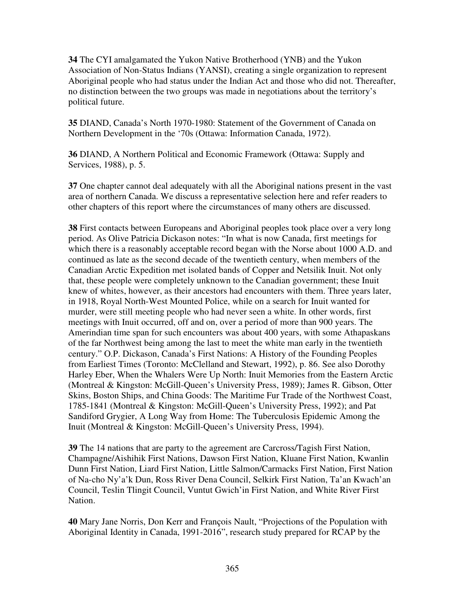**34** The CYI amalgamated the Yukon Native Brotherhood (YNB) and the Yukon Association of Non-Status Indians (YANSI), creating a single organization to represent Aboriginal people who had status under the Indian Act and those who did not. Thereafter, no distinction between the two groups was made in negotiations about the territory's political future.

**35** DIAND, Canada's North 1970-1980: Statement of the Government of Canada on Northern Development in the '70s (Ottawa: Information Canada, 1972).

**36** DIAND, A Northern Political and Economic Framework (Ottawa: Supply and Services, 1988), p. 5.

**37** One chapter cannot deal adequately with all the Aboriginal nations present in the vast area of northern Canada. We discuss a representative selection here and refer readers to other chapters of this report where the circumstances of many others are discussed.

**38** First contacts between Europeans and Aboriginal peoples took place over a very long period. As Olive Patricia Dickason notes: "In what is now Canada, first meetings for which there is a reasonably acceptable record began with the Norse about 1000 A.D. and continued as late as the second decade of the twentieth century, when members of the Canadian Arctic Expedition met isolated bands of Copper and Netsilik Inuit. Not only that, these people were completely unknown to the Canadian government; these Inuit knew of whites, however, as their ancestors had encounters with them. Three years later, in 1918, Royal North-West Mounted Police, while on a search for Inuit wanted for murder, were still meeting people who had never seen a white. In other words, first meetings with Inuit occurred, off and on, over a period of more than 900 years. The Amerindian time span for such encounters was about 400 years, with some Athapaskans of the far Northwest being among the last to meet the white man early in the twentieth century." O.P. Dickason, Canada's First Nations: A History of the Founding Peoples from Earliest Times (Toronto: McClelland and Stewart, 1992), p. 86. See also Dorothy Harley Eber, When the Whalers Were Up North: Inuit Memories from the Eastern Arctic (Montreal & Kingston: McGill-Queen's University Press, 1989); James R. Gibson, Otter Skins, Boston Ships, and China Goods: The Maritime Fur Trade of the Northwest Coast, 1785-1841 (Montreal & Kingston: McGill-Queen's University Press, 1992); and Pat Sandiford Grygier, A Long Way from Home: The Tuberculosis Epidemic Among the Inuit (Montreal & Kingston: McGill-Queen's University Press, 1994).

**39** The 14 nations that are party to the agreement are Carcross/Tagish First Nation, Champagne/Aishihik First Nations, Dawson First Nation, Kluane First Nation, Kwanlin Dunn First Nation, Liard First Nation, Little Salmon/Carmacks First Nation, First Nation of Na-cho Ny'a'k Dun, Ross River Dena Council, Selkirk First Nation, Ta'an Kwach'an Council, Teslin Tlingit Council, Vuntut Gwich'in First Nation, and White River First Nation.

**40** Mary Jane Norris, Don Kerr and François Nault, "Projections of the Population with Aboriginal Identity in Canada, 1991-2016", research study prepared for RCAP by the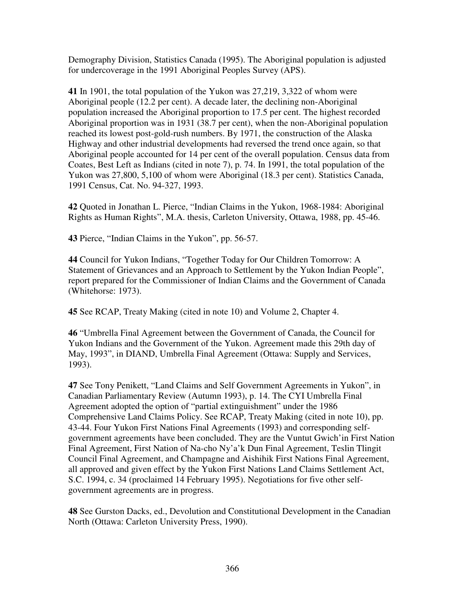Demography Division, Statistics Canada (1995). The Aboriginal population is adjusted for undercoverage in the 1991 Aboriginal Peoples Survey (APS).

**41** In 1901, the total population of the Yukon was 27,219, 3,322 of whom were Aboriginal people (12.2 per cent). A decade later, the declining non-Aboriginal population increased the Aboriginal proportion to 17.5 per cent. The highest recorded Aboriginal proportion was in 1931 (38.7 per cent), when the non-Aboriginal population reached its lowest post-gold-rush numbers. By 1971, the construction of the Alaska Highway and other industrial developments had reversed the trend once again, so that Aboriginal people accounted for 14 per cent of the overall population. Census data from Coates, Best Left as Indians (cited in note 7), p. 74. In 1991, the total population of the Yukon was 27,800, 5,100 of whom were Aboriginal (18.3 per cent). Statistics Canada, 1991 Census, Cat. No. 94-327, 1993.

**42** Quoted in Jonathan L. Pierce, "Indian Claims in the Yukon, 1968-1984: Aboriginal Rights as Human Rights", M.A. thesis, Carleton University, Ottawa, 1988, pp. 45-46.

**43** Pierce, "Indian Claims in the Yukon", pp. 56-57.

**44** Council for Yukon Indians, "Together Today for Our Children Tomorrow: A Statement of Grievances and an Approach to Settlement by the Yukon Indian People", report prepared for the Commissioner of Indian Claims and the Government of Canada (Whitehorse: 1973).

**45** See RCAP, Treaty Making (cited in note 10) and Volume 2, Chapter 4.

**46** "Umbrella Final Agreement between the Government of Canada, the Council for Yukon Indians and the Government of the Yukon. Agreement made this 29th day of May, 1993", in DIAND, Umbrella Final Agreement (Ottawa: Supply and Services, 1993).

**47** See Tony Penikett, "Land Claims and Self Government Agreements in Yukon", in Canadian Parliamentary Review (Autumn 1993), p. 14. The CYI Umbrella Final Agreement adopted the option of "partial extinguishment" under the 1986 Comprehensive Land Claims Policy. See RCAP, Treaty Making (cited in note 10), pp. 43-44. Four Yukon First Nations Final Agreements (1993) and corresponding selfgovernment agreements have been concluded. They are the Vuntut Gwich'in First Nation Final Agreement, First Nation of Na-cho Ny'a'k Dun Final Agreement, Teslin Tlingit Council Final Agreement, and Champagne and Aishihik First Nations Final Agreement, all approved and given effect by the Yukon First Nations Land Claims Settlement Act, S.C. 1994, c. 34 (proclaimed 14 February 1995). Negotiations for five other selfgovernment agreements are in progress.

**48** See Gurston Dacks, ed., Devolution and Constitutional Development in the Canadian North (Ottawa: Carleton University Press, 1990).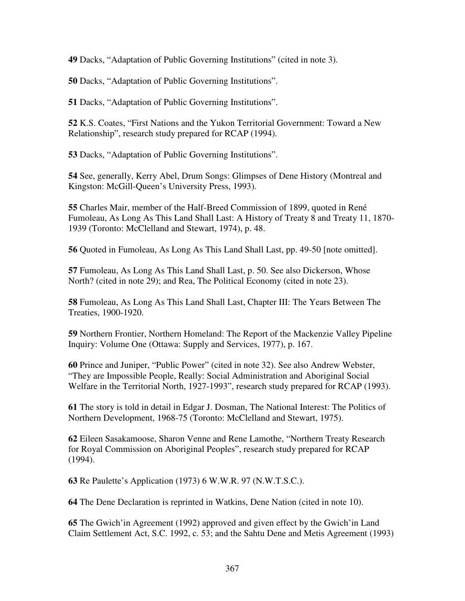Dacks, "Adaptation of Public Governing Institutions" (cited in note 3).

Dacks, "Adaptation of Public Governing Institutions".

Dacks, "Adaptation of Public Governing Institutions".

 K.S. Coates, "First Nations and the Yukon Territorial Government: Toward a New Relationship", research study prepared for RCAP (1994).

Dacks, "Adaptation of Public Governing Institutions".

 See, generally, Kerry Abel, Drum Songs: Glimpses of Dene History (Montreal and Kingston: McGill-Queen's University Press, 1993).

 Charles Mair, member of the Half-Breed Commission of 1899, quoted in René Fumoleau, As Long As This Land Shall Last: A History of Treaty 8 and Treaty 11, 1870- (Toronto: McClelland and Stewart, 1974), p. 48.

Quoted in Fumoleau, As Long As This Land Shall Last, pp. 49-50 [note omitted].

 Fumoleau, As Long As This Land Shall Last, p. 50. See also Dickerson, Whose North? (cited in note 29); and Rea, The Political Economy (cited in note 23).

 Fumoleau, As Long As This Land Shall Last, Chapter III: The Years Between The Treaties, 1900-1920.

 Northern Frontier, Northern Homeland: The Report of the Mackenzie Valley Pipeline Inquiry: Volume One (Ottawa: Supply and Services, 1977), p. 167.

 Prince and Juniper, "Public Power" (cited in note 32). See also Andrew Webster, "They are Impossible People, Really: Social Administration and Aboriginal Social Welfare in the Territorial North, 1927-1993", research study prepared for RCAP (1993).

 The story is told in detail in Edgar J. Dosman, The National Interest: The Politics of Northern Development, 1968-75 (Toronto: McClelland and Stewart, 1975).

 Eileen Sasakamoose, Sharon Venne and Rene Lamothe, "Northern Treaty Research for Royal Commission on Aboriginal Peoples", research study prepared for RCAP (1994).

Re Paulette's Application (1973) 6 W.W.R. 97 (N.W.T.S.C.).

The Dene Declaration is reprinted in Watkins, Dene Nation (cited in note 10).

 The Gwich'in Agreement (1992) approved and given effect by the Gwich'in Land Claim Settlement Act, S.C. 1992, c. 53; and the Sahtu Dene and Metis Agreement (1993)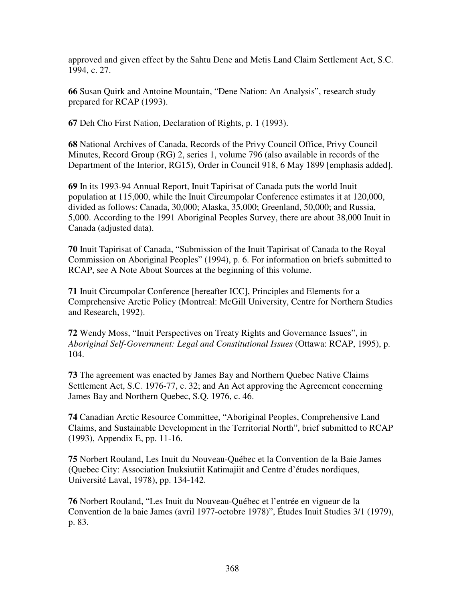approved and given effect by the Sahtu Dene and Metis Land Claim Settlement Act, S.C. 1994, c. 27.

**66** Susan Quirk and Antoine Mountain, "Dene Nation: An Analysis", research study prepared for RCAP (1993).

**67** Deh Cho First Nation, Declaration of Rights, p. 1 (1993).

**68** National Archives of Canada, Records of the Privy Council Office, Privy Council Minutes, Record Group (RG) 2, series 1, volume 796 (also available in records of the Department of the Interior, RG15), Order in Council 918, 6 May 1899 [emphasis added].

**69** In its 1993-94 Annual Report, Inuit Tapirisat of Canada puts the world Inuit population at 115,000, while the Inuit Circumpolar Conference estimates it at 120,000, divided as follows: Canada, 30,000; Alaska, 35,000; Greenland, 50,000; and Russia, 5,000. According to the 1991 Aboriginal Peoples Survey, there are about 38,000 Inuit in Canada (adjusted data).

**70** Inuit Tapirisat of Canada, "Submission of the Inuit Tapirisat of Canada to the Royal Commission on Aboriginal Peoples" (1994), p. 6. For information on briefs submitted to RCAP, see A Note About Sources at the beginning of this volume.

**71** Inuit Circumpolar Conference [hereafter ICC], Principles and Elements for a Comprehensive Arctic Policy (Montreal: McGill University, Centre for Northern Studies and Research, 1992).

**72** Wendy Moss, "Inuit Perspectives on Treaty Rights and Governance Issues", in *Aboriginal Self-Government: Legal and Constitutional Issues* (Ottawa: RCAP, 1995), p. 104.

**73** The agreement was enacted by James Bay and Northern Quebec Native Claims Settlement Act, S.C. 1976-77, c. 32; and An Act approving the Agreement concerning James Bay and Northern Quebec, S.Q. 1976, c. 46.

**74** Canadian Arctic Resource Committee, "Aboriginal Peoples, Comprehensive Land Claims, and Sustainable Development in the Territorial North", brief submitted to RCAP (1993), Appendix E, pp. 11-16.

**75** Norbert Rouland, Les Inuit du Nouveau-Québec et la Convention de la Baie James (Quebec City: Association Inuksiutiit Katimajiit and Centre d'études nordiques, Université Laval, 1978), pp. 134-142.

**76** Norbert Rouland, "Les Inuit du Nouveau-Québec et l'entrée en vigueur de la Convention de la baie James (avril 1977-octobre 1978)", Études Inuit Studies 3/1 (1979), p. 83.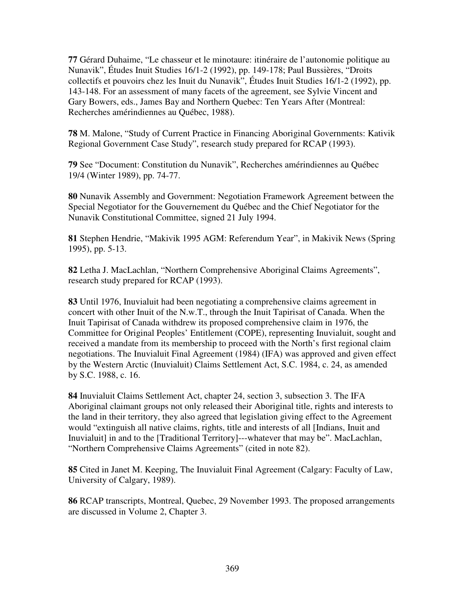**77** Gérard Duhaime, "Le chasseur et le minotaure: itinéraire de l'autonomie politique au Nunavik", Études Inuit Studies 16/1-2 (1992), pp. 149-178; Paul Bussières, "Droits collectifs et pouvoirs chez les Inuit du Nunavik", Études Inuit Studies 16/1-2 (1992), pp. 143-148. For an assessment of many facets of the agreement, see Sylvie Vincent and Gary Bowers, eds., James Bay and Northern Quebec: Ten Years After (Montreal: Recherches amérindiennes au Québec, 1988).

**78** M. Malone, "Study of Current Practice in Financing Aboriginal Governments: Kativik Regional Government Case Study", research study prepared for RCAP (1993).

**79** See "Document: Constitution du Nunavik", Recherches amérindiennes au Québec 19/4 (Winter 1989), pp. 74-77.

**80** Nunavik Assembly and Government: Negotiation Framework Agreement between the Special Negotiator for the Gouvernement du Québec and the Chief Negotiator for the Nunavik Constitutional Committee, signed 21 July 1994.

**81** Stephen Hendrie, "Makivik 1995 AGM: Referendum Year", in Makivik News (Spring 1995), pp. 5-13.

**82** Letha J. MacLachlan, "Northern Comprehensive Aboriginal Claims Agreements", research study prepared for RCAP (1993).

**83** Until 1976, Inuvialuit had been negotiating a comprehensive claims agreement in concert with other Inuit of the N.w.T., through the Inuit Tapirisat of Canada. When the Inuit Tapirisat of Canada withdrew its proposed comprehensive claim in 1976, the Committee for Original Peoples' Entitlement (COPE), representing Inuvialuit, sought and received a mandate from its membership to proceed with the North's first regional claim negotiations. The Inuvialuit Final Agreement (1984) (IFA) was approved and given effect by the Western Arctic (Inuvialuit) Claims Settlement Act, S.C. 1984, c. 24, as amended by S.C. 1988, c. 16.

**84** Inuvialuit Claims Settlement Act, chapter 24, section 3, subsection 3. The IFA Aboriginal claimant groups not only released their Aboriginal title, rights and interests to the land in their territory, they also agreed that legislation giving effect to the Agreement would "extinguish all native claims, rights, title and interests of all [Indians, Inuit and Inuvialuit] in and to the [Traditional Territory]---whatever that may be". MacLachlan, "Northern Comprehensive Claims Agreements" (cited in note 82).

**85** Cited in Janet M. Keeping, The Inuvialuit Final Agreement (Calgary: Faculty of Law, University of Calgary, 1989).

**86** RCAP transcripts, Montreal, Quebec, 29 November 1993. The proposed arrangements are discussed in Volume 2, Chapter 3.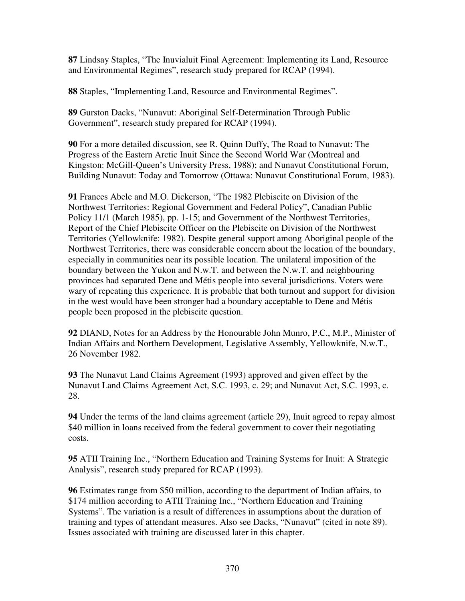**87** Lindsay Staples, "The Inuvialuit Final Agreement: Implementing its Land, Resource and Environmental Regimes", research study prepared for RCAP (1994).

**88** Staples, "Implementing Land, Resource and Environmental Regimes".

**89** Gurston Dacks, "Nunavut: Aboriginal Self-Determination Through Public Government", research study prepared for RCAP (1994).

**90** For a more detailed discussion, see R. Quinn Duffy, The Road to Nunavut: The Progress of the Eastern Arctic Inuit Since the Second World War (Montreal and Kingston: McGill-Queen's University Press, 1988); and Nunavut Constitutional Forum, Building Nunavut: Today and Tomorrow (Ottawa: Nunavut Constitutional Forum, 1983).

**91** Frances Abele and M.O. Dickerson, "The 1982 Plebiscite on Division of the Northwest Territories: Regional Government and Federal Policy", Canadian Public Policy 11/1 (March 1985), pp. 1-15; and Government of the Northwest Territories, Report of the Chief Plebiscite Officer on the Plebiscite on Division of the Northwest Territories (Yellowknife: 1982). Despite general support among Aboriginal people of the Northwest Territories, there was considerable concern about the location of the boundary, especially in communities near its possible location. The unilateral imposition of the boundary between the Yukon and N.w.T. and between the N.w.T. and neighbouring provinces had separated Dene and Métis people into several jurisdictions. Voters were wary of repeating this experience. It is probable that both turnout and support for division in the west would have been stronger had a boundary acceptable to Dene and Métis people been proposed in the plebiscite question.

**92** DIAND, Notes for an Address by the Honourable John Munro, P.C., M.P., Minister of Indian Affairs and Northern Development, Legislative Assembly, Yellowknife, N.w.T., 26 November 1982.

**93** The Nunavut Land Claims Agreement (1993) approved and given effect by the Nunavut Land Claims Agreement Act, S.C. 1993, c. 29; and Nunavut Act, S.C. 1993, c. 28.

**94** Under the terms of the land claims agreement (article 29), Inuit agreed to repay almost \$40 million in loans received from the federal government to cover their negotiating costs.

**95** ATII Training Inc., "Northern Education and Training Systems for Inuit: A Strategic Analysis", research study prepared for RCAP (1993).

**96** Estimates range from \$50 million, according to the department of Indian affairs, to \$174 million according to ATII Training Inc., "Northern Education and Training Systems". The variation is a result of differences in assumptions about the duration of training and types of attendant measures. Also see Dacks, "Nunavut" (cited in note 89). Issues associated with training are discussed later in this chapter.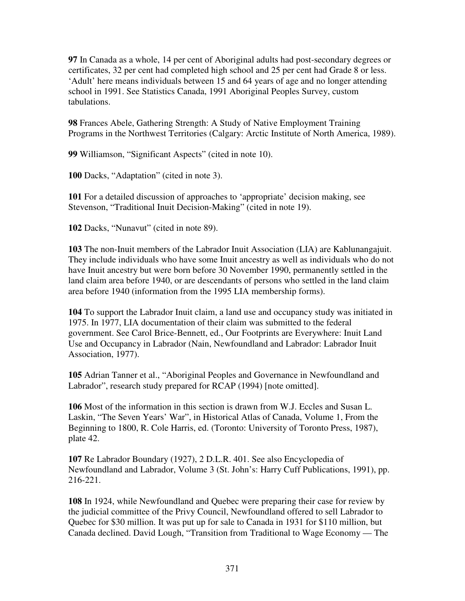**97** In Canada as a whole, 14 per cent of Aboriginal adults had post-secondary degrees or certificates, 32 per cent had completed high school and 25 per cent had Grade 8 or less. 'Adult' here means individuals between 15 and 64 years of age and no longer attending school in 1991. See Statistics Canada, 1991 Aboriginal Peoples Survey, custom tabulations.

**98** Frances Abele, Gathering Strength: A Study of Native Employment Training Programs in the Northwest Territories (Calgary: Arctic Institute of North America, 1989).

**99** Williamson, "Significant Aspects" (cited in note 10).

**100** Dacks, "Adaptation" (cited in note 3).

**101** For a detailed discussion of approaches to 'appropriate' decision making, see Stevenson, "Traditional Inuit Decision-Making" (cited in note 19).

**102** Dacks, "Nunavut" (cited in note 89).

**103** The non-Inuit members of the Labrador Inuit Association (LIA) are Kablunangajuit. They include individuals who have some Inuit ancestry as well as individuals who do not have Inuit ancestry but were born before 30 November 1990, permanently settled in the land claim area before 1940, or are descendants of persons who settled in the land claim area before 1940 (information from the 1995 LIA membership forms).

**104** To support the Labrador Inuit claim, a land use and occupancy study was initiated in 1975. In 1977, LIA documentation of their claim was submitted to the federal government. See Carol Brice-Bennett, ed., Our Footprints are Everywhere: Inuit Land Use and Occupancy in Labrador (Nain, Newfoundland and Labrador: Labrador Inuit Association, 1977).

**105** Adrian Tanner et al., "Aboriginal Peoples and Governance in Newfoundland and Labrador", research study prepared for RCAP (1994) [note omitted].

**106** Most of the information in this section is drawn from W.J. Eccles and Susan L. Laskin, "The Seven Years' War", in Historical Atlas of Canada, Volume 1, From the Beginning to 1800, R. Cole Harris, ed. (Toronto: University of Toronto Press, 1987), plate 42.

**107** Re Labrador Boundary (1927), 2 D.L.R. 401. See also Encyclopedia of Newfoundland and Labrador, Volume 3 (St. John's: Harry Cuff Publications, 1991), pp. 216-221.

**108** In 1924, while Newfoundland and Quebec were preparing their case for review by the judicial committee of the Privy Council, Newfoundland offered to sell Labrador to Quebec for \$30 million. It was put up for sale to Canada in 1931 for \$110 million, but Canada declined. David Lough, "Transition from Traditional to Wage Economy — The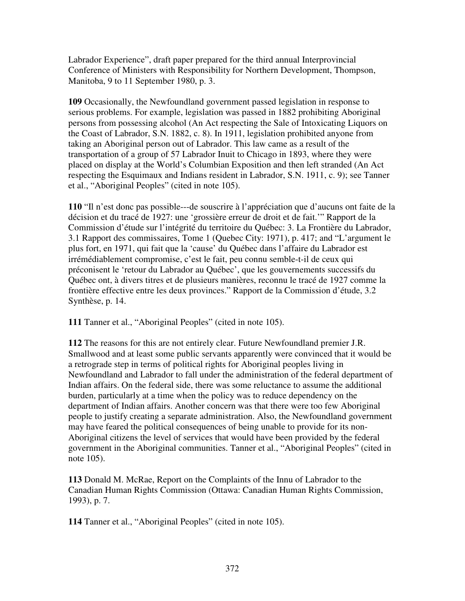Labrador Experience", draft paper prepared for the third annual Interprovincial Conference of Ministers with Responsibility for Northern Development, Thompson, Manitoba, 9 to 11 September 1980, p. 3.

**109** Occasionally, the Newfoundland government passed legislation in response to serious problems. For example, legislation was passed in 1882 prohibiting Aboriginal persons from possessing alcohol (An Act respecting the Sale of Intoxicating Liquors on the Coast of Labrador, S.N. 1882, c. 8). In 1911, legislation prohibited anyone from taking an Aboriginal person out of Labrador. This law came as a result of the transportation of a group of 57 Labrador Inuit to Chicago in 1893, where they were placed on display at the World's Columbian Exposition and then left stranded (An Act respecting the Esquimaux and Indians resident in Labrador, S.N. 1911, c. 9); see Tanner et al., "Aboriginal Peoples" (cited in note 105).

**110** "Il n'est donc pas possible---de souscrire à l'appréciation que d'aucuns ont faite de la décision et du tracé de 1927: une 'grossière erreur de droit et de fait.'" Rapport de la Commission d'étude sur l'intégrité du territoire du Québec: 3. La Frontière du Labrador, 3.1 Rapport des commissaires, Tome 1 (Quebec City: 1971), p. 417; and "L'argument le plus fort, en 1971, qui fait que la 'cause' du Québec dans l'affaire du Labrador est irrémédiablement compromise, c'est le fait, peu connu semble-t-il de ceux qui préconisent le 'retour du Labrador au Québec', que les gouvernements successifs du Québec ont, à divers titres et de plusieurs manières, reconnu le tracé de 1927 comme la frontière effective entre les deux provinces." Rapport de la Commission d'étude, 3.2 Synthèse, p. 14.

**111** Tanner et al., "Aboriginal Peoples" (cited in note 105).

**112** The reasons for this are not entirely clear. Future Newfoundland premier J.R. Smallwood and at least some public servants apparently were convinced that it would be a retrograde step in terms of political rights for Aboriginal peoples living in Newfoundland and Labrador to fall under the administration of the federal department of Indian affairs. On the federal side, there was some reluctance to assume the additional burden, particularly at a time when the policy was to reduce dependency on the department of Indian affairs. Another concern was that there were too few Aboriginal people to justify creating a separate administration. Also, the Newfoundland government may have feared the political consequences of being unable to provide for its non-Aboriginal citizens the level of services that would have been provided by the federal government in the Aboriginal communities. Tanner et al., "Aboriginal Peoples" (cited in note 105).

**113** Donald M. McRae, Report on the Complaints of the Innu of Labrador to the Canadian Human Rights Commission (Ottawa: Canadian Human Rights Commission, 1993), p. 7.

**114** Tanner et al., "Aboriginal Peoples" (cited in note 105).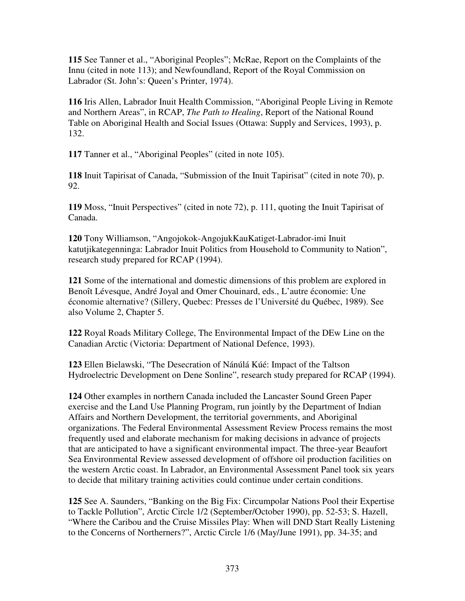**115** See Tanner et al., "Aboriginal Peoples"; McRae, Report on the Complaints of the Innu (cited in note 113); and Newfoundland, Report of the Royal Commission on Labrador (St. John's: Queen's Printer, 1974).

**116** Iris Allen, Labrador Inuit Health Commission, "Aboriginal People Living in Remote and Northern Areas", in RCAP, *The Path to Healing*, Report of the National Round Table on Aboriginal Health and Social Issues (Ottawa: Supply and Services, 1993), p. 132.

**117** Tanner et al., "Aboriginal Peoples" (cited in note 105).

**118** Inuit Tapirisat of Canada, "Submission of the Inuit Tapirisat" (cited in note 70), p. 92.

**119** Moss, "Inuit Perspectives" (cited in note 72), p. 111, quoting the Inuit Tapirisat of Canada.

**120** Tony Williamson, "Angojokok-AngojukKauKatiget-Labrador-imi Inuit katutjikategenninga: Labrador Inuit Politics from Household to Community to Nation", research study prepared for RCAP (1994).

**121** Some of the international and domestic dimensions of this problem are explored in Benoît Lévesque, André Joyal and Omer Chouinard, eds., L'autre économie: Une économie alternative? (Sillery, Quebec: Presses de l'Université du Québec, 1989). See also Volume 2, Chapter 5.

**122** Royal Roads Military College, The Environmental Impact of the DEw Line on the Canadian Arctic (Victoria: Department of National Defence, 1993).

**123** Ellen Bielawski, "The Desecration of Nánúlá Kúé: Impact of the Taltson Hydroelectric Development on Dene Sonline", research study prepared for RCAP (1994).

**124** Other examples in northern Canada included the Lancaster Sound Green Paper exercise and the Land Use Planning Program, run jointly by the Department of Indian Affairs and Northern Development, the territorial governments, and Aboriginal organizations. The Federal Environmental Assessment Review Process remains the most frequently used and elaborate mechanism for making decisions in advance of projects that are anticipated to have a significant environmental impact. The three-year Beaufort Sea Environmental Review assessed development of offshore oil production facilities on the western Arctic coast. In Labrador, an Environmental Assessment Panel took six years to decide that military training activities could continue under certain conditions.

**125** See A. Saunders, "Banking on the Big Fix: Circumpolar Nations Pool their Expertise to Tackle Pollution", Arctic Circle 1/2 (September/October 1990), pp. 52-53; S. Hazell, "Where the Caribou and the Cruise Missiles Play: When will DND Start Really Listening to the Concerns of Northerners?", Arctic Circle 1/6 (May/June 1991), pp. 34-35; and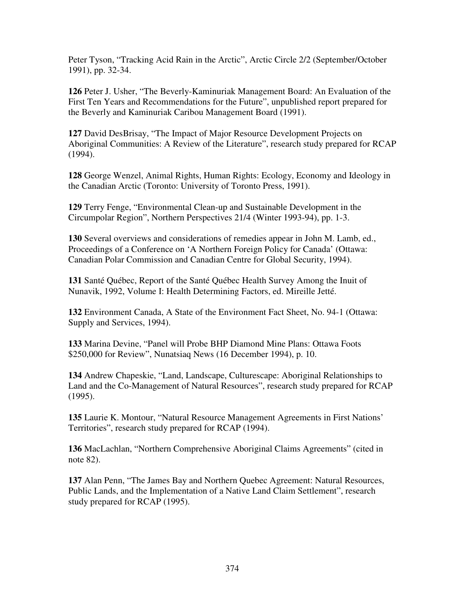Peter Tyson, "Tracking Acid Rain in the Arctic", Arctic Circle 2/2 (September/October 1991), pp. 32-34.

**126** Peter J. Usher, "The Beverly-Kaminuriak Management Board: An Evaluation of the First Ten Years and Recommendations for the Future", unpublished report prepared for the Beverly and Kaminuriak Caribou Management Board (1991).

**127** David DesBrisay, "The Impact of Major Resource Development Projects on Aboriginal Communities: A Review of the Literature", research study prepared for RCAP (1994).

**128** George Wenzel, Animal Rights, Human Rights: Ecology, Economy and Ideology in the Canadian Arctic (Toronto: University of Toronto Press, 1991).

**129** Terry Fenge, "Environmental Clean-up and Sustainable Development in the Circumpolar Region", Northern Perspectives 21/4 (Winter 1993-94), pp. 1-3.

**130** Several overviews and considerations of remedies appear in John M. Lamb, ed., Proceedings of a Conference on 'A Northern Foreign Policy for Canada' (Ottawa: Canadian Polar Commission and Canadian Centre for Global Security, 1994).

**131** Santé Québec, Report of the Santé Québec Health Survey Among the Inuit of Nunavik, 1992, Volume I: Health Determining Factors, ed. Mireille Jetté.

**132** Environment Canada, A State of the Environment Fact Sheet, No. 94-1 (Ottawa: Supply and Services, 1994).

**133** Marina Devine, "Panel will Probe BHP Diamond Mine Plans: Ottawa Foots \$250,000 for Review", Nunatsiaq News (16 December 1994), p. 10.

**134** Andrew Chapeskie, "Land, Landscape, Culturescape: Aboriginal Relationships to Land and the Co-Management of Natural Resources", research study prepared for RCAP (1995).

**135** Laurie K. Montour, "Natural Resource Management Agreements in First Nations' Territories", research study prepared for RCAP (1994).

**136** MacLachlan, "Northern Comprehensive Aboriginal Claims Agreements" (cited in note 82).

**137** Alan Penn, "The James Bay and Northern Quebec Agreement: Natural Resources, Public Lands, and the Implementation of a Native Land Claim Settlement", research study prepared for RCAP (1995).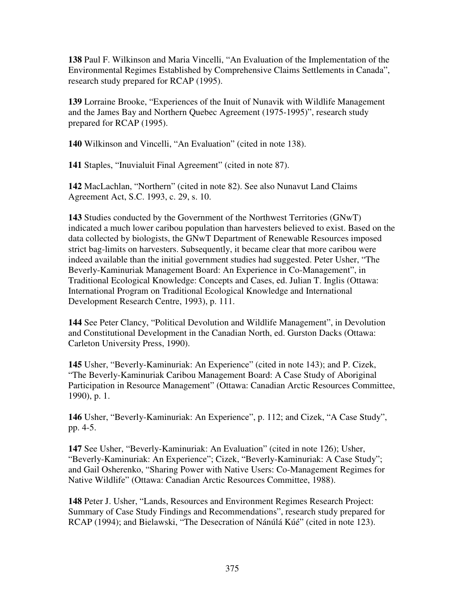**138** Paul F. Wilkinson and Maria Vincelli, "An Evaluation of the Implementation of the Environmental Regimes Established by Comprehensive Claims Settlements in Canada", research study prepared for RCAP (1995).

**139** Lorraine Brooke, "Experiences of the Inuit of Nunavik with Wildlife Management and the James Bay and Northern Quebec Agreement (1975-1995)", research study prepared for RCAP (1995).

**140** Wilkinson and Vincelli, "An Evaluation" (cited in note 138).

**141** Staples, "Inuvialuit Final Agreement" (cited in note 87).

**142** MacLachlan, "Northern" (cited in note 82). See also Nunavut Land Claims Agreement Act, S.C. 1993, c. 29, s. 10.

**143** Studies conducted by the Government of the Northwest Territories (GNwT) indicated a much lower caribou population than harvesters believed to exist. Based on the data collected by biologists, the GNwT Department of Renewable Resources imposed strict bag-limits on harvesters. Subsequently, it became clear that more caribou were indeed available than the initial government studies had suggested. Peter Usher, "The Beverly-Kaminuriak Management Board: An Experience in Co-Management", in Traditional Ecological Knowledge: Concepts and Cases, ed. Julian T. Inglis (Ottawa: International Program on Traditional Ecological Knowledge and International Development Research Centre, 1993), p. 111.

**144** See Peter Clancy, "Political Devolution and Wildlife Management", in Devolution and Constitutional Development in the Canadian North, ed. Gurston Dacks (Ottawa: Carleton University Press, 1990).

**145** Usher, "Beverly-Kaminuriak: An Experience" (cited in note 143); and P. Cizek, "The Beverly-Kaminuriak Caribou Management Board: A Case Study of Aboriginal Participation in Resource Management" (Ottawa: Canadian Arctic Resources Committee, 1990), p. 1.

**146** Usher, "Beverly-Kaminuriak: An Experience", p. 112; and Cizek, "A Case Study", pp. 4-5.

**147** See Usher, "Beverly-Kaminuriak: An Evaluation" (cited in note 126); Usher, "Beverly-Kaminuriak: An Experience"; Cizek, "Beverly-Kaminuriak: A Case Study"; and Gail Osherenko, "Sharing Power with Native Users: Co-Management Regimes for Native Wildlife" (Ottawa: Canadian Arctic Resources Committee, 1988).

**148** Peter J. Usher, "Lands, Resources and Environment Regimes Research Project: Summary of Case Study Findings and Recommendations", research study prepared for RCAP (1994); and Bielawski, "The Desecration of Nánúlá Kúé" (cited in note 123).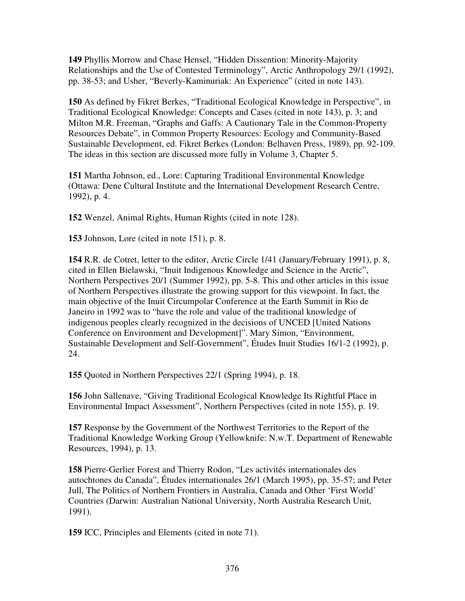**149** Phyllis Morrow and Chase Hensel, "Hidden Dissention: Minority-Majority Relationships and the Use of Contested Terminology", Arctic Anthropology 29/1 (1992), pp. 38-53; and Usher, "Beverly-Kaminuriak: An Experience" (cited in note 143).

**150** As defined by Fikret Berkes, "Traditional Ecological Knowledge in Perspective", in Traditional Ecological Knowledge: Concepts and Cases (cited in note 143), p. 3; and Milton M.R. Freeman, "Graphs and Gaffs: A Cautionary Tale in the Common-Property Resources Debate", in Common Property Resources: Ecology and Community-Based Sustainable Development, ed. Fikret Berkes (London: Belhaven Press, 1989), pp. 92-109. The ideas in this section are discussed more fully in Volume 3, Chapter 5.

**151** Martha Johnson, ed., Lore: Capturing Traditional Environmental Knowledge (Ottawa: Dene Cultural Institute and the International Development Research Centre, 1992), p. 4.

**152** Wenzel, Animal Rights, Human Rights (cited in note 128).

**153** Johnson, Lore (cited in note 151), p. 8.

**154** R.R. de Cotret, letter to the editor, Arctic Circle 1/41 (January/February 1991), p. 8, cited in Ellen Bielawski, "Inuit Indigenous Knowledge and Science in the Arctic", Northern Perspectives 20/1 (Summer 1992), pp. 5-8. This and other articles in this issue of Northern Perspectives illustrate the growing support for this viewpoint. In fact, the main objective of the Inuit Circumpolar Conference at the Earth Summit in Rio de Janeiro in 1992 was to "have the role and value of the traditional knowledge of indigenous peoples clearly recognized in the decisions of UNCED [United Nations Conference on Environment and Development]". Mary Simon, "Environment, Sustainable Development and Self-Government", Études Inuit Studies 16/1-2 (1992), p. 24.

**155** Quoted in Northern Perspectives 22/1 (Spring 1994), p. 18.

**156** John Sallenave, "Giving Traditional Ecological Knowledge Its Rightful Place in Environmental Impact Assessment", Northern Perspectives (cited in note 155), p. 19.

**157** Response by the Government of the Northwest Territories to the Report of the Traditional Knowledge Working Group (Yellowknife: N.w.T. Department of Renewable Resources, 1994), p. 13.

**158** Pierre-Gerlier Forest and Thierry Rodon, "Les activités internationales des autochtones du Canada", Études internationales 26/1 (March 1995), pp. 35-57; and Peter Jull, The Politics of Northern Frontiers in Australia, Canada and Other 'First World' Countries (Darwin: Australian National University, North Australia Research Unit, 1991).

**159** ICC, Principles and Elements (cited in note 71).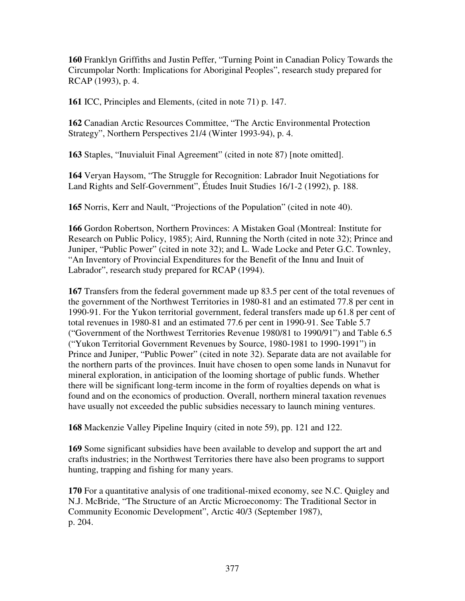**160** Franklyn Griffiths and Justin Peffer, "Turning Point in Canadian Policy Towards the Circumpolar North: Implications for Aboriginal Peoples", research study prepared for RCAP (1993), p. 4.

**161** ICC, Principles and Elements, (cited in note 71) p. 147.

**162** Canadian Arctic Resources Committee, "The Arctic Environmental Protection Strategy", Northern Perspectives 21/4 (Winter 1993-94), p. 4.

**163** Staples, "Inuvialuit Final Agreement" (cited in note 87) [note omitted].

**164** Veryan Haysom, "The Struggle for Recognition: Labrador Inuit Negotiations for Land Rights and Self-Government", Études Inuit Studies 16/1-2 (1992), p. 188.

**165** Norris, Kerr and Nault, "Projections of the Population" (cited in note 40).

**166** Gordon Robertson, Northern Provinces: A Mistaken Goal (Montreal: Institute for Research on Public Policy, 1985); Aird, Running the North (cited in note 32); Prince and Juniper, "Public Power" (cited in note 32); and L. Wade Locke and Peter G.C. Townley, "An Inventory of Provincial Expenditures for the Benefit of the Innu and Inuit of Labrador", research study prepared for RCAP (1994).

**167** Transfers from the federal government made up 83.5 per cent of the total revenues of the government of the Northwest Territories in 1980-81 and an estimated 77.8 per cent in 1990-91. For the Yukon territorial government, federal transfers made up 61.8 per cent of total revenues in 1980-81 and an estimated 77.6 per cent in 1990-91. See Table 5.7 ("Government of the Northwest Territories Revenue 1980/81 to 1990/91") and Table 6.5 ("Yukon Territorial Government Revenues by Source, 1980-1981 to 1990-1991") in Prince and Juniper, "Public Power" (cited in note 32). Separate data are not available for the northern parts of the provinces. Inuit have chosen to open some lands in Nunavut for mineral exploration, in anticipation of the looming shortage of public funds. Whether there will be significant long-term income in the form of royalties depends on what is found and on the economics of production. Overall, northern mineral taxation revenues have usually not exceeded the public subsidies necessary to launch mining ventures.

**168** Mackenzie Valley Pipeline Inquiry (cited in note 59), pp. 121 and 122.

**169** Some significant subsidies have been available to develop and support the art and crafts industries; in the Northwest Territories there have also been programs to support hunting, trapping and fishing for many years.

**170** For a quantitative analysis of one traditional-mixed economy, see N.C. Quigley and N.J. McBride, "The Structure of an Arctic Microeconomy: The Traditional Sector in Community Economic Development", Arctic 40/3 (September 1987), p. 204.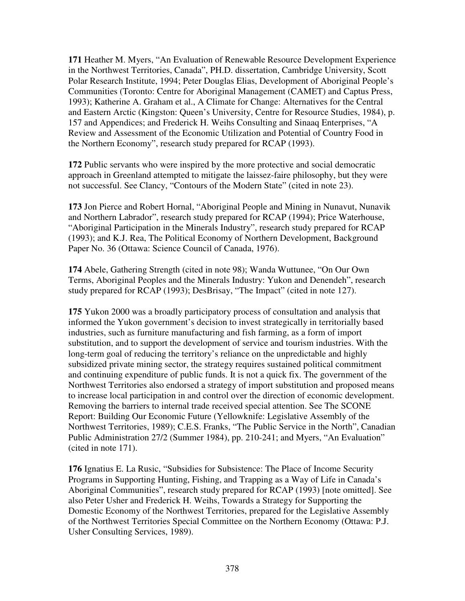**171** Heather M. Myers, "An Evaluation of Renewable Resource Development Experience in the Northwest Territories, Canada", PH.D. dissertation, Cambridge University, Scott Polar Research Institute, 1994; Peter Douglas Elias, Development of Aboriginal People's Communities (Toronto: Centre for Aboriginal Management (CAMET) and Captus Press, 1993); Katherine A. Graham et al., A Climate for Change: Alternatives for the Central and Eastern Arctic (Kingston: Queen's University, Centre for Resource Studies, 1984), p. 157 and Appendices; and Frederick H. Weihs Consulting and Sinaaq Enterprises, "A Review and Assessment of the Economic Utilization and Potential of Country Food in the Northern Economy", research study prepared for RCAP (1993).

**172** Public servants who were inspired by the more protective and social democratic approach in Greenland attempted to mitigate the laissez-faire philosophy, but they were not successful. See Clancy, "Contours of the Modern State" (cited in note 23).

**173** Jon Pierce and Robert Hornal, "Aboriginal People and Mining in Nunavut, Nunavik and Northern Labrador", research study prepared for RCAP (1994); Price Waterhouse, "Aboriginal Participation in the Minerals Industry", research study prepared for RCAP (1993); and K.J. Rea, The Political Economy of Northern Development, Background Paper No. 36 (Ottawa: Science Council of Canada, 1976).

**174** Abele, Gathering Strength (cited in note 98); Wanda Wuttunee, "On Our Own Terms, Aboriginal Peoples and the Minerals Industry: Yukon and Denendeh", research study prepared for RCAP (1993); DesBrisay, "The Impact" (cited in note 127).

**175** Yukon 2000 was a broadly participatory process of consultation and analysis that informed the Yukon government's decision to invest strategically in territorially based industries, such as furniture manufacturing and fish farming, as a form of import substitution, and to support the development of service and tourism industries. With the long-term goal of reducing the territory's reliance on the unpredictable and highly subsidized private mining sector, the strategy requires sustained political commitment and continuing expenditure of public funds. It is not a quick fix. The government of the Northwest Territories also endorsed a strategy of import substitution and proposed means to increase local participation in and control over the direction of economic development. Removing the barriers to internal trade received special attention. See The SCONE Report: Building Our Economic Future (Yellowknife: Legislative Assembly of the Northwest Territories, 1989); C.E.S. Franks, "The Public Service in the North", Canadian Public Administration 27/2 (Summer 1984), pp. 210-241; and Myers, "An Evaluation" (cited in note 171).

**176** Ignatius E. La Rusic, "Subsidies for Subsistence: The Place of Income Security Programs in Supporting Hunting, Fishing, and Trapping as a Way of Life in Canada's Aboriginal Communities", research study prepared for RCAP (1993) [note omitted]. See also Peter Usher and Frederick H. Weihs, Towards a Strategy for Supporting the Domestic Economy of the Northwest Territories, prepared for the Legislative Assembly of the Northwest Territories Special Committee on the Northern Economy (Ottawa: P.J. Usher Consulting Services, 1989).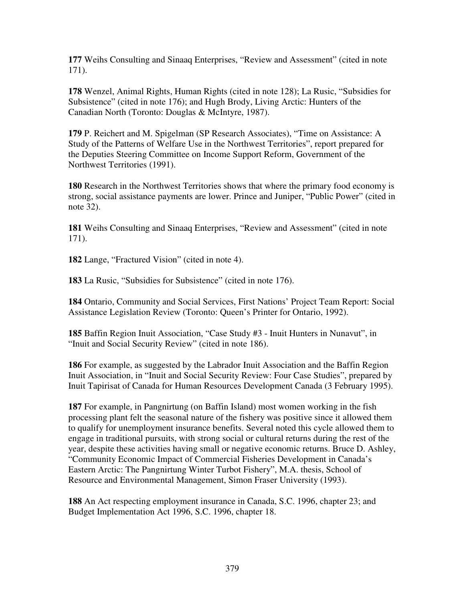**177** Weihs Consulting and Sinaaq Enterprises, "Review and Assessment" (cited in note 171).

**178** Wenzel, Animal Rights, Human Rights (cited in note 128); La Rusic, "Subsidies for Subsistence" (cited in note 176); and Hugh Brody, Living Arctic: Hunters of the Canadian North (Toronto: Douglas & McIntyre, 1987).

**179** P. Reichert and M. Spigelman (SP Research Associates), "Time on Assistance: A Study of the Patterns of Welfare Use in the Northwest Territories", report prepared for the Deputies Steering Committee on Income Support Reform, Government of the Northwest Territories (1991).

**180** Research in the Northwest Territories shows that where the primary food economy is strong, social assistance payments are lower. Prince and Juniper, "Public Power" (cited in note 32).

**181** Weihs Consulting and Sinaaq Enterprises, "Review and Assessment" (cited in note 171).

**182** Lange, "Fractured Vision" (cited in note 4).

**183** La Rusic, "Subsidies for Subsistence" (cited in note 176).

**184** Ontario, Community and Social Services, First Nations' Project Team Report: Social Assistance Legislation Review (Toronto: Queen's Printer for Ontario, 1992).

**185** Baffin Region Inuit Association, "Case Study #3 - Inuit Hunters in Nunavut", in "Inuit and Social Security Review" (cited in note 186).

**186** For example, as suggested by the Labrador Inuit Association and the Baffin Region Inuit Association, in "Inuit and Social Security Review: Four Case Studies", prepared by Inuit Tapirisat of Canada for Human Resources Development Canada (3 February 1995).

**187** For example, in Pangnirtung (on Baffin Island) most women working in the fish processing plant felt the seasonal nature of the fishery was positive since it allowed them to qualify for unemployment insurance benefits. Several noted this cycle allowed them to engage in traditional pursuits, with strong social or cultural returns during the rest of the year, despite these activities having small or negative economic returns. Bruce D. Ashley, "Community Economic Impact of Commercial Fisheries Development in Canada's Eastern Arctic: The Pangnirtung Winter Turbot Fishery", M.A. thesis, School of Resource and Environmental Management, Simon Fraser University (1993).

**188** An Act respecting employment insurance in Canada, S.C. 1996, chapter 23; and Budget Implementation Act 1996, S.C. 1996, chapter 18.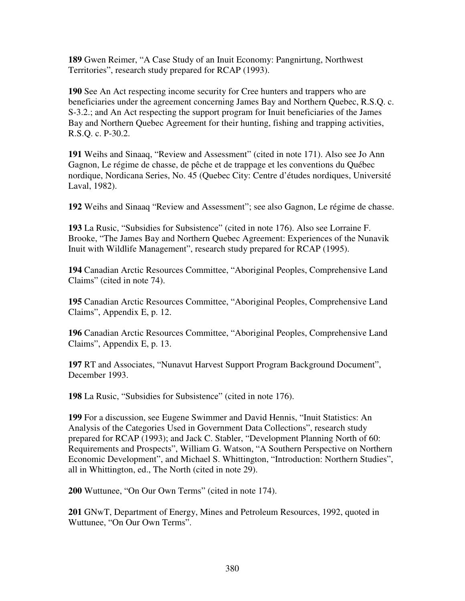**189** Gwen Reimer, "A Case Study of an Inuit Economy: Pangnirtung, Northwest Territories", research study prepared for RCAP (1993).

**190** See An Act respecting income security for Cree hunters and trappers who are beneficiaries under the agreement concerning James Bay and Northern Quebec, R.S.Q. c. S-3.2.; and An Act respecting the support program for Inuit beneficiaries of the James Bay and Northern Quebec Agreement for their hunting, fishing and trapping activities, R.S.Q. c. P-30.2.

**191** Weihs and Sinaaq, "Review and Assessment" (cited in note 171). Also see Jo Ann Gagnon, Le régime de chasse, de pêche et de trappage et les conventions du Québec nordique, Nordicana Series, No. 45 (Quebec City: Centre d'études nordiques, Université Laval, 1982).

**192** Weihs and Sinaaq "Review and Assessment"; see also Gagnon, Le régime de chasse.

**193** La Rusic, "Subsidies for Subsistence" (cited in note 176). Also see Lorraine F. Brooke, "The James Bay and Northern Quebec Agreement: Experiences of the Nunavik Inuit with Wildlife Management", research study prepared for RCAP (1995).

**194** Canadian Arctic Resources Committee, "Aboriginal Peoples, Comprehensive Land Claims" (cited in note 74).

**195** Canadian Arctic Resources Committee, "Aboriginal Peoples, Comprehensive Land Claims", Appendix E, p. 12.

**196** Canadian Arctic Resources Committee, "Aboriginal Peoples, Comprehensive Land Claims", Appendix E, p. 13.

**197** RT and Associates, "Nunavut Harvest Support Program Background Document", December 1993.

**198** La Rusic, "Subsidies for Subsistence" (cited in note 176).

**199** For a discussion, see Eugene Swimmer and David Hennis, "Inuit Statistics: An Analysis of the Categories Used in Government Data Collections", research study prepared for RCAP (1993); and Jack C. Stabler, "Development Planning North of 60: Requirements and Prospects", William G. Watson, "A Southern Perspective on Northern Economic Development", and Michael S. Whittington, "Introduction: Northern Studies", all in Whittington, ed., The North (cited in note 29).

**200** Wuttunee, "On Our Own Terms" (cited in note 174).

**201** GNwT, Department of Energy, Mines and Petroleum Resources, 1992, quoted in Wuttunee, "On Our Own Terms".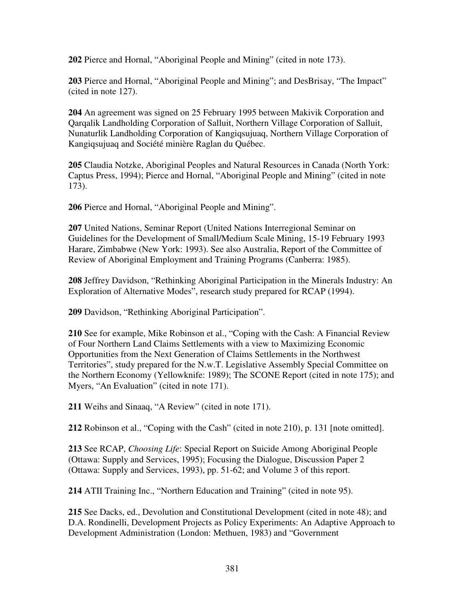**202** Pierce and Hornal, "Aboriginal People and Mining" (cited in note 173).

**203** Pierce and Hornal, "Aboriginal People and Mining"; and DesBrisay, "The Impact" (cited in note 127).

**204** An agreement was signed on 25 February 1995 between Makivik Corporation and Qarqalik Landholding Corporation of Salluit, Northern Village Corporation of Salluit, Nunaturlik Landholding Corporation of Kangiqsujuaq, Northern Village Corporation of Kangiqsujuaq and Société minière Raglan du Québec.

**205** Claudia Notzke, Aboriginal Peoples and Natural Resources in Canada (North York: Captus Press, 1994); Pierce and Hornal, "Aboriginal People and Mining" (cited in note 173).

**206** Pierce and Hornal, "Aboriginal People and Mining".

**207** United Nations, Seminar Report (United Nations Interregional Seminar on Guidelines for the Development of Small/Medium Scale Mining, 15-19 February 1993 Harare, Zimbabwe (New York: 1993). See also Australia, Report of the Committee of Review of Aboriginal Employment and Training Programs (Canberra: 1985).

**208** Jeffrey Davidson, "Rethinking Aboriginal Participation in the Minerals Industry: An Exploration of Alternative Modes", research study prepared for RCAP (1994).

**209** Davidson, "Rethinking Aboriginal Participation".

**210** See for example, Mike Robinson et al., "Coping with the Cash: A Financial Review of Four Northern Land Claims Settlements with a view to Maximizing Economic Opportunities from the Next Generation of Claims Settlements in the Northwest Territories", study prepared for the N.w.T. Legislative Assembly Special Committee on the Northern Economy (Yellowknife: 1989); The SCONE Report (cited in note 175); and Myers, "An Evaluation" (cited in note 171).

**211** Weihs and Sinaaq, "A Review" (cited in note 171).

**212** Robinson et al., "Coping with the Cash" (cited in note 210), p. 131 [note omitted].

**213** See RCAP, *Choosing Life*: Special Report on Suicide Among Aboriginal People (Ottawa: Supply and Services, 1995); Focusing the Dialogue, Discussion Paper 2 (Ottawa: Supply and Services, 1993), pp. 51-62; and Volume 3 of this report.

**214** ATII Training Inc., "Northern Education and Training" (cited in note 95).

**215** See Dacks, ed., Devolution and Constitutional Development (cited in note 48); and D.A. Rondinelli, Development Projects as Policy Experiments: An Adaptive Approach to Development Administration (London: Methuen, 1983) and "Government